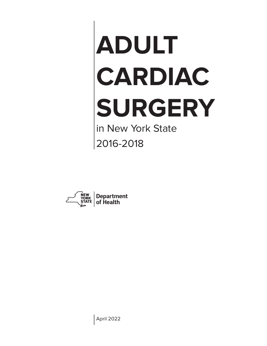# **ADULT CARDIAC SURGERY** in New York State

2016-2018



April 2022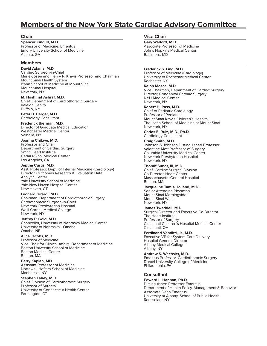## **Members of the New York State Cardiac Advisory Committee**

#### **Chair**

**Spencer King III, M.D.** Professor of Medicine, Emeritus Emory University School of Medicine Atlanta, GA

#### **Members**

#### **David Adams, M.D.**

Cardiac Surgeon-in-Chief Marie-Josée and Henry R. Kravis Professor and Chairman Mount Sinai Health System Icahn School of Medicine at Mount Sinai Mount Sinai Hospital New York, NY

**M. Hashmat Ashraf, M.D.** Chief, Department of Cardiothoracic Surgery Kaleida Health Buffalo, NY

**Peter B. Berger, M.D.** Cardiology Consultant

**Frederick Bierman, M.D.** Director of Graduate Medical Education Westchester Medical Center Valhalla, NY

**Joanna Chikwe, M.D.** Professor and Chair

Department of Cardiac Surgery Smith Heart Institute Cedars-Sinai Medical Center Los Angeles, CA

**Jeptha Curtis, M.D.** Asst. Professor, Dept. of Internal Medicine (Cardiology) Director, Outcomes Research & Evaluation Data Analytic Center Yale University School of Medicine Yale-New Haven Hospital Center New Haven, CT

**Leonard Girardi, M.D.** Chairman, Department of Cardiothoracic Surgery Cardiothoracic Surgeon-in-Chief New York Presbyterian Hospital Weill Cornell Medical College New York, NY

**Jeffrey P. Gold, M.D.** Chancellor, University of Nebraska Medical Center University of Nebraska - Omaha Omaha, NE

#### **Alice Jacobs, M.D.**

Professor of Medicine Vice Chair for Clinical Affairs, Department of Medicine Boston University School of Medicine Boston Medical Center Boston, MA

**Barry Kaplan, MD**

Assistant Professor of Medicine Northwell Hofstra School of Medicine Manhasset, NY

**Stephen Lahey, M.D.**

Chief, Division of Cardiothoracic Surgery Professor of Surgery University of Connecticut Health Center Farmington, CT

#### **Vice Chair**

**Gary Walford, M.D.** Associate Professor of Medicine Johns Hopkins Medical Center Baltimore, MD

**Frederick S. Ling, M.D.** Professor of Medicine (Cardiology) University of Rochester Medical Center

Rochester, NY **Ralph Mosca, M.D.** Vice Chairman, Department of Cardiac Surgery Director, Congenital Cardiac Surgery NYU Medical Center New York, NY

**Robert H. Pass, M.D.** Chief of Pediatric Cardiology Professor of Pediatrics Mount Sinai Kravis Children's Hospital The Icahn School of Medicine at Mount Sinai New York, NY

**Carlos E. Ruiz, M.D., Ph.D.** Cardiology Consultant **Craig Smith, M.D.** Johnson & Johnson Distinguished Professor Valentine Mott Professor of Surgery

Columbia University Medical Center New York Presbyterian Hospital New York, NY

**Thoralf Sundt, III, M.D.** Chief, Cardiac Surgical Division Co-Director, Heart Center Massachusetts General Hospital Boston, MA

**Jacqueline Tamis-Holland, M.D.** Senior Attending Physician Mount Sinai Morningside Mount Sinai West New York, NY

**James Tweddell, M.D.** Surgical Director and Executive Co-Director The Heart Institute Professor of Surgery Cincinnati Children's Hospital Medical Center Cincinnati, OH

**Ferdinand Venditti, Jr., M.D.** Executive VP for System Care Delivery Hospital General Director Albany Medical College Albany, NY

**Andrew S. Wechsler, M.D.** Emeritus Professor, Cardiothoracic Surgery Drexel University College of Medicine Philadelphia, PA

#### **Consultant**

**Edward L. Hannan, Ph.D.** Distinguished Professor Emeritus Department of Health Policy, Management & Behavior Associate Dean Emeritus University at Albany, School of Public Health Rensselaer, NY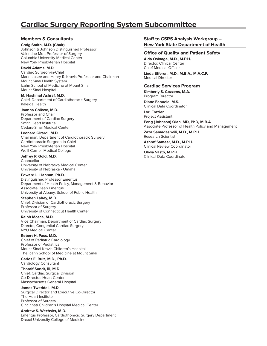## **Cardiac Surgery Reporting System Subcommittee**

#### **Members & Consultants**

**Craig Smith, M.D. (Chair)** Johnson & Johnson Distinguished Professor Valentine Mott Professor of Surgery Columbia University Medical Center New York Presbyterian Hospital

**David Adams, M.D** Cardiac Surgeon-in-Chief Marie-Josée and Henry R. Kravis Professor and Chairman Mount Sinai Health System Icahn School of Medicine at Mount Sinai Mount Sinai Hospital

**M. Hashmat Ashraf, M.D.** Chief, Department of Cardiothoracic Surgery Kaleida Health

**Joanna Chikwe, M.D.** Professor and Chair Department of Cardiac Surgery Smith Heart Institute Cedars-Sinai Medical Center

**Leonard Girardi, M.D.** Chairman, Department of Cardiothoracic Surgery Cardiothoracic Surgeon-in-Chief New York Presbyterian Hospital Weill Cornell Medical College

**Jeffrey P. Gold, M.D. Chancellor** University of Nebraska Medical Center University of Nebraska - Omaha

**Edward L. Hannan, Ph.D.** Distinguished Professor Emeritus Department of Health Policy, Management & Behavior Associate Dean Emeritus University at Albany, School of Public Health

**Stephen Lahey, M.D.** Chief, Division of Cardiothoracic Surgery Professor of Surgery University of Connecticut Health Center

**Ralph Mosca, M.D.** Vice Chairman, Department of Cardiac Surgery Director, Congenital Cardiac Surgery NYU Medical Center

#### **Robert H. Pass, M.D.**

Chief of Pediatric Cardiology Professor of Pediatrics Mount Sinai Kravis Children's Hospital The Icahn School of Medicine at Mount Sinai

**Carlos E. Ruiz, M.D., Ph.D.** Cardiology Consultant

**Thoralf Sundt, III, M.D.** Chief, Cardiac Surgical Division Co-Director, Heart Center Massachusetts General Hospital

**James Tweddell, M.D.**

Surgical Director and Executive Co-Director The Heart Institute Professor of Surgery Cincinnati Children's Hospital Medical Center

#### **Andrew S. Wechsler, M.D.**

Emeritus Professor, Cardiothoracic Surgery Department Drexel University College of Medicine

**Staff to CSRS Analysis Workgroup – New York State Department of Health**

#### **Office of Quality and Patient Safety**

**Alda Osinaga, M.D., M.P.H.** Director, Clinical Center Chief Medical Officer

**Linda Efferen, M.D., M.B.A., M.A.C.P.** Medical Director

#### **Cardiac Services Program**

**Kimberly S. Cozzens, M.A.** Program Director

**Diane Fanuele, M.S.** Clinical Data Coordinator

**Lori Frazier** Project Assistant

**Feng (Johnson) Qian, MD, PhD, M.B.A** Associate Professor of Health Policy and Management

**Zaza Samadashvili, M.D., M.P.H.** Research Scientist

**Ashraf Sameer, M.D., M.P.H.** Clinical Review Coordinator

**Olivia Vasto, M.P.H.** Clinical Data Coordinator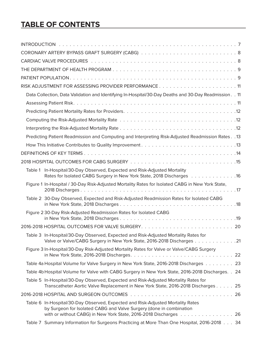# **TABLE OF CONTENTS**

| RISK ADJUSTMENT FOR ASSESSING PROVIDER PERFORMANCE11                                                                                                                     |
|--------------------------------------------------------------------------------------------------------------------------------------------------------------------------|
| Data Collection, Data Validation and Identifying In-Hospital/30-Day Deaths and 30-Day Readmission. . 11                                                                  |
|                                                                                                                                                                          |
|                                                                                                                                                                          |
|                                                                                                                                                                          |
|                                                                                                                                                                          |
| Predicting Patient Readmission and Computing and Interpreting Risk-Adjusted Readmission Rates. . 13                                                                      |
|                                                                                                                                                                          |
|                                                                                                                                                                          |
|                                                                                                                                                                          |
| Table 1 In-Hospital/30-Day Observed, Expected and Risk-Adjusted Mortality<br>Rates for Isolated CABG Surgery in New York State, 2018 Discharges 16                       |
| Figure 1 In-Hospital / 30-Day Risk-Adjusted Mortality Rates for Isolated CABG in New York State,                                                                         |
| Table 2 30-Day Observed, Expected and Risk-Adjusted Readmission Rates for Isolated CABG                                                                                  |
| Figure 2 30-Day Risk-Adjusted Readmission Rates for Isolated CABG                                                                                                        |
|                                                                                                                                                                          |
| Table 3 In-Hospital/30-Day Observed, Expected and Risk-Adjusted Mortality Rates for<br>Valve or Valve/CABG Surgery in New York State, 2016-2018 Discharges 21            |
| Figure 3 In-Hospital/30-Day Risk-Adjusted Mortality Rates for Valve or Valve/CABG Surgery                                                                                |
| Table 4a Hospital Volume for Valve Surgery in New York State, 2016-2018 Discharges 23                                                                                    |
| Table 4b Hospital Volume for Valve with CABG Surgery in New York State, 2016-2018 Discharges. . 24                                                                       |
| Table 5 In-Hospital/30-Day Observed, Expected and Risk-Adjusted Mortality Rates for<br>Transcatheter Aortic Valve Replacement in New York State, 2016-2018 Discharges 25 |
|                                                                                                                                                                          |
| Table 6 In-Hospital/30-Day Observed, Expected and Risk-Adjusted Mortality Rates<br>by Surgeon for Isolated CABG and Valve Surgery (done in combination                   |
| with or without CABG) in New York State, 2016-2018 Discharges 26<br>Table 7 Summary Information for Surgeons Practicing at More Than One Hospital, 2016-2018 34          |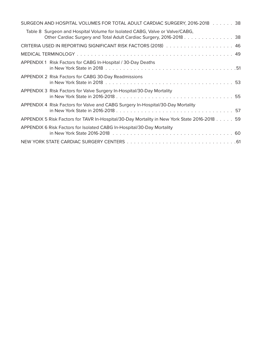| SURGEON AND HOSPITAL VOLUMES FOR TOTAL ADULT CARDIAC SURGERY, 2016-2018 38                                                                          |
|-----------------------------------------------------------------------------------------------------------------------------------------------------|
| Table 8 Surgeon and Hospital Volume for Isolated CABG, Valve or Valve/CABG,<br>Other Cardiac Surgery and Total Adult Cardiac Surgery, 2016-2018. 38 |
|                                                                                                                                                     |
|                                                                                                                                                     |
| APPENDIX 1 Risk Factors for CABG In-Hospital / 30-Day Deaths                                                                                        |
| APPENDIX 2 Risk Factors for CABG 30-Day Readmissions                                                                                                |
| APPENDIX 3 Risk Factors for Valve Surgery In-Hospital/30-Day Mortality                                                                              |
| APPENDIX 4 Risk Factors for Valve and CABG Surgery In-Hospital/30-Day Mortality                                                                     |
| APPENDIX 5 Risk Factors for TAVR In-Hospital/30-Day Mortality in New York State 2016-2018 59                                                        |
| APPENDIX 6 Risk Factors for Isolated CABG In-Hospital/30-Day Mortality                                                                              |
|                                                                                                                                                     |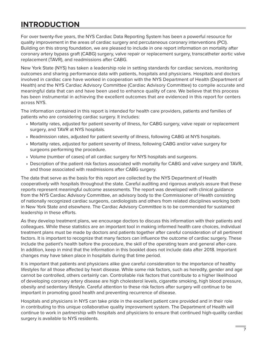# **INTRODUCTION**

For over twenty-five years, the NYS Cardiac Data Reporting System has been a powerful resource for quality improvement in the areas of cardiac surgery and percutaneous coronary interventions (PCI). Building on this strong foundation, we are pleased to include in one report information on mortality after coronary artery bypass graft (CABG) surgery, valve repair or replacement surgery, transcatheter aortic valve replacement (TAVR), and readmissions after CABG.

New York State (NYS) has taken a leadership role in setting standards for cardiac services, monitoring outcomes and sharing performance data with patients, hospitals and physicians. Hospitals and doctors involved in cardiac care have worked in cooperation with the NYS Department of Health (Department of Health) and the NYS Cardiac Advisory Committee (Cardiac Advisory Committee) to compile accurate and meaningful data that can and have been used to enhance quality of care. We believe that this process has been instrumental in achieving the excellent outcomes that are evidenced in this report for centers across NYS.

The information contained in this report is intended for health care providers, patients and families of patients who are considering cardiac surgery. It includes:

- Mortality rates, adjusted for patient severity of illness, for CABG surgery, valve repair or replacement surgery, and TAVR at NYS hospitals.
- Readmission rates, adjusted for patient severity of illness, following CABG at NYS hospitals.
- Mortality rates, adjusted for patient severity of illness, following CABG and/or valve surgery for surgeons performing the procedure.
- Volume (number of cases) of all cardiac surgery for NYS hospitals and surgeons.
- Description of the patient risk factors associated with mortality for CABG and valve surgery and TAVR, and those associated with readmissions after CABG surgery.

The data that serve as the basis for this report are collected by the NYS Department of Health cooperatively with hospitals throughout the state. Careful auditing and rigorous analysis assure that these reports represent meaningful outcome assessments. The report was developed with clinical guidance from the NYS Cardiac Advisory Committee, an advisory body to the Commissioner of Health consisting of nationally recognized cardiac surgeons, cardiologists and others from related disciplines working both in New York State and elsewhere. The Cardiac Advisory Committee is to be commended for sustained leadership in these efforts.

As they develop treatment plans, we encourage doctors to discuss this information with their patients and colleagues. While these statistics are an important tool in making informed health care choices, individual treatment plans must be made by doctors and patients together after careful consideration of all pertinent factors. It is important to recognize that many factors can influence the outcome of cardiac surgery. These include the patient's health before the procedure, the skill of the operating team and general after-care. In addition, keep in mind that the information in this booklet does not include data after 2018. Important changes may have taken place in hospitals during that time period.

It is important that patients and physicians alike give careful consideration to the importance of healthy lifestyles for all those affected by heart disease. While some risk factors, such as heredity, gender and age cannot be controlled, others certainly can. Controllable risk factors that contribute to a higher likelihood of developing coronary artery disease are high cholesterol levels, cigarette smoking, high blood pressure, obesity and sedentary lifestyle. Careful attention to these risk factors after surgery will continue to be important in promoting good health and preventing recurrence of disease.

Hospitals and physicians in NYS can take pride in the excellent patient care provided and in their role in contributing to this unique collaborative quality improvement system. The Department of Health will continue to work in partnership with hospitals and physicians to ensure that continued high-quality cardiac surgery is available to NYS residents.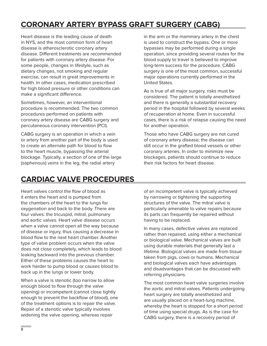# **CORONARY ARTERY BYPASS GRAFT SURGERY (CABG)**

Heart disease is the leading cause of death in NYS, and the most common form of heart disease is atherosclerotic coronary artery disease. Different treatments are recommended for patients with coronary artery disease. For some people, changes in lifestyle, such as dietary changes, not smoking and regular exercise, can result in great improvements in health. In other cases, medication prescribed for high blood pressure or other conditions can make a significant difference.

Sometimes, however, an interventional procedure is recommended. The two common procedures performed on patients with coronary artery disease are CABG surgery and percutaneous coronary intervention (PCI).

CABG surgery is an operation in which a vein or artery from another part of the body is used to create an alternate path for blood to flow to the heart muscle, bypassing the arterial blockage. Typically, a section of one of the large (saphenous) veins in the leg, the radial artery

in the arm or the mammary artery in the chest is used to construct the bypass. One or more bypasses may be performed during a single operation, since providing several routes for the blood supply to travel is believed to improve long-term success for the procedure. CABG surgery is one of the most common, successful major operations currently performed in the United States.

As is true of all major surgery, risks must be considered. The patient is totally anesthetized and there is generally a substantial recovery period in the hospital followed by several weeks of recuperation at home. Even in successful cases, there is a risk of relapse causing the need for another operation.

Those who have CABG surgery are not cured of coronary artery disease; the disease can still occur in the grafted blood vessels or other coronary arteries. In order to minimize new blockages, patients should continue to reduce their risk factors for heart disease.

# **CARDIAC VALVE PROCEDURES**

Heart valves control the flow of blood as it enters the heart and is pumped from the chambers of the heart to the lungs for oxygenation and back to the body. There are four valves: the tricuspid, mitral, pulmonary and aortic valves. Heart valve disease occurs when a valve cannot open all the way because of disease or injury, thus causing a decrease in blood flow to the next heart chamber. Another type of valve problem occurs when the valve does not close completely, which leads to blood leaking backward into the previous chamber. Either of these problems causes the heart to work harder to pump blood or causes blood to back up in the lungs or lower body.

When a valve is stenotic (too narrow to allow enough blood to flow through the valve opening) or incompetent (cannot close tightly enough to prevent the backflow of blood), one of the treatment options is to repair the valve. Repair of a stenotic valve typically involves widening the valve opening, whereas repair

of an incompetent valve is typically achieved by narrowing or tightening the supporting structures of the valve. The mitral valve is particularly amenable to valve repairs because its parts can frequently be repaired without having to be replaced.

In many cases, defective valves are replaced rather than repaired, using either a mechanical or biological valve. Mechanical valves are built using durable materials that generally last a lifetime. Biological valves are made from tissue taken from pigs, cows or humans. Mechanical and biological valves each have advantages and disadvantages that can be discussed with referring physicians.

The most common heart valve surgeries involve the aortic and mitral valves. Patients undergoing heart surgery are totally anesthetized and are usually placed on a heart-lung machine, whereby the heart is stopped for a short period of time using special drugs. As is the case for CABG surgery, there is a recovery period of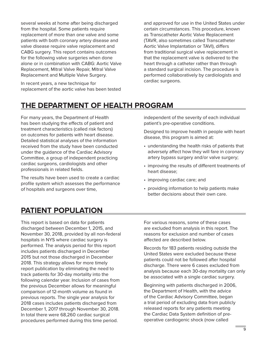several weeks at home after being discharged from the hospital. Some patients require replacement of more than one valve and some patients with both coronary artery disease and valve disease require valve replacement and CABG surgery. This report contains outcomes for the following valve surgeries when done alone or in combination with CABG: Aortic Valve Replacement, Mitral Valve Repair, Mitral Valve Replacement and Multiple Valve Surgery.

In recent years, a new technique for replacement of the aortic valve has been tested and approved for use in the United States under certain circumstances. This procedure, known as Transcatheter Aortic Valve Replacement (TAVR, also sometimes called Transcatheter Aortic Valve Implantation or TAVI), differs from traditional surgical valve replacement in that the replacement valve is delivered to the heart through a catheter rather than through a standard surgical incision. The procedure is performed collaboratively by cardiologists and cardiac surgeons.

# **THE DEPARTMENT OF HEALTH PROGRAM**

For many years, the Department of Health has been studying the effects of patient and treatment characteristics (called risk factors) on outcomes for patients with heart disease. Detailed statistical analyses of the information received from the study have been conducted under the guidance of the Cardiac Advisory Committee, a group of independent practicing cardiac surgeons, cardiologists and other professionals in related fields.

The results have been used to create a cardiac profile system which assesses the performance of hospitals and surgeons over time,

independent of the severity of each individual patient's pre-operative conditions.

Designed to improve health in people with heart disease, this program is aimed at:

- understanding the health risks of patients that adversely affect how they will fare in coronary artery bypass surgery and/or valve surgery;
- improving the results of different treatments of heart disease;
- improving cardiac care; and
- providing information to help patients make better decisions about their own care.

# **PATIENT POPULATION**

This report is based on data for patients discharged between December 1, 2015, and November 30, 2018, provided by all non-federal hospitals in NYS where cardiac surgery is performed. The analysis period for this report includes patients discharged in December 2015 but not those discharged in December 2018. This strategy allows for more timely report publication by eliminating the need to track patients for 30-day mortality into the following calendar year. Inclusion of cases from the previous December allows for meaningful comparison of 12-month volume as found in previous reports. The single year analysis for 2018 cases includes patients discharged from December 1, 2017 through November 30, 2018. In total there were 68,260 cardiac surgical procedures performed during this time period.

For various reasons, some of these cases are excluded from analysis in this report. The reasons for exclusion and number of cases affected are described below.

Records for 183 patients residing outside the United States were excluded because these patients could not be followed after hospital discharge. There were 6 cases excluded from analysis because each 30-day mortality can only be associated with a single cardiac surgery.

Beginning with patients discharged in 2006, the Department of Health, with the advice of the Cardiac Advisory Committee, began a trial period of excluding data from publicly released reports for any patients meeting the Cardiac Data System definition of preoperative cardiogenic shock (now called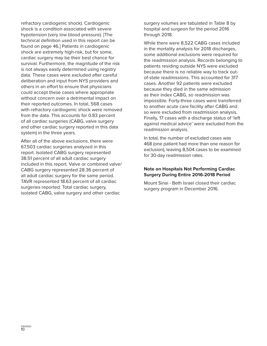refractory cardiogenic shock). Cardiogenic shock is a condition associated with severe hypotension (very low blood pressure). [The technical definition used in this report can be found on page 46.] Patients in cardiogenic shock are extremely high-risk, but for some, cardiac surgery may be their best chance for survival. Furthermore, the magnitude of the risk is not always easily determined using registry data. These cases were excluded after careful deliberation and input from NYS providers and others in an effort to ensure that physicians could accept these cases where appropriate without concern over a detrimental impact on their reported outcomes. In total, 568 cases with refractory cardiogenic shock were removed from the data. This accounts for 0.83 percent of all cardiac surgeries (CABG, valve surgery and other cardiac surgery reported in this data system) in the three years.

After all of the above exclusions, there were 67,503 cardiac surgeries analyzed in this report. Isolated CABG surgery represented 38.51 percent of all adult cardiac surgery included in this report. Valve or combined valve/ CABG surgery represented 28.36 percent of all adult cardiac surgery for the same period. TAVR represented 18.63 percent of all cardiac surgeries reported. Total cardiac surgery, isolated CABG, valve surgery and other cardiac

surgery volumes are tabulated in Table 8 by hospital and surgeon for the period 2016 through 2018.

While there were 8,522 CABG cases included in the mortality analysis for 2018 discharges, some additional exclusions were required for the readmission analysis. Records belonging to patients residing outside NYS were excluded because there is no reliable way to track outof-state readmissions. This accounted for 317 cases. Another 92 patients were excluded because they died in the same admission as their index CABG, so readmission was impossible. Forty-three cases were transferred to another acute care facility after CABG and so were excluded from readmission analysis. Finally, 17 cases with a discharge status of 'left against medical advice' were excluded from the readmission analysis.

In total, the number of excluded cases was 468 (one patient had more than one reason for exclusion), leaving 8,504 cases to be examined for 30-day readmission rates.

#### **Note on Hospitals Not Performing Cardiac Surgery During Entire 2016-2018 Period**

Mount Sinai - Beth Israel closed their cardiac surgery program in December 2016.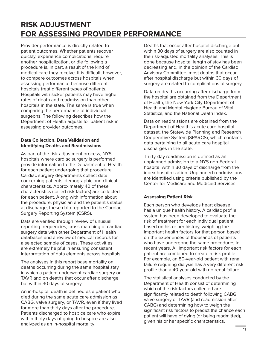# **RISK ADJUSTMENT FOR ASSESSING PROVIDER PERFORMANCE**

Provider performance is directly related to patient outcomes. Whether patients recover quickly, experience complications, require another hospitalization, or die following a procedure is, in part, a result of the kind of medical care they receive. It is difficult, however, to compare outcomes across hospitals when assessing performance because different hospitals treat different types of patients. Hospitals with sicker patients may have higher rates of death and readmission than other hospitals in the state. The same is true when comparing the performance of individual surgeons. The following describes how the Department of Health adjusts for patient risk in assessing provider outcomes.

#### **Data Collection, Data Validation and Identifying Deaths and Readmissions**

As part of the risk-adjustment process, NYS hospitals where cardiac surgery is performed provide information to the Department of Health for each patient undergoing that procedure. Cardiac surgery departments collect data concerning patients' demographic and clinical characteristics. Approximately 40 of these characteristics (called risk factors) are collected for each patient. Along with information about the procedure, physician and the patient's status at discharge, these data reported to the Cardiac Surgery Reporting System (CSRS).

Data are verified through review of unusual reporting frequencies, cross-matching of cardiac surgery data with other Department of Health databases and a review of medical records for a selected sample of cases. These activities are extremely helpful in ensuring consistent interpretation of data elements across hospitals.

The analyses in this report base mortality on deaths occurring during the same hospital stay in which a patient underwent cardiac surgery or TAVR and on deaths that occur after discharge but within 30 days of surgery.

An in-hospital death is defined as a patient who died during the same acute care admission as CABG, valve surgery, or TAVR, even if they lived for more than thirty days after the procedure. Patients discharged to hospice care who expire within thirty days of going to hospice are also analyzed as an in-hospital mortality.

Deaths that occur after hospital discharge but within 30 days of surgery are also counted in the risk-adjusted mortality analyses. This is done because hospital length of stay has been decreasing and, in the opinion of the Cardiac Advisory Committee, most deaths that occur after hospital discharge but within 30 days of surgery are related to complications of surgery.

Data on deaths occurring after discharge from the hospital are obtained from the Department of Health, the New York City Department of Health and Mental Hygiene Bureau of Vital Statistics, and the National Death Index.

Data on readmissions are obtained from the Department of Health's acute care hospital dataset, the Statewide Planning and Research Cooperative System (SPARCS), which contains data pertaining to all acute care hospital discharges in the state.

Thirty-day readmission is defined as an unplanned admission to a NYS non-Federal hospital within 30 days of discharge from the index hospitalization. Unplanned readmissions are identified using criteria published by the Center for Medicare and Medicaid Services.

#### **Assessing Patient Risk**

Each person who develops heart disease has a unique health history. A cardiac profile system has been developed to evaluate the risk of treatment for each individual patient based on his or her history, weighing the important health factors for that person based on the experiences of thousands of patients who have undergone the same procedures in recent years. All important risk factors for each patient are combined to create a risk profile. For example, an 80-year-old patient with renal failure requiring dialysis has a very different risk profile than a 40-year-old with no renal failure.

The statistical analyses conducted by the Department of Health consist of determining which of the risk factors collected are significantly related to death following CABG, valve surgery or TAVR (and readmission after CABG) and determining how to weigh the significant risk factors to predict the chance each patient will have of dying (or being readmitted), given his or her specific characteristics.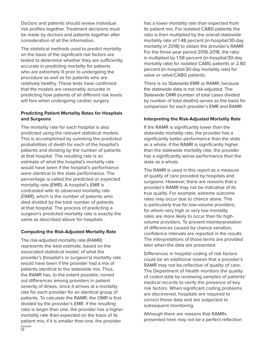Doctors and patients should review individual risk profiles together. Treatment decisions must be made by doctors and patients together after consideration of all the information.

The statistical methods used to predict mortality on the basis of the significant risk factors are tested to determine whether they are sufficiently accurate in predicting mortality for patients who are extremely ill prior to undergoing the procedure as well as for patients who are relatively healthy. These tests have confirmed that the models are reasonably accurate in predicting how patients of all different risk levels will fare when undergoing cardiac surgery.

#### **Predicting Patient Mortality Rates for Hospitals and Surgeons**

The mortality rate for each hospital is also predicted using the relevant statistical models. This is accomplished by summing the predicted probabilities of death for each of the hospital's patients and dividing by the number of patients at that hospital. The resulting rate is an estimate of what the hospital's mortality rate would have been if the hospital's performance were identical to the state performance. The percentage is called the predicted or expected mortality rate (EMR). A hospital's EMR is contrasted with its observed mortality rate (OMR), which is the number of patients who died divided by the total number of patients at that hospital. The process of predicting a surgeon's predicted mortality rate is exactly the same as described above for hospitals.

#### **Computing the Risk-Adjusted Mortality Rate**

The risk-adjusted mortality rate (RAMR) represents the best estimate, based on the associated statistical model, of what the provider's (hospital's or surgeon's) mortality rate would have been if the provider had a mix of patients identical to the statewide mix. Thus, the RAMR has, to the extent possible, ironed out differences among providers in patient severity of illness, since it arrives at a mortality rate for each provider for an identical group of patients. To calculate the RAMR, the OMR is first divided by the provider's EMR. If the resulting ratio is larger than one, the provider has a higher mortality rate than expected on the basis of its patient mix; if it is smaller than one, the provider

has a lower mortality rate than expected from its patient mix. For isolated CABG patients the ratio is then multiplied by the overall statewide mortality rate of 1.48 percent (in-hospital/30-day mortality in 2018) to obtain the provider's RAMR. For the three-year period 2016-2018, the ratio is multiplied by 1.58 percent (in-hospital/30-day mortality rate) for isolated CABG patients or 2.80 percent (in-hospital/30-day mortality rate) for valve or valve/CABG patients.

There is no Statewide EMR or RAMR, because the statewide data is not risk-adjusted. The Statewide OMR (number of total cases divided by number of total deaths) serves as the basis for comparison for each provider's EMR and RAMR.

#### **Interpreting the Risk-Adjusted Mortality Rate**

If the RAMR is significantly lower than the statewide mortality rate, the provider has a significantly better performance than the state as a whole; if the RAMR is significantly higher than the statewide mortality rate, the provider has a significantly worse performance than the state as a whole.

The RAMR is used in this report as a measure of quality of care provided by hospitals and surgeons. However, there are reasons that a provider's RAMR may not be indicative of its true quality. For example, extreme outcome rates may occur due to chance alone. This is particularly true for low-volume providers, for whom very high or very low mortality rates are more likely to occur than for highvolume providers. To prevent misinterpretation of differences caused by chance variation, confidence intervals are reported in the results. The interpretations of those terms are provided later when the data are presented.

Differences in hospital coding of risk factors could be an additional reason that a provider's RAMR may not be reflective of quality of care. The Department of Health monitors the quality of coded data by reviewing samples of patients' medical records to verify the presence of key risk factors. When significant coding problems are discovered, hospitals are required to correct these data and are subjected to subsequent monitoring.

Although there are reasons that RAMRs presented here may not be a perfect reflection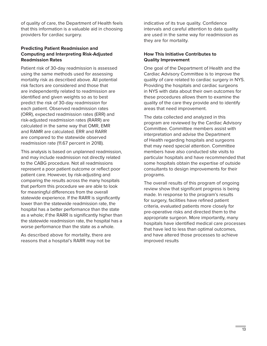of quality of care, the Department of Health feels that this information is a valuable aid in choosing providers for cardiac surgery.

#### **Predicting Patient Readmission and Computing and Interpreting Risk-Adjusted Readmission Rates**

Patient risk of 30-day readmission is assessed using the same methods used for assessing mortality risk as described above. All potential risk factors are considered and those that are independently related to readmission are identified and given weights so as to best predict the risk of 30-day readmission for each patient. Observed readmission rates (ORR), expected readmission rates (ERR) and risk-adjusted readmission rates (RARR) are calculated in the same way that OMR, EMR and RAMR are calculated. ERR and RARR are compared to the statewide observed readmission rate (11.67 percent in 2018).

This analysis is based on unplanned readmission, and may include readmission not directly related to the CABG procedure. Not all readmissions represent a poor patient outcome or reflect poor patient care. However, by risk-adjusting and comparing the results across the many hospitals that perform this procedure we are able to look for meaningful differences from the overall statewide experience. If the RARR is significantly lower than the statewide readmission rate, the hospital has a better performance than the state as a whole; if the RARR is significantly higher than the statewide readmission rate, the hospital has a worse performance than the state as a whole.

As described above for mortality, there are reasons that a hospital's RARR may not be

indicative of its true quality. Confidence intervals and careful attention to data quality are used in the same way for readmission as they are for mortality.

#### **How This Initiative Contributes to Quality Improvement**

One goal of the Department of Health and the Cardiac Advisory Committee is to improve the quality of care related to cardiac surgery in NYS. Providing the hospitals and cardiac surgeons in NYS with data about their own outcomes for these procedures allows them to examine the quality of the care they provide and to identify areas that need improvement.

The data collected and analyzed in this program are reviewed by the Cardiac Advisory Committee. Committee members assist with interpretation and advise the Department of Health regarding hospitals and surgeons that may need special attention. Committee members have also conducted site visits to particular hospitals and have recommended that some hospitals obtain the expertise of outside consultants to design improvements for their programs.

The overall results of this program of ongoing review show that significant progress is being made. In response to the program's results for surgery, facilities have refined patient criteria, evaluated patients more closely for pre-operative risks and directed them to the appropriate surgeon. More importantly, many hospitals have identified medical care processes that have led to less than optimal outcomes, and have altered those processes to achieve improved results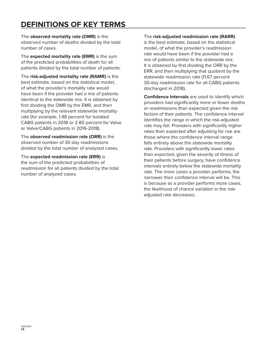# **DEFINITIONS OF KEY TERMS**

The **observed mortality rate (OMR)** is the observed number of deaths divided by the total number of cases.

The **expected mortality rate (EMR)** is the sum of the predicted probabilities of death for all patients divided by the total number of patients.

The **risk-adjusted mortality rate (RAMR)** is the best estimate, based on the statistical model, of what the provider's mortality rate would have been if the provider had a mix of patients identical to the statewide mix. It is obtained by first dividing the OMR by the EMR, and then multiplying by the relevant statewide mortality rate (for example, 1.48 percent for Isolated CABG patients in 2018 or 2.80 percent for Valve or Valve/CABG patients in 2016-2018).

The **observed readmission rate (ORR)** is the observed number of 30-day readmissions divided by the total number of analyzed cases.

The **expected readmission rate (ERR)** is the sum of the predicted probabilities of readmission for all patients divided by the total number of analyzed cases.

The **risk-adjusted readmission rate (RARR)**

is the best estimate, based on the statistical model, of what the provider's readmission rate would have been if the provider had a mix of patients similar to the statewide mix. It is obtained by first dividing the ORR by the ERR, and then multiplying that quotient by the statewide readmission rate (11.67 percent 30-day readmission rate for all CABG patients discharged in 2018).

**Confidence Intervals** are used to identify which providers had significantly more or fewer deaths or readmissions than expected given the risk factors of their patients. The confidence interval identifies the range in which the risk-adjusted rate may fall. Providers with significantly higher rates than expected after adjusting for risk are those where the confidence interval range falls entirely above the statewide mortality rate. Providers with significantly lower rates than expected, given the severity of illness of their patients before surgery, have confidence intervals entirely below the statewide mortality rate. The more cases a provider performs, the narrower their confidence interval will be. This is because as a provider performs more cases, the likelihood of chance variation in the riskadjusted rate decreases.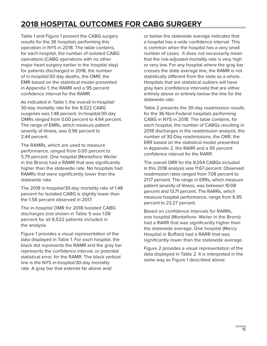# **2018 HOSPITAL OUTCOMES FOR CABG SURGERY**

Table 1 and Figure 1 present the CABG surgery results for the 36 hospitals performing this operation in NYS in 2018. The table contains, for each hospital, the number of isolated CABG operations (CABG operations with no other major heart surgery earlier in the hospital stay) for patients discharged in 2018, the number of in-hospital/30-day deaths, the OMR, the EMR based on the statistical model presented in Appendix 1, the RAMR and a 95 percent confidence interval for the RAMR.

As indicated in Table 1, the overall in-hospital/ 30-day mortality rate for the 8,522 CABG surgeries was 1.48 percent. In-hospital/30-day OMRs ranged from 0.00 percent to 4.64 percent. The range of EMRs, which measure patient severity of illness, was 0.96 percent to 2.44 percent.

The RAMRs, which are used to measure performance, ranged from 0.00 percent to 5.79 percent. One hospital (Montefiore Weiler in the Bronx) had a RAMR that was significantly higher than the statewide rate. No hospitals had RAMRs that were significantly lower than the statewide rate.

The 2018 in-hospital/30-day mortality rate of 1.48 percent for Isolated CABG is slightly lower than the 1.58 percent observed in 2017.

The in-hospital OMR for 2018 Isolated CABG discharges (not shown in Table 1) was 1.08 percent for all 8,522 patients included in the analysis.

Figure 1 provides a visual representation of the data displayed in Table 1. For each hospital, the black dot represents the RAMR and the gray bar represents the confidence interval, or potential statistical error, for the RAMR. The black vertical line is the NYS in-hospital/30-day mortality rate. A gray bar that extends far above and/

or below the statewide average indicates that a hospital has a wide confidence interval. This is common when the hospital has a very small number of cases. It does not necessarily mean that the risk-adjusted mortality rate is very high or very low. For any hospital where the gray bar crosses the state average line, the RAMR is not statistically different from the state as a whole. Hospitals that are statistical outliers will have gray bars (confidence intervals) that are either entirely above or entirely below the line for the statewide rate.

Table 2 presents the 30-day readmission results for the 36 Non-Federal hospitals performing CABG in NYS in 2018. The table contains, for each hospital, the number of CABGs resulting in 2018 discharges in the readmission analysis, the number of 30-Day readmissions, the ORR, the ERR based on the statistical model presented in Appendix 2, the RARR and a 95 percent confidence interval for the RARR.

The overall ORR for the 8,054 CABGs included in this 2018 analysis was 11.67 percent. Observed readmission rates ranged from 7.08 percent to 21.17 percent. The range in ERRs, which measure patient severity of illness, was between 10.08 percent and 13.71 percent. The RARRs, which measure hospital performance, range from 6.95 percent to 23.27 percent.

Based on confidence intervals for RARRs, one hospital (Montefiore- Weiler in the Bronx) had a RARR that was significantly higher than the statewide average. One hospital (Mercy Hospital in Buffalo) had a RARR that was significantly lower than the statewide average.

Figure 2 provides a visual representation of the data displayed in Table 2. It is interpreted in the same way as Figure 1 described above.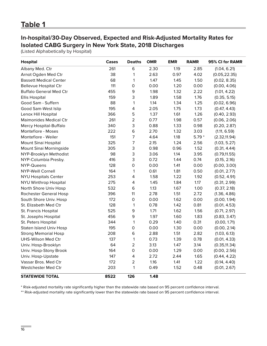## **In-hospital/30-Day Observed, Expected and Risk-Adjusted Mortality Rates for Isolated CABG Surgery in New York State, 2018 Discharges**

(Listed Alphabetically by Hospital)

| <b>Hospital</b>                | <b>Cases</b> | <b>Deaths</b>       | <b>OMR</b> | <b>EMR</b> | <b>RAMR</b> | 95% CI for RAMR |
|--------------------------------|--------------|---------------------|------------|------------|-------------|-----------------|
| Albany Med. Ctr                | 261          | 6                   | 2.30       | 1.19       | 2.85        | (1.04, 6.21)    |
| Arnot Ogden Med Ctr            | 38           | 1                   | 2.63       | 0.97       | 4.02        | (0.05, 22.35)   |
| <b>Bassett Medical Center</b>  | 68           | 1                   | 1.47       | 1.45       | 1.50        | (0.02, 8.35)    |
| <b>Bellevue Hospital Ctr</b>   | 111          | $\mathsf O$         | 0.00       | 1.20       | 0.00        | (0.00, 4.06)    |
| <b>Buffalo General Med Ctr</b> | 455          | 9                   | 1.98       | 1.32       | 2.22        | (1.01, 4.22)    |
| <b>Ellis Hospital</b>          | 159          | 3                   | 1.89       | 1.58       | 1.76        | (0.35, 5.15)    |
| Good Sam - Suffern             | 88           | $\mathbf{1}$        | 1.14       | 1.34       | 1.25        | (0.02, 6.96)    |
| Good Sam-West Islip            | 195          | 4                   | 2.05       | 1.75       | 1.73        | (0.47, 4.43)    |
| Lenox Hill Hospital            | 366          | 5                   | 1.37       | 1.61       | 1.26        | (0.40, 2.93)    |
| <b>Maimonides Medical Ctr</b>  | 261          | $\overline{2}$      | 0.77       | 1.98       | 0.57        | (0.06, 2.06)    |
| Mercy Hospital-Buffalo         | 340          | 3                   | 0.88       | 1.33       | 0.98        | (0.20, 2.87)    |
| Montefiore - Moses             | 222          | $\mathsf 6$         | 2.70       | 1.32       | 3.03        | (1.11, 6.59)    |
| Montefiore - Weiler            | 151          | $\overline{7}$      | 4.64       | 1.18       | $5.79*$     | (2.32, 11.94)   |
| Mount Sinai Hospital           | 325          | $\overline{7}$      | 2.15       | 1.24       | 2.56        | (1.03, 5.27)    |
| Mount Sinai Morningside        | 305          | 3                   | 0.98       | 0.96       | 1.52        | (0.31, 4.44)    |
| NYP-Brooklyn Methodist         | 98           | 3                   | 3.06       | 1.14       | 3.95        | (0.79, 11.55)   |
| NYP-Columbia Presby.           | 416          | 3                   | 0.72       | 1.44       | 0.74        | (0.15, 2.16)    |
| NYP-Queens                     | 128          | $\mathsf{O}\xspace$ | 0.00       | 1.41       | 0.00        | (0.00, 3.00)    |
| <b>NYP-Weill Cornell</b>       | 164          | $\mathbf{1}$        | 0.61       | 1.81       | 0.50        | (0.01, 2.77)    |
| <b>NYU Hospitals Center</b>    | 253          | 4                   | 1.58       | 1.22       | 1.92        | (0.52, 4.91)    |
| <b>NYU Winthrop Hospital</b>   | 275          | 4                   | 1.45       | 1.84       | 1.17        | (0.31, 2.99)    |
| North Shore Univ Hosp          | 532          | 6                   | 1.13       | 1.67       | 1.00        | (0.37, 2.18)    |
| Rochester General Hosp         | 396          | 11                  | 2.78       | 1.51       | 2.72        | (1.36, 4.86)    |
| South Shore Univ. Hosp         | 172          | $\mathsf{O}\xspace$ | 0.00       | 1.62       | 0.00        | (0.00, 1.94)    |
| St. Elizabeth Med Ctr          | 128          | $\mathbf{1}$        | 0.78       | 1.42       | 0.81        | (0.01, 4.53)    |
| St. Francis Hospital           | 525          | 9                   | 1.71       | 1.62       | 1.56        | (0.71, 2.97)    |
| St. Josephs Hospital           | 456          | 9                   | 1.97       | 1.60       | 1.83        | (0.83, 3.47)    |
| St. Peters Hospital            | 344          | $\mathbf{1}$        | 0.29       | 1.40       | 0.31        | (0.00, 1.71)    |
| <b>Staten Island Univ Hosp</b> | 195          | $\mathsf O$         | 0.00       | 1.30       | 0.00        | (0.00, 2.14)    |
| <b>Strong Memorial Hosp</b>    | 208          | $\,$ 6              | 2.88       | 1.51       | 2.82        | (1.03, 6.13)    |
| UHS-Wilson Med Ctr             | 137          | $\mathbf{1}$        | 0.73       | 1.39       | 0.78        | (0.01, 4.33)    |
| Univ. Hosp-Brooklyn            | 64           | $\overline{2}$      | 3.13       | 1.47       | 3.14        | (0.35, 11.34)   |
| Univ. Hosp-Stony Brook         | 164          | $\mathsf{O}\xspace$ | 0.00       | 1.29       | 0.00        | (0.00, 2.56)    |
| Univ. Hosp-Upstate             | 147          | 4                   | 2.72       | 2.44       | 1.65        | (0.44, 4.22)    |
| Vassar Bros. Med Ctr           | 172          | $\overline{2}$      | 1.16       | 1.41       | 1.22        | (0.14, 4.40)    |
| Westchester Med Ctr            | 203          | $\mathbf{1}$        | 0.49       | 1.52       | 0.48        | (0.01, 2.67)    |
| <b>STATEWIDE TOTAL</b>         | 8522         | 126                 | 1.48       |            |             |                 |

\* Risk-adjusted mortality rate significantly higher than the statewide rate based on 95 percent confidence interval.

\*\* Risk-adjusted mortality rate significantly lower than the statewide rate based on 95 percent confidence interval.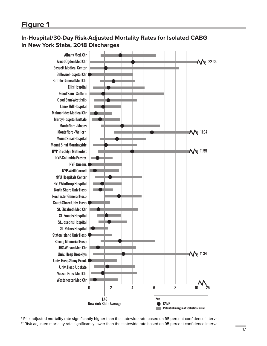## **In-Hospital/30-Day Risk-Adjusted Mortality Rates for Isolated CABG in New York State, 2018 Discharges**



\* Risk-adjusted mortality rate significantly higher than the statewide rate based on 95 percent confidence interval. \*\* Risk-adjusted mortality rate significantly lower than the statewide rate based on 95 percent confidence interval.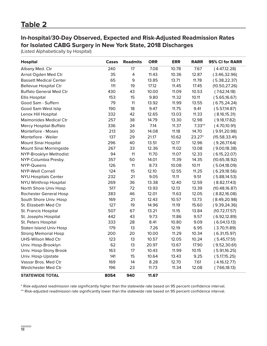## **In-hospital/30-Day Observed, Expected and Risk-Adjusted Readmission Rates for Isolated CABG Surgery in New York State, 2018 Discharges**

(Listed Alphabetically by Hospital)

| <b>Hospital</b>                | Cases | <b>Readmits</b> | <b>ORR</b> | <b>ERR</b> | <b>RARR</b> | 95% CI for RARR |
|--------------------------------|-------|-----------------|------------|------------|-------------|-----------------|
| Albany Med. Ctr                | 240   | 17              | 7.08       | 10.78      | 7.67        | (4.47, 12.28)   |
| Arnot Ogden Med Ctr            | 35    | 4               | 11.43      | 10.36      | 12.87       | (3.46, 32.96)   |
| <b>Bassett Medical Center</b>  | 65    | 9               | 13.85      | 13.71      | 11.78       | (5.38, 22.37)   |
| <b>Bellevue Hospital Ctr</b>   | 111   | 19              | 17.12      | 11.45      | 17.45       | (10.50, 27.26)  |
| <b>Buffalo General Med Ctr</b> | 430   | 43              | 10.00      | 11.09      | 10.53       | (7.62, 14.18)   |
| <b>Ellis Hospital</b>          | 153   | 15              | 9.80       | 11.32      | 10.11       | (5.65, 16.67)   |
| Good Sam - Suffern             | 79    | 11              | 13.92      | 11.99      | 13.55       | (6.75, 24.24)   |
| Good Sam-West Islip            | 190   | 18              | 9.47       | 11.75      | 9.41        | (5.57, 14.87)   |
| Lenox Hill Hospital            | 332   | 42              | 12.65      | 13.03      | 11.33       | (8.16, 15.31)   |
| <b>Maimonides Medical Ctr</b>  | 257   | 38              | 14.79      | 13.30      | 12.98       | (9.18, 17.82)   |
| Mercy Hospital-Buffalo         | 336   | 24              | 7.14       | 11.37      | $7.33**$    | (4.70, 10.91)   |
| Montefiore - Moses             | 213   | 30              | 14.08      | 11.18      | 14.70       | (9.91, 20.98)   |
| Montefiore - Weiler            | 137   | 29              | 21.17      | 10.62      | 23.27*      | (15.58, 33.41)  |
| Mount Sinai Hospital           | 296   | 40              | 13.51      | 12.17      | 12.96       | (9.26, 17.64)   |
| Mount Sinai Morningside        | 267   | 33              | 12.36      | 11.02      | 13.08       | (9.00, 18.38)   |
| NYP-Brooklyn Methodist         | 94    | 11              | 11.70      | 11.07      | 12.33       | (6.15, 22.07)   |
| NYP-Columbia Presby.           | 357   | 50              | 14.01      | 11.39      | 14.35       | (10.65, 18.92)  |
| NYP-Queens                     | 126   | 11              | 8.73       | 10.08      | 10.11       | (5.04, 18.09)   |
| <b>NYP-Weill Cornell</b>       | 124   | 15              | 12.10      | 12.55      | 11.25       | (6.29, 18.56)   |
| <b>NYU Hospitals Center</b>    | 232   | 21              | 9.05       | 11.11      | 9.51        | (5.88, 14.53)   |
| NYU Winthrop Hospital          | 269   | 36              | 13.38      | 12.40      | 12.59       | (8.82, 17.43)   |
| North Shore Univ Hosp          | 517   | 72              | 13.93      | 12.13      | 13.39       | (10.48, 16.87)  |
| Rochester General Hosp         | 383   | 46              | 12.01      | 11.63      | 12.05       | (8.82, 16.08)   |
| South Shore Univ. Hosp         | 169   | 21              | 12.43      | 10.57      | 13.73       | (8.49, 20.98)   |
| St. Elizabeth Med Ctr          | 127   | 19              | 14.96      | 11.19      | 15.60       | (9.39, 24.36)   |
| St. Francis Hospital           | 507   | 67              | 13.21      | 11.15      | 13.84       | (10.72, 17.57)  |
| St. Josephs Hospital           | 442   | 43              | 9.73       | 11.86      | 9.57        | (6.92, 12.89)   |
| St. Peters Hospital            | 333   | 28              | 8.41       | 10.80      | 9.09        | (6.04, 13.13)   |
| <b>Staten Island Univ Hosp</b> | 179   | 13              | 7.26       | 12.19      | 6.95        | (3.70, 11.89)   |
| <b>Strong Memorial Hosp</b>    | 200   | 20              | 10.00      | 11.29      | 10.34       | (6.31,15.97)    |
| UHS-Wilson Med Ctr             | 123   | 13              | 10.57      | 12.05      | 10.24       | (5.45, 17.51)   |
| Univ. Hosp-Brooklyn            | 62    | 13              | 20.97      | 13.67      | 17.90       | (9.52, 30.61)   |
| Univ. Hosp-Stony Brook         | 163   | 17              | 10.43      | 11.99      | 10.15       | (5.91, 16.25)   |
| Univ. Hosp-Upstate             | 141   | 15              | 10.64      | 13.43      | 9.25        | (5.17, 15.25)   |
| Vassar Bros. Med Ctr           | 169   | 14              | 8.28       | 12.70      | 7.61        | (4.16, 12.77)   |
| Westchester Med Ctr            | 196   | 23              | 11.73      | 11.34      | 12.08       | (7.66, 18.13)   |
| <b>STATEWIDE TOTAL</b>         | 8054  | 940             | 11.67      |            |             |                 |

\* Risk-adjusted readmission rate significantly higher than the statewide rate based on 95 percent confidence interval.

\*\* Risk-adjusted readmission rate significantly lower than the statewide rate based on 95 percent confidence interval.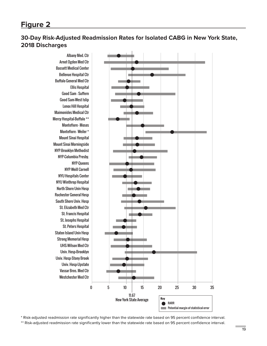## **30-Day Risk-Adjusted Readmission Rates for Isolated CABG in New York State, 2018 Discharges**

Albany Med. Ctr Arnot Ogden Med Ctr Bassett Medical Center Bellevue Hospital Ctr Buffalo General Med Ctr Ellis Hospital Good Sam - Suffern Good Sam-West Islip Lenox Hill Hospital Maimonides Medical Ctr Mercy Hospital-Buffalo \*\* Montefiore - Moses Montefiore - Weiler \* Mount Sinai Hospital Mount Sinai Morningside NYP-Brooklyn Methodist NYP-Columbia Presby. NYP-Queens NYP-Weill Cornell NYU Hospitals Center NYU Winthrop Hospital North Shore Univ Hosp Rochester General Hosp South Shore Univ. Hosp St. Elizabeth Med Ctr St. Francis Hospital St. Josephs Hospital St. Peters Hospital Staten Island Univ Hosp Strong Memorial Hosp UHS-Wilson Med Ctr Univ. Hosp-Brooklyn Univ. Hosp-Stony Brook Univ. Hosp-Upstate Vassar Bros. Med Ctr Westchester Med Ctr



\* Risk-adjusted readmission rate significantly higher than the statewide rate based on 95 percent confidence interval. \*\* Risk-adjusted readmission rate significantly lower than the statewide rate based on 95 percent confidence interval.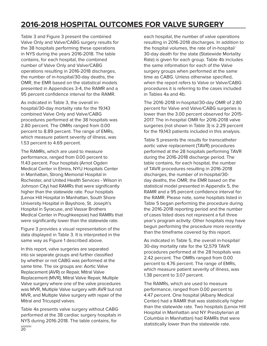# **2016-2018 HOSPITAL OUTCOMES FOR VALVE SURGERY**

Table 3 and Figure 3 present the combined Valve Only and Valve/CABG surgery results for the 38 hospitals performing these operations in NYS during the years 2016-2018. The table contains, for each hospital, the combined number of Valve Only and Valve/CABG operations resulting in 2016-2018 discharges, the number of in-hospital/30-day deaths, the OMR, the EMR based on the statistical models presented in Appendices 3-4, the RAMR and a 95 percent confidence interval for the RAMR.

As indicated in Table 3, the overall inhospital/30-day mortality rate for the 19,143 combined Valve Only and Valve/CABG procedures performed at the 38 hospitals was 2.80 percent. The OMRs ranged from 0.00 percent to 8.89 percent. The range of EMRs, which measure patient severity of illness, was 1.53 percent to 4.69 percent.

The RAMRs, which are used to measure performance, ranged from 0.00 percent to 11.43 percent. Four hospitals (Arnot Ogden Medical Center in Elmira, NYU Hospitals Center in Manhattan, Strong Memorial Hospital in Rochester, and United Health Services - Wilson in Johnson City) had RAMRs that were significantly higher than the statewide rate. Four hospitals (Lenox Hill Hospital in Manhattan, South Shore University Hospital in Bayshore, St. Joseph's Hospital in Syracuse, and Vassar Brothers Medical Center in Poughkeepsie) had RAMRs that were significantly lower than the statewide rate.

Figure 3 provides a visual representation of the data displayed in Table 3. It is interpreted in the same way as Figure 1 described above.

In this report, valve surgeries are separated into six separate groups and further classified by whether or not CABG was performed at the same time. The six groups are: Aortic Valve Replacement (AVR) or Repair, Mitral Valve Replacement (MVR), Mitral Valve Repair, Multiple Valve surgery where one of the valve procedures was MVR, Multiple Valve surgery with AVR but not MVR, and Multiple Valve surgery with repair of the Mitral and Tricuspid valves.

Table 4a presents valve surgery without CABG performed at the 38 cardiac surgery hospitals in NYS during 2016-2018. The table contains, for

each hospital, the number of valve operations resulting in 2016-2018 discharges. In addition to the hospital volumes, the rate of in-hospital/ 30-day death for the state (Statewide Mortality Rate) is given for each group. Table 4b includes the same information for each of the Valve surgery groups when performed at the same time as CABG. Unless otherwise specified, when the report refers to Valve or Valve/CABG procedures it is referring to the cases included in Tables 4a and 4b.

The 2016-2018 in-hospital/30-day OMR of 2.80 percent for Valve and Valve/CABG surgeries is lower than the 3.00 percent observed for 2015- 2017. The in-hospital OMR for 2016-2018 valve surgeries (not shown in Table 3) is 2.29 percent for the 19,143 patients included in this analysis.

Table 5 presents the results for transcatheter aortic valve replacement (TAVR) procedures performed at the 28 hospitals performing TAVR during the 2016-2018 discharge period. The table contains, for each hospital, the number of TAVR procedures resulting in 2016-2018 discharges, the number of in-hospital/30 day deaths, the OMR, the EMR based on the statistical model presented in Appendix 5, the RAMR and a 95 percent confidence interval for the RAMR. Please note, some hospitals listed in Table 5 began performing the procedure during the 2016-2018 reporting period and the number of cases listed does not represent a full three year's program activity. Other hospitals may have begun performing the procedure more recently than the timeframe covered by this report.

As indicated in Table 5, the overall in-hospital/ 30-day mortality rate for the 12,579 TAVR procedures performed at the 28 hospitals was 2.42 percent. The OMRs ranged from 0.00 percent to 4.76 percent. The range of EMRs, which measure patient severity of illness, was 1.38 percent to 3.07 percent.

The RAMRs, which are used to measure performance, ranged from 0.00 percent to 4.47 percent. One hospital (Albany Medical Center) had a RAMR that was statistically higher than the statewide rate. Two hospitals (Lenox Hill Hospital in Manhattan and NY Presbyterian at Columbia in Manhattan) had RAMRs that were statistically lower than the statewide rate.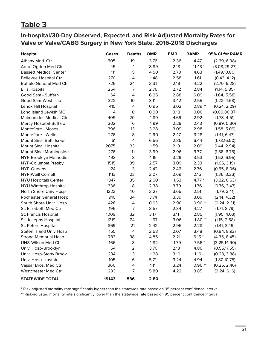## **Table 3**

**In-hospital/30-Day Observed, Expected, and Risk-Adjusted Mortality Rates for Valve or Valve/CABG Surgery in New York State, 2016-2018 Discharges** 

| <b>Hospital</b>                | Cases | <b>Deaths</b>       | <b>OMR</b> | <b>EMR</b> | <b>RAMR</b> | 95% CI for RAMR |
|--------------------------------|-------|---------------------|------------|------------|-------------|-----------------|
| Albany Med. Ctr                | 505   | 19                  | 3.76       | 2.36       | 4.47        | (2.69, 6.98)    |
| Arnot Ogden Med Ctr            | 45    | 4                   | 8.89       | 2.18       | $11.43*$    | (3.08, 29.27)   |
| <b>Bassett Medical Center</b>  | 111   | 5                   | 4.50       | 2.73       | 4.63        | (1.49, 10.80)   |
| <b>Bellevue Hospital Ctr</b>   | 270   | 4                   | 1.48       | 2.58       | 1.61        | (0.43, 4.12)    |
| <b>Buffalo General Med Ctr</b> | 726   | 24                  | 3.31       | 2.19       | 4.22        | (2.70, 6.28)    |
| <b>Ellis Hospital</b>          | 254   | 7                   | 2.76       | 2.72       | 2.84        | (1.14, 5.85)    |
| Good Sam - Suffern             | 64    | 4                   | 6.25       | 2.88       | 6.09        | (1.64, 15.58)   |
| Good Sam-West Islip            | 322   | 10                  | 3.11       | 3.42       | 2.55        | (1.22, 4.68)    |
| Lenox Hill Hospital            | 415   | $\overline{4}$      | 0.96       | 3.02       | $0.89**$    | (0.24, 2.29)    |
| Long Island Jewish MC          | 4     | $\mathsf{O}\xspace$ | 0.00       | 3.18       | 0.00        | (0.00, 80.87)   |
| <b>Maimonides Medical Ctr</b>  | 409   | 20                  | 4.89       | 4.69       | 2.92        | (1.78, 4.51)    |
| Mercy Hospital-Buffalo         | 302   | $\,6$               | 1.99       | 2.29       | 2.43        | (0.89, 5.30)    |
| Montefiore - Moses             | 396   | 13                  | 3.28       | 3.09       | 2.98        | (1.58, 5.09)    |
| Montefiore - Weiler            | 276   | 8                   | 2.90       | 2.47       | 3.28        | (1.41, 6.47)    |
| Mount Sinai Beth Israel        | 61    | 4                   | 6.56       | 2.85       | 6.44        | (1.73, 16.50)   |
| Mount Sinai Hospital           | 2075  | 33                  | 1.59       | 2.13       | 2.09        | (1.44, 2.94)    |
| Mount Sinai Morningside        | 276   | 11                  | 3.99       | 2.96       | 3.77        | (1.88, 6.75)    |
| NYP-Brooklyn Methodist         | 193   | 8                   | 4.15       | 3.29       | 3.53        | (1.52, 6.95)    |
| NYP-Columbia Presby.           | 1515  | 39                  | 2.57       | 3.09       | 2.33        | (1.66, 3.19)    |
| NYP-Queens                     | 124   | 3                   | 2.42       | 2.46       | 2.76        | (0.55, 8.06)    |
| <b>NYP-Weill Cornell</b>       | 1113  | 23                  | 2.07       | 2.69       | 2.15        | (1.36, 3.23)    |
| <b>NYU Hospitals Center</b>    | 1347  | 35                  | 2.60       | 1.53       | $4.77*$     | (3.32, 6.63)    |
| NYU Winthrop Hospital          | 336   | 8                   | 2.38       | 3.79       | 1.76        | (0.76, 3.47)    |
| North Shore Univ Hosp          | 1223  | 40                  | 3.27       | 3.65       | 2.51        | (1.79, 3.41)    |
| Rochester General Hosp         | 910   | 34                  | 3.74       | 3.39       | 3.09        | (2.14, 4.32)    |
| South Shore Univ. Hosp         | 428   | $\overline{4}$      | 0.93       | 2.90       | $0.90**$    | (0.24, 2.31)    |
| St. Elizabeth Med Ctr          | 196   | $\overline{7}$      | 3.57       | 2.34       | 4.27        | (1.71, 8.79)    |
| St. Francis Hospital           | 1009  | 32                  | 3.17       | 3.11       | 2.85        | (1.95, 4.03)    |
| St. Josephs Hospital           | 1219  | 24                  | 1.97       | 3.06       | $1.80**$    | (1.15, 2.68)    |
| St. Peters Hospital            | 869   | 21                  | 2.42       | 2.96       | 2.28        | (1.41, 3.49)    |
| <b>Staten Island Univ Hosp</b> | 155   | $\overline{4}$      | 2.58       | 2.07       | 3.48        | (0.94, 8.92)    |
| <b>Strong Memorial Hosp</b>    | 783   | 38                  | 4.85       | 2.21       | $6.15*$     | (4.35, 8.45)    |
| UHS-Wilson Med Ctr             | 166   | 8                   | 4.82       | 1.79       | $7.56*$     | (3.25, 14.90)   |
| Univ. Hosp-Brooklyn            | 54    | $\overline{2}$      | 3.70       | 2.13       | 4.86        | (0.55, 17.55)   |
| Univ. Hosp-Stony Brook         | 234   | 3                   | 1.28       | 3.10       | 1.16        | (0.23, 3.38)    |
| Univ. Hosp-Upstate             | 105   | 6                   | 5.71       | 3.24       | 4.94        | (1.80, 10.75)   |
| Vassar Bros. Med Ctr           | 360   | 4                   | 1.11       | 3.24       | $0.96**$    | (0.26, 2.46)    |
| Westchester Med Ctr            | 293   | 17                  | 5.80       | 4.22       | 3.85        | (2.24, 6.16)    |
| <b>STATEWIDE TOTAL</b>         | 19143 | 536                 | 2.80       |            |             |                 |

\* Risk-adjusted mortality rate significantly higher than the statewide rate based on 95 percent confidence interval.

\*\* Risk-adjusted mortality rate significantly lower than the statewide rate based on 95 percent confidence interval.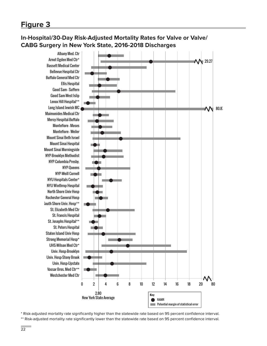## **In-Hospital/30-Day Risk-Adjusted Mortality Rates for Valve or Valve/ CABG Surgery in New York State, 2016-2018 Discharges**



\* Risk-adjusted mortality rate significantly higher than the statewide rate based on 95 percent confidence interval.

\*\* Risk-adjusted mortality rate significantly lower than the statewide rate based on 95 percent confidence interval.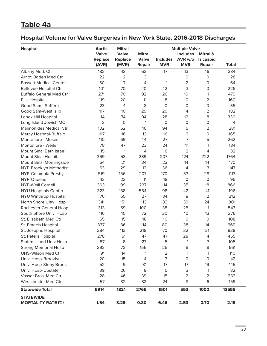# **Table 4a**

# **Hospital Volume for Valve Surgeries in New York State, 2016-2018 Discharges**

| <b>Hospital</b>                               | <b>Aortic</b>                           | <b>Mitral</b>                           |                                                |                               |                                                                   |                                                          |              |
|-----------------------------------------------|-----------------------------------------|-----------------------------------------|------------------------------------------------|-------------------------------|-------------------------------------------------------------------|----------------------------------------------------------|--------------|
|                                               | <b>Valve</b><br><b>Replace</b><br>(AVR) | <b>Valve</b><br><b>Replace</b><br>(MVR) | <b>Mitral</b><br><b>Valve</b><br><b>Repair</b> | <b>Includes</b><br><b>MVR</b> | <b>Multiple Valve</b><br><b>Includes</b><br>AVR w/o<br><b>MVR</b> | <b>Mitral &amp;</b><br><b>Tricuspid</b><br><b>Repair</b> | <b>Total</b> |
| Albany Med. Ctr                               | 182                                     | 43                                      | 63                                             | 17                            | 13                                                                | 16                                                       | 334          |
| Arnot Ogden Med Ctr                           | 22                                      | 2                                       | 3                                              | 1                             | $\mathbf 0$                                                       | $\mathbf 0$                                              | 28           |
| <b>Bassett Medical Center</b>                 | 50                                      | 7                                       | $\overline{4}$                                 | 1                             | $\overline{2}$                                                    | 0                                                        | 64           |
| <b>Bellevue Hospital Ctr</b>                  | 101                                     | 70                                      | 10                                             | 42                            | 3                                                                 | $\mathbf 0$                                              | 226          |
| <b>Buffalo General Med Ctr</b>                | 271                                     | 70                                      | 92                                             | 26                            | 19                                                                | 1                                                        | 479          |
| <b>Ellis Hospital</b>                         | 119                                     | 20                                      | 11                                             | 8                             | $\mathbf 0$                                                       | $\overline{2}$                                           | 160          |
| Good Sam - Suffern                            | 23                                      | 4                                       | 8                                              | $\mathbf 0$                   | $\mathbf 0$                                                       | $\mathsf O$                                              | 35           |
| Good Sam-West Islip                           | 117                                     | 10                                      | 29                                             | 20                            | 4                                                                 | 2                                                        | 182          |
| Lenox Hill Hospital                           | 114                                     | 74                                      | 94                                             | 28                            | 12                                                                | 8                                                        | 330          |
| Long Island Jewish MC                         | 3                                       | $\mathbf 0$                             | 1                                              | $\mathbf 0$                   | $\Omega$                                                          | $\mathsf O$                                              | 4            |
| <b>Maimonides Medical Ctr</b>                 | 102                                     | 62                                      | 16                                             | 94                            | 5                                                                 | 2                                                        | 281          |
| Mercy Hospital-Buffalo                        | 117                                     | 16                                      | 13                                             | 16                            | 3                                                                 | 0                                                        | 165          |
| Montefiore - Moses                            | 110                                     | 69                                      | 44                                             | 27                            | 7                                                                 | 5                                                        | 262          |
| Montefiore - Weiler                           | 78                                      | 47                                      | 23                                             | 24                            | 11                                                                | 1                                                        | 184          |
| Mount Sinai Beth Israel                       | 15                                      | 1                                       | $\overline{4}$                                 | 6                             | 2                                                                 | 4                                                        | 32           |
| Mount Sinai Hospital                          | 369                                     | 53                                      | 289                                            | 207                           | 124                                                               | 722                                                      | 1764         |
| Mount Sinai Morningside                       | 64                                      | 21                                      | 34                                             | 23                            | 14                                                                | 14                                                       | 170          |
| NYP-Brooklyn Methodist                        | 63                                      | 29                                      | 12                                             | 36                            | 4                                                                 | 3                                                        | 147          |
| NYP-Columbia Presby.                          | 519                                     | 156                                     | 207                                            | 170                           | 33                                                                | 28                                                       | 1113         |
| NYP-Queens                                    | 43                                      | 23                                      | 11                                             | 18                            | $\mathbf 0$                                                       | $\mathbf 0$                                              | 95           |
| <b>NYP-Weill Cornell</b>                      | 363                                     | 99                                      | 237                                            | 114                           | 35                                                                | 18                                                       | 866          |
| <b>NYU Hospitals Center</b>                   | 323                                     | 138                                     | 554                                            | 98                            | 42                                                                | 41                                                       | 1196         |
| <b>NYU Winthrop Hospital</b>                  | 76                                      | 65                                      | 27                                             | 34                            | 8                                                                 | 2                                                        | 212          |
| North Shore Univ Hosp                         | 341                                     | 151                                     | 113                                            | 133                           | 39                                                                | 24                                                       | 801          |
| Rochester General Hosp                        | 313                                     | 59                                      | 100                                            | 35                            | 25                                                                | 11                                                       | 543          |
| South Shore Univ. Hosp                        | 116                                     | 45                                      | 72                                             | 20                            | 10                                                                | 13                                                       | 276          |
| St. Elizabeth Med Ctr                         | 65                                      | 15                                      | 18                                             | 10                            | $\circ$                                                           | $\mathsf{O}\xspace$                                      | 108          |
| St. Francis Hospital                          | 337                                     | 86                                      | 114                                            | 80                            | 38                                                                | 14                                                       | 669          |
| St. Josephs Hospital                          | 384                                     | 113                                     | 218                                            | 70                            | 32                                                                | 21                                                       | 838          |
| St. Peters Hospital                           | 278                                     | 51                                      | 47                                             | 47                            | 28                                                                | 4                                                        | 455          |
| <b>Staten Island Univ Hosp</b>                | 57                                      | 8                                       | 27                                             | 5                             | 1                                                                 | $\overline{7}$                                           | 105          |
| <b>Strong Memorial Hosp</b>                   | 392                                     | 72                                      | 156                                            | 25                            | 8                                                                 | 8                                                        | 661          |
| <b>UHS-Wilson Med Ctr</b>                     | 91                                      | 14                                      | 1                                              | $\mathbf 2$                   | 1                                                                 | 1                                                        | 110          |
| Univ. Hosp-Brooklyn                           | 20                                      | 15                                      | 4                                              | 3                             | $\circ$                                                           | $\circ$                                                  | 42           |
| Univ. Hosp-Stony Brook                        | 52                                      | 9                                       | 31                                             | 17                            | 17                                                                | 19                                                       | 145          |
| Univ. Hosp-Upstate                            | 39                                      | 26                                      | 8                                              | 5                             | 3                                                                 | 1                                                        | 82           |
| Vassar Bros. Med Ctr                          | 128                                     | 46                                      | 39                                             | 15                            | $\overline{2}$                                                    | $\overline{2}$                                           | 232          |
| Westchester Med Ctr                           | 57                                      | 32                                      | 32                                             | 24                            | 8                                                                 | $\,$ 6                                                   | 159          |
| <b>Statewide Total</b>                        | 5914                                    | 1821                                    | 2766                                           | 1501                          | 553                                                               | 1000                                                     | 13555        |
| <b>STATEWIDE</b><br><b>MORTALITY RATE (%)</b> | 1.54                                    | 3.29                                    | 0.80                                           | 6.46                          | 2.53                                                              | 0.70                                                     | 2.15         |

L.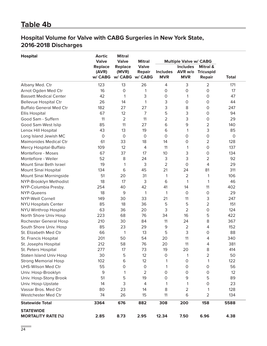## **Table 4b**

## **Hospital Volume for Valve with CABG Surgeries in New York State, 2016-2018 Discharges**

| <b>Hospital</b>                | <b>Aortic</b>    | <b>Mitral</b>  |                                  |                               |                               |                                   |              |  |
|--------------------------------|------------------|----------------|----------------------------------|-------------------------------|-------------------------------|-----------------------------------|--------------|--|
|                                | <b>Valve</b>     | <b>Valve</b>   | <b>Mitral</b>                    |                               | <b>Multiple Valve w/ CABG</b> |                                   |              |  |
|                                | <b>Replace</b>   | <b>Replace</b> | <b>Valve</b>                     |                               | <b>Includes</b>               | <b>Mitral &amp;</b>               |              |  |
|                                | (AVR)<br>w/ CABG | (MVR)          | <b>Repair</b><br>w/ CABG w/ CABG | <b>Includes</b><br><b>MVR</b> | AVR w/o<br><b>MVR</b>         | <b>Tricuspid</b><br><b>Repair</b> | <b>Total</b> |  |
| Albany Med. Ctr                | 123              | 13             | 26                               | 4                             | 3                             | $\overline{2}$                    | 171          |  |
| Arnot Ogden Med Ctr            | 16               | $\mathbf 0$    | 1                                | 0                             | $\mathbf 0$                   | 0                                 | 17           |  |
| <b>Bassett Medical Center</b>  | 42               | 1              | 3                                | 0                             | 1                             | 0                                 | 47           |  |
| <b>Bellevue Hospital Ctr</b>   | 26               | 14             | 1                                | 3                             | 0                             | $\mathsf O$                       | 44           |  |
| <b>Buffalo General Med Ctr</b> | 182              | 27             | 27                               | 3                             | 8                             | $\mathsf O$                       | 247          |  |
| <b>Ellis Hospital</b>          | 67               | 12             | 7                                | 5                             | 3                             | 0                                 | 94           |  |
| Good Sam - Suffern             | 11               | $\overline{2}$ | 11                               | $\overline{2}$                | 3                             | 0                                 | 29           |  |
| Good Sam-West Islip            | 85               | 11             | 27                               | 6                             | $\mathsf 9$                   | $\overline{2}$                    | 140          |  |
| Lenox Hill Hospital            | 43               | 13             | 19                               | 6                             | 1                             | 3                                 | 85           |  |
| Long Island Jewish MC          | $\mathsf{O}$     | $\circ$        | $\mathbf 0$                      | $\mathsf O$                   | $\mathbf 0$                   | 0                                 | $\mathsf O$  |  |
| <b>Maimonides Medical Ctr</b>  | 61               | 33             | 18                               | 14                            | $\mathbf 0$                   | 2                                 | 128          |  |
| Mercy Hospital-Buffalo         | 109              | 12             | 4                                | 11                            | 1                             | 0                                 | 137          |  |
| Montefiore - Moses             | 67               | 37             | 17                               | 10                            | 3                             | $\mathsf O$                       | 134          |  |
| Montefiore - Weiler            | 52               | 8              | 24                               | 3                             | 3                             | $\overline{2}$                    | 92           |  |
| Mount Sinai Beth Israel        | 19               | 1              | 3                                | $\overline{2}$                | $\mathbf 0$                   | 4                                 | 29           |  |
| Mount Sinai Hospital           | 134              | 6              | 45                               | 21                            | 24                            | 81                                | 311          |  |
| Mount Sinai Morningside        | 51               | 20             | 31                               | 1                             | 2                             | 1                                 | 106          |  |
| NYP-Brooklyn Methodist         | 18               | 17             | 3                                | 6                             | 1                             | 1                                 | 46           |  |
| NYP-Columbia Presby.           | 254              | 40             | 42                               | 41                            | 14                            | 11                                | 402          |  |
| NYP-Queens                     | 18               | 9              | 1                                | 1                             | $\circ$                       | 0                                 | 29           |  |
| <b>NYP-Weill Cornell</b>       | 149              | 30             | 33                               | 21                            | 11                            | 3                                 | 247          |  |
| <b>NYU Hospitals Center</b>    | 85               | 18             | 36                               | 5                             | 5                             | $\overline{2}$                    | 151          |  |
| <b>NYU Winthrop Hospital</b>   | 63               | 36             | 20                               | 3                             | $\overline{2}$                | 0                                 | 124          |  |
| North Shore Univ Hosp          | 223              | 68             | 76                               | 34                            | 16                            | 5                                 | 422          |  |
| Rochester General Hosp         | 210              | 30             | 84                               | 11                            | 24                            | 8                                 | 367          |  |
| South Shore Univ. Hosp         | 85               | 23             | 29                               | 9                             | $\overline{2}$                | $\overline{4}$                    | 152          |  |
| St. Elizabeth Med Ctr          | 66               | 1              | 13                               | 5                             | 3                             | 0                                 | 88           |  |
| St. Francis Hospital           | 201              | 50             | 54                               | 20                            | 11                            | 4                                 | 340          |  |
| St. Josephs Hospital           | 212              | 58             | 76                               | 20                            | 11                            | 4                                 | 381          |  |
| St. Peters Hospital            | 277              | 17             | 73                               | 19                            | 20                            | 8                                 | 414          |  |
| <b>Staten Island Univ Hosp</b> | 30               | 5              | 12                               | 0                             | 1                             | $\overline{2}$                    | 50           |  |
| <b>Strong Memorial Hosp</b>    | 102              | 6              | 12                               | 1                             | $\mathsf O$                   | 1                                 | 122          |  |
| UHS-Wilson Med Ctr             | 55               | 0              | $\circ$                          | 1                             | 0                             | 0                                 | 56           |  |
| Univ. Hosp-Brooklyn            | 9                | 1              | $\overline{2}$                   | 0                             | 0                             | 0                                 | 12           |  |
| Univ. Hosp-Stony Brook         | 51               | 5              | 19                               | 0                             | 9                             | 5                                 | 89           |  |
| Univ. Hosp-Upstate             | 14               | 3              | 4                                | 1                             | 1                             | 0                                 | 23           |  |
| Vassar Bros. Med Ctr           | 80               | 23             | 14                               | 8                             | $\overline{2}$                | 1                                 | 128          |  |
| Westchester Med Ctr            | 74               | 26             | 15                               | 11                            | 6                             | $\overline{2}$                    | 134          |  |
| <b>Statewide Total</b>         | 3364             | 676            | 882                              | 308                           | 200                           | 158                               | 5588         |  |
| <b>STATEWIDE</b>               |                  |                |                                  |                               |                               |                                   |              |  |
| <b>MORTALITY RATE (%)</b>      | 2.85             | 8.73           | 2.95                             | 12.34                         | 7.50                          | 6.96                              | 4.38         |  |

÷,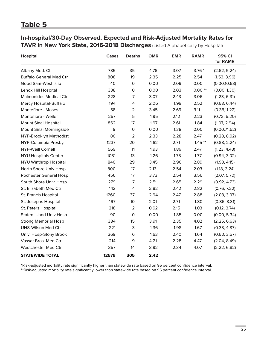# **Table 5**

**In-hospital/30-Day Observed, Expected and Risk-Adjusted Mortality Rates for TAVR in New York State, 2016-2018 Discharges** (Listed Alphabetically by Hospital)

| <b>Hospital</b>                | Cases | <b>Deaths</b>           | <b>OMR</b> | <b>EMR</b> | <b>RAMR</b> | 95% CI<br>for RAMR |
|--------------------------------|-------|-------------------------|------------|------------|-------------|--------------------|
| Albany Med. Ctr                | 735   | 35                      | 4.76       | 3.07       | $3.76*$     | (2.62, 5.24)       |
| <b>Buffalo General Med Ctr</b> | 808   | 19                      | 2.35       | 2.25       | 2.54        | (1.53, 3.96)       |
| Good Sam-West Islip            | 40    | 0                       | 0.00       | 2.09       | 0.00        | (0.00, 10.63)      |
| Lenox Hill Hospital            | 338   | 0                       | 0.00       | 2.03       | $0.00**$    | (0.00, 1.30)       |
| <b>Maimonides Medical Ctr</b>  | 228   | $\overline{7}$          | 3.07       | 2.43       | 3.06        | (1.23, 6.31)       |
| Mercy Hospital-Buffalo         | 194   | $\overline{\mathbf{4}}$ | 2.06       | 1.99       | 2.52        | (0.68, 6.44)       |
| Montefiore - Moses             | 58    | $\overline{2}$          | 3.45       | 2.69       | 3.11        | (0.35, 11.22)      |
| Montefiore - Weiler            | 257   | 5                       | 1.95       | 2.12       | 2.23        | (0.72, 5.20)       |
| Mount Sinai Hospital           | 862   | 17                      | 1.97       | 2.61       | 1.84        | (1.07, 2.94)       |
| Mount Sinai Morningside        | 9     | $\mathsf O$             | 0.00       | 1.38       | 0.00        | (0.00, 71.52)      |
| NYP-Brooklyn Methodist         | 86    | $\overline{2}$          | 2.33       | 2.28       | 2.47        | (0.28, 8.92)       |
| NYP-Columbia Presby.           | 1237  | 20                      | 1.62       | 2.71       | $1.45**$    | (0.88, 2.24)       |
| <b>NYP-Weill Cornell</b>       | 569   | 11                      | 1.93       | 1.89       | 2.47        | (1.23, 4.43)       |
| <b>NYU Hospitals Center</b>    | 1031  | 13                      | 1.26       | 1.73       | 1.77        | (0.94, 3.02)       |
| <b>NYU Winthrop Hospital</b>   | 840   | 29                      | 3.45       | 2.90       | 2.89        | (1.93, 4.15)       |
| North Shore Univ Hosp          | 800   | 17                      | 2.13       | 2.54       | 2.03        | (1.18, 3.24)       |
| Rochester General Hosp         | 456   | 17                      | 3.73       | 2.54       | 3.56        | (2.07, 5.70)       |
| South Shore Univ. Hosp         | 279   | 7                       | 2.51       | 2.65       | 2.29        | (0.92, 4.73)       |
| St. Elizabeth Med Ctr          | 142   | $\overline{4}$          | 2.82       | 2.42       | 2.82        | (0.76, 7.22)       |
| St. Francis Hospital           | 1260  | 37                      | 2.94       | 2.47       | 2.88        | (2.03, 3.97)       |
| St. Josephs Hospital           | 497   | 10                      | 2.01       | 2.71       | 1.80        | (0.86, 3.31)       |
| St. Peters Hospital            | 218   | $\overline{a}$          | 0.92       | 2.15       | 1.03        | (0.12, 3.74)       |
| <b>Staten Island Univ Hosp</b> | 90    | $\mathbf 0$             | 0.00       | 1.85       | 0.00        | (0.00, 5.34)       |
| <b>Strong Memorial Hosp</b>    | 384   | 15                      | 3.91       | 2.35       | 4.02        | (2.25, 6.63)       |
| UHS-Wilson Med Ctr             | 221   | 3                       | 1.36       | 1.98       | 1.67        | (0.33, 4.87)       |
| Univ. Hosp-Stony Brook         | 369   | 6                       | 1.63       | 2.40       | 1.64        | (0.60, 3.57)       |
| Vassar Bros. Med Ctr           | 214   | 9                       | 4.21       | 2.28       | 4.47        | (2.04, 8.49)       |
| Westchester Med Ctr            | 357   | 14                      | 3.92       | 2.34       | 4.07        | (2.22, 6.82)       |
| <b>STATEWIDE TOTAL</b>         | 12579 | 305                     | 2.42       |            |             |                    |

\*Risk-adjusted mortality rate significantly higher than statewide rate based on 95 percent confidence interval.

\*\*Risk-adjusted mortality rate significantly lower than statewide rate based on 95 percent confidence interval.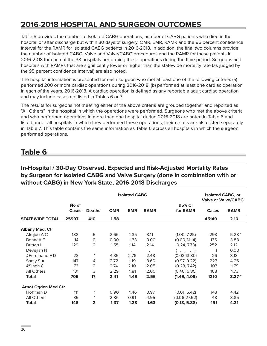# **2016-2018 HOSPITAL AND SURGEON OUTCOMES**

Table 6 provides the number of Isolated CABG operations, number of CABG patients who died in the hospital or after discharge but within 30 days of surgery, OMR, EMR, RAMR and the 95 percent confidence interval for the RAMR for Isolated CABG patients in 2016-2018. In addition, the final two columns provide the number of Isolated CABG, Valve and Valve/CABG procedures and the RAMR for these patients in 2016-2018 for each of the 38 hospitals performing these operations during the time period. Surgeons and hospitals with RAMRs that are significantly lower or higher than the statewide mortality rate (as judged by the 95 percent confidence interval) are also noted.

The hospital information is presented for each surgeon who met at least one of the following criteria: (a) performed 200 or more cardiac operations during 2016-2018, (b) performed at least one cardiac operation in each of the years, 2016-2018. A cardiac operation is defined as any reportable adult cardiac operation and may include cases not listed in Tables 6 or 7.

The results for surgeons not meeting either of the above criteria are grouped together and reported as "All Others" in the hospital in which the operations were performed. Surgeons who met the above criteria and who performed operations in more than one hospital during 2016-2018 are noted in Table 6 and listed under all hospitals in which they performed these operations; their results are also listed separately in Table 7. This table contains the same information as Table 6 across all hospitals in which the surgeon performed operations.

## **Table 6**

### **In-Hospital / 30-Day Observed, Expected and Risk-Adjusted Mortality Rates by Surgeon for Isolated CABG and Valve Surgery (done in combination with or without CABG) in New York State, 2016-2018 Discharges**

|                            |                |               |            | <b>Isolated CABG, or</b><br><b>Valve or Valve/CABG</b> |             |                       |              |             |
|----------------------------|----------------|---------------|------------|--------------------------------------------------------|-------------|-----------------------|--------------|-------------|
|                            | No of<br>Cases | <b>Deaths</b> | <b>OMR</b> | <b>EMR</b>                                             | <b>RAMR</b> | 95% CI<br>for RAMR    | <b>Cases</b> | <b>RAMR</b> |
| <b>STATEWIDE TOTAL</b>     | 25997          | 410           | 1.58       |                                                        |             |                       | 45140        | 2.10        |
| <b>Albany Med. Ctr</b>     |                |               |            |                                                        |             |                       |              |             |
| Akujuo A C                 | 188            | 5             | 2.66       | 1.35                                                   | 3.11        | (1.00, 7.25)          | 293          | $5.28*$     |
| <b>Bennett E</b>           | 14             | 0             | 0.00       | 1.33                                                   | 0.00        | (0.00, 31.14)         | 136          | 3.88        |
| <b>Britton L</b>           | 129            | 2             | 1.55       | 1.14                                                   | 2.14        | (0.24, 7.73)          | 252          | 2.12        |
| Devejian N                 |                | $\bullet$     | $\bullet$  |                                                        |             | $\ldots$ , $\ldots$ ) |              | 0.00        |
| #Ferdinand $F D$           | 23             | 1             | 4.35       | 2.76                                                   | 2.48        | (0.03, 13.80)         | 26           | 3.13        |
| Samy S A                   | 147            | 4             | 2.72       | 1.19                                                   | 3.60        | (0.97, 9.22)          | 227          | 4.26        |
| #Singh C                   | 73             | 2             | 2.74       | 2.10                                                   | 2.05        | (0.23, 7.42)          | 107          | 1.79        |
| All Others                 | 131            | 3             | 2.29       | 1.81                                                   | 2.00        | (0.40, 5.85)          | 168          | 1.73        |
| <b>Total</b>               | 705            | 17            | 2.41       | 1.49                                                   | 2.56        | (1.49, 4.09)          | 1210         | $3.37*$     |
| <b>Arnot Ogden Med Ctr</b> |                |               |            |                                                        |             |                       |              |             |
| Hoffman D                  | 111            | 1             | 0.90       | 1.46                                                   | 0.97        | (0.01, 5.42)          | 143          | 4.42        |
| All Others                 | 35             | 1             | 2.86       | 0.91                                                   | 4.95        | (0.06, 27.52)         | 48           | 3.85        |
| <b>Total</b>               | 146            | 2             | 1.37       | 1.33                                                   | 1.63        | (0.18, 5.88)          | 191          | 4.31        |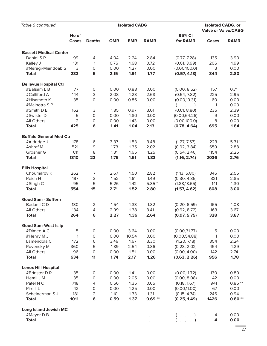| Table 6 continued              |                |                     | <b>Isolated CABG, or</b><br><b>Valve or Valve/CABG</b> |              |                 |                               |              |              |
|--------------------------------|----------------|---------------------|--------------------------------------------------------|--------------|-----------------|-------------------------------|--------------|--------------|
|                                | No of<br>Cases | <b>Deaths</b>       | <b>OMR</b>                                             | <b>EMR</b>   | <b>RAMR</b>     | 95% CI<br>for RAMR            | Cases        | <b>RAMR</b>  |
|                                |                |                     |                                                        |              |                 |                               |              |              |
| <b>Bassett Medical Center</b>  |                |                     |                                                        |              |                 |                               |              |              |
| Daniel SR                      | 99             | 4                   | 4.04                                                   | 2.24         | 2.84            | (0.77, 7.28)                  | 135          | 3.90         |
| Kelley J                       | 131            | $\mathbf{1}$        | 0.76                                                   | 1.68         | 0.72            | (0.01, 3.99)                  | 206          | 1.99         |
| #Neragi-Miandoab S             | 3              | $\mathsf O$         | 0.00                                                   | 1.27         | 0.00            | (0.00, 100.0)                 | 3            | 0.00         |
| <b>Total</b>                   | 233            | 5                   | 2.15                                                   | 1.91         | 1.77            | (0.57, 4.13)                  | 344          | 2.80         |
| <b>Bellevue Hospital Ctr</b>   |                |                     |                                                        |              |                 |                               |              |              |
| #Balsam L B                    | 77             | $\mathsf{O}\xspace$ | 0.00                                                   | 0.88         | 0.00            | (0.00, 8.52)                  | 157          | 0.71         |
| #Culliford A                   | 144            | 3                   | 2.08                                                   | 1.23         | 2.68            | (0.54, 7.82)                  | 225          | 2.95         |
| #Hisamoto K                    | 35             | $\mathsf O$         | 0.00                                                   | 0.86         | 0.00            | (0.00, 19.31)                 | 60           | 0.00         |
| #Malhotra SP                   |                |                     |                                                        |              |                 | $($ $,$ $,$ $)$               | 1            | 0.00         |
| #Smith D E                     | 162            | 3                   | 1.85                                                   | 0.97         | 3.01            | (0.61, 8.80)                  | 235          | 2.39         |
|                                |                | $\mathsf{O}\xspace$ |                                                        |              |                 |                               |              |              |
| #Swistel D                     | 5              |                     | 0.00                                                   | 1.80         | 0.00            | (0.00, 64.26)                 | 9            | 0.00         |
| All Others                     | $\overline{2}$ | $\mathsf O$         | 0.00                                                   | 1.43         | 0.00            | (0.00, 100.0)                 | 8            | 0.00         |
| <b>Total</b>                   | 425            | 6                   | 1.41                                                   | 1.04         | 2.13            | (0.78, 4.64)                  | 695          | 1.84         |
| <b>Buffalo General Med Ctr</b> |                |                     |                                                        |              |                 |                               |              |              |
| #Aldridge J                    | 178            | $\,$ 6              | 3.37                                                   | 1.53         | 3.48            | (1.27, 7.57)                  | 223          | $5.31*$      |
| Ashraf M                       | 521            | 9                   | 1.73                                                   | 1.35         | 2.02            | (0.92, 3.84)                  | 659          | 2.88         |
| Grosner G                      | 611            | 8                   | 1.31                                                   | 1.65         | 1.25            | (0.54, 2.46)                  | 1154         | 2.25         |
| <b>Total</b>                   | 1310           | 23                  | 1.76                                                   | 1.51         | 1.83            | (1.16, 2.74)                  | 2036         | 2.76         |
| <b>Ellis Hospital</b>          |                |                     |                                                        |              |                 |                               |              |              |
| Choumarov K                    | 262            | $\overline{7}$      | 2.67                                                   | 1.50         | 2.82            | (1.13, 5.80)                  | 346          | 2.56         |
| Reich H                        | 197            | 3                   | 1.52                                                   | 1.61         | 1.49            | (0.30, 4.35)                  | 321          | 2.85         |
|                                |                |                     |                                                        |              |                 |                               |              |              |
| #Singh C<br><b>Total</b>       | 95<br>554      | 5<br>15             | 5.26<br>2.71                                           | 1.42<br>1.52 | $5.85*$<br>2.80 | (1.88, 13.65)<br>(1.57, 4.62) | 141<br>808   | 4.30<br>3.00 |
|                                |                |                     |                                                        |              |                 |                               |              |              |
| <b>Good Sam - Suffern</b>      |                |                     |                                                        |              |                 |                               |              |              |
| Badami CD                      | 130            | $\overline{2}$      | 1.54                                                   | 1.33         | 1.82            | (0.20, 6.59)                  | 165          | 4.08         |
| <b>All Others</b>              | 134            | 4                   | 2.99                                                   | 1.38         | 3.41            | (0.92, 8.72)                  | 163          | 3.67         |
| <b>Total</b>                   | 264            | 6                   | 2.27                                                   | 1.36         | 2.64            | (0.97, 5.75)                  | 328          | 3.87         |
| <b>Good Sam-West Islip</b>     |                |                     |                                                        |              |                 |                               |              |              |
| #Dimeo A C                     | $\mathbf 5$    | $\mathsf{O}\xspace$ | 0.00                                                   | 3.64         | 0.00            | (0.00, 31.77)                 | 5            | 0.00         |
| #Henry M J                     | $\mathbf{1}$   | $\mathsf O$         | 0.00                                                   | 10.54        | 0.00            | (0.00, 54.88)                 | $\mathbf{1}$ | 0.00         |
| Lamendola C                    | 172            | $\,$ 6              | 3.49                                                   | 1.67         | 3.30            | (1.20, 7.18)                  | 354          | 2.24         |
| Rovensky M                     | 360            | 5                   | 1.39                                                   | 2.54         | 0.86            | (0.28, 2.02)                  | 454          | 1.29         |
| All Others                     | 96             | $\mathsf O$         | 0.00                                                   | 1.51         | 0.00            | (0.00, 4.00)                  | 142          | 2.74         |
| <b>Total</b>                   | 634            | 11                  | 1.74                                                   | 2.17         | 1.26            | (0.63, 2.26)                  | 956          | 1.78         |
|                                |                |                     |                                                        |              |                 |                               |              |              |
| <b>Lenox Hill Hospital</b>     |                |                     |                                                        |              |                 |                               |              |              |
| #Brinster D R                  | 35             | $\mathsf{O}\xspace$ | 0.00                                                   | 1.41         | 0.00            | (0.00, 11.72)                 | 130          | 0.80         |
| Hemli J M                      | 35             | $\mathsf{O}\xspace$ | 0.00                                                   | 2.05         | 0.00            | (0.00, 8.08)                  | 42           | 0.00         |
| Patel N C                      | 718            | 4                   | 0.56                                                   | 1.35         | 0.65            | (0.18, 1.67)                  | 941          | $0.86**$     |
| Pirelli L                      | 42             | $\mathsf{O}\xspace$ | 0.00                                                   | 1.25         | 0.00            | (0.00, 11.00)                 | 67           | 0.00         |
| Scheinerman S J                | 181            | $\overline{2}$      | 1.10                                                   | 1.33         | 1.31            | (0.15, 4.74)                  | 246          | 0.94         |
| <b>Total</b>                   | 1011           | $\bf 6$             | 0.59                                                   | 1.37         | $0.69**$        | (0.25, 1.49)                  | 1426         | $0.80**$     |
| <b>Long Island Jewish MC</b>   |                |                     |                                                        |              |                 |                               |              |              |
| #Meyer D B                     |                |                     |                                                        |              |                 | $($ $,$ $,$ $)$               | 4            | 0.00         |
| <b>Total</b>                   |                |                     |                                                        |              |                 | $( \cdot , \cdot )$           | 4            | 0.00         |
|                                |                |                     |                                                        |              |                 |                               |              |              |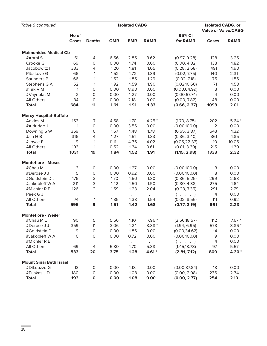| Table 6 continued              |                       |                           | <b>Isolated CABG, or</b> |            |                      |                    |                            |             |
|--------------------------------|-----------------------|---------------------------|--------------------------|------------|----------------------|--------------------|----------------------------|-------------|
|                                |                       |                           |                          |            |                      |                    | <b>Valve or Valve/CABG</b> |             |
|                                | No of<br><b>Cases</b> | <b>Deaths</b>             | <b>OMR</b>               | <b>EMR</b> | <b>RAMR</b>          | 95% CI<br>for RAMR | <b>Cases</b>               | <b>RAMR</b> |
| <b>Maimonides Medical Ctr</b>  |                       |                           |                          |            |                      |                    |                            |             |
| #Abrol S                       | 61                    | 4                         | 6.56                     | 2.85       | 3.62                 | (0.97, 9.28)       | 128                        | 3.25        |
| Crooke G                       | 69                    | $\mathsf O$               | 0.00                     | 1.74       | 0.00                 | (0.00, 4.82)       | 133                        | 1.82        |
| Jacobowitz I                   | 333                   | $\overline{4}$            | 1.20                     | 1.81       | 1.05                 | (0.28, 2.68)       | 491                        | 1.90        |
| Ribakove G                     | 66                    | 1                         | 1.52                     | 1.72       | 1.39                 | (0.02, 7.75)       | 140                        | 2.31        |
| Saunders P                     | 66                    | 1                         | 1.52                     | 1.85       | 1.29                 | (0.02, 7.18)       | 75                         | 1.56        |
| Stephens G A                   | 52                    | 1                         | 1.92                     | 1.59       | 1.90                 | (0.02, 10.60)      | 71                         | 1.58        |
| #Tak V M                       | 1                     | 0                         | 0.00                     | 8.90       | 0.00                 | (0.00, 64.99)      | 3                          | 0.00        |
| #Vaynblat M                    | $\overline{2}$        | 0                         | 0.00                     | 4.27       | 0.00                 | (0.00, 67.74)      | $\overline{4}$             | 0.00        |
| All Others                     | 34                    | $\mathsf O$               | 0.00                     | 2.18       | 0.00                 | (0.00, 7.82)       | 48                         | 0.00        |
| <b>Total</b>                   | 684                   | 11                        | 1.61                     | 1.91       | 1.33                 | (0.66, 2.37)       | 1093                       | 2.01        |
| <b>Mercy Hospital-Buffalo</b>  |                       |                           |                          |            |                      |                    |                            |             |
| Adkins M                       | 153                   | $\overline{7}$            | 4.58                     | 1.70       | $4.25*$              | (1.70, 8.75)       | 202                        | $5.64*$     |
| #Aldridge J                    | 1                     | $\mathsf O$               | 0.00                     | 3.56       | 0.00                 | (0.00, 100.0)      | $\overline{2}$             | 0.00        |
| Downing SW                     | 359                   | 6                         | 1.67                     | 1.48       | 1.78                 | (0.65, 3.87)       | 543                        | 1.32        |
| Jain H B                       | 316                   | $\overline{4}$            | 1.27                     | 1.51       | 1.33                 | (0.36, 3.40)       | 361                        | 1.85        |
| #Joyce F                       | 9                     | 1                         | 11.11                    | 4.36       | 4.02                 | (0.05, 22.37)      | 10                         | 10.06       |
| All Others                     | 193                   | 1                         | 0.52                     | 1.34       | 0.61                 | (0.01, 3.39)       | 215                        | 1.30        |
| <b>Total</b>                   | 1031                  | 19                        | 1.84                     | 1.52       | 1.91                 | (1.15, 2.98)       | 1333                       | 2.32        |
| <b>Montefiore - Moses</b>      |                       |                           |                          |            |                      |                    |                            |             |
| #Chau ML                       | 3                     | $\mathsf O$               | 0.00                     | 1.27       | 0.00                 | (0.00, 100.0)      | 3                          | 0.00        |
| #Derose J J                    | 5                     | $\mathsf O$               | 0.00                     | 0.92       | 0.00                 | (0.00, 100.0)      | 8                          | 0.00        |
| #Goldstein D J                 | 176                   | $\ensuremath{\mathsf{3}}$ | 1.70                     | 1.50       | 1.80                 | (0.36, 5.25)       | 299                        | 2.68        |
| #Jakobleff W A                 | 211                   | $\ensuremath{\mathsf{3}}$ | 1.42                     | 1.50       | 1.50                 | (0.30, 4.38)       | 275                        | 1.64        |
| #Michler R E                   | 126                   | $\overline{2}$            | 1.59                     | 1.23       | 2.04                 | (0.23, 7.35)       | 291                        | 2.79        |
| Peek G J                       |                       |                           |                          |            | $\ddot{\phantom{0}}$ | $($ $,$ $,$ $)$    | $\overline{4}$             | 0.00        |
| All Others                     | 74                    | 1                         | 1.35                     | 1.38       | 1.54                 | (0.02, 8.56)       | 111                        | 0.92        |
| <b>Total</b>                   | 595                   | 9                         | 1.51                     | 1.42       | 1.68                 | (0.77, 3.19)       | 991                        | 2.23        |
| <b>Montefiore - Weiler</b>     |                       |                           |                          |            |                      |                    |                            |             |
| #Chau ML                       | 90                    | 5                         | 5.56                     | 1.10       | $7.96*$              | (2.56, 18.57)      | 112                        | $7.67*$     |
| #Derose J J                    | 359                   | 11                        | 3.06                     | 1.24       | $3.88*$              | (1.94, 6.95)       | 573                        | $3.86*$     |
| #Goldstein D J                 | 9                     | 0                         | 0.00                     | 1.86       | 0.00                 | (0.00, 34.62)      | 14                         | 0.00        |
| #Jakobleff W A                 | 6                     | $\mathsf O$               | 0.00                     | 0.72       | 0.00                 | (0.00, 100.0)      | 9                          | 0.00        |
| #Michler R E                   |                       |                           |                          | $\bullet$  |                      | $($ $,$ $,$ $)$    | 4                          | 0.00        |
| All Others                     | 69                    | 4                         | 5.80                     | 1.70       | 5.38                 | (1.45, 13.78)      | 97                         | 5.57        |
| <b>Total</b>                   | 533                   | 20                        | 3.75                     | 1.28       | $4.61*$              | (2.81, 7.12)       | 809                        | 4.30 *      |
| <b>Mount Sinai Beth Israel</b> |                       |                           |                          |            |                      |                    |                            |             |
| #DiLuozzo G                    | 13                    | $\mathsf O$               | 0.00                     | 1.18       | 0.00                 | (0.00, 37.84)      | 18                         | 0.00        |
| #Puskas J D                    | 180                   | $\mathsf O$               | 0.00                     | 1.08       | 0.00                 | (0.00, 2.98)       | 236                        | 2.34        |
| <b>Total</b>                   | 193                   | $\mathbf 0$               | 0.00                     | 1.08       | 0.00                 | (0.00, 2.77)       | 254                        | 2.19        |

÷.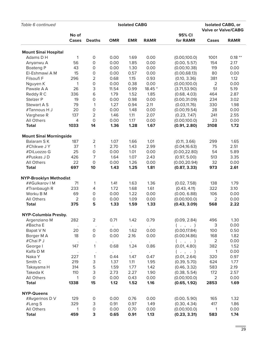| <b>Valve or Valve/CABG</b><br>No of<br>95% CI<br><b>OMR</b><br><b>EMR</b><br><b>RAMR</b><br>for RAMR<br><b>RAMR</b><br>Cases<br><b>Deaths</b><br>Cases<br><b>Mount Sinai Hospital</b><br>Adams D H<br>1<br>$\mathsf O$<br>0.00<br>1.69<br>0.00<br>(0.00, 100.0)<br>1001<br>$0.18**$<br>56<br>0.00<br>1.85<br>0.00<br>154<br>$\mathsf O$<br>(0.00, 5.57)<br>2.17<br>Anyanwu A<br>0.00<br>0.00<br><b>Boateng P</b><br>43<br>$\mathsf O$<br>1.30<br>(0.00, 10.38)<br>119<br>0.00<br>15<br>$\mathsf O$<br>0.00<br>80<br>El-Eshmawi A M<br>0.00<br>0.57<br>(0.00, 68.13)<br>0.00<br>$\overline{2}$<br>296<br>0.68<br>1.15<br>0.93<br>1.12<br>Filsoufi F<br>(0.10, 3.36)<br>381<br>$\mathsf O$<br>0.00<br>$\mathbf 2$<br>0.00<br>0.38<br>(0.00, 100.0)<br>0.00<br>Nguyen K<br>1<br>26<br>3<br>$18.45*$<br>51<br>5.19<br>Pawale A A<br>11.54<br>0.99<br>(3.71, 53.90)<br>$\,$ 6<br>1.79<br>1.52<br>1.85<br>Reddy R C<br>336<br>(0.68, 4.03)<br>464<br>2.87<br>$\mathsf O$<br>0.00<br>234<br>Stelzer P<br>19<br>0.00<br>0.98<br>(0.00, 31.09)<br>3.02<br>79<br>1.27<br>2.11<br>Stewart A S<br>$\mathbf{1}$<br>0.94<br>(0.03, 11.76)<br>330<br>1.98<br>20<br>$\mathsf O$<br>1.48<br>0.00<br>(0.00, 19.54)<br>0.00<br>28<br>0.00<br>#Tannous H J<br>$\overline{2}$<br>2.07<br>137<br>1.46<br>1.11<br>(0.23, 7.47)<br>241<br>2.55<br>Varghese R<br>$\mathsf{O}\xspace$<br>0.00<br>All Others<br>4<br>0.00<br>1.17<br>(0.00, 100.0)<br>23<br>0.00<br>1.67<br>1.72<br><b>Total</b><br>1033<br>14<br>1.36<br>1.28<br>(0.91, 2.80)<br>3108<br><b>Mount Sinai Morningside</b><br>$\overline{2}$<br>1.07<br>1.66<br>1.01<br>Balaram SK<br>(0.11, 3.66)<br>299<br>1.65<br>187<br>37<br>$\mathbf{1}$<br>2.70<br>2.51<br>#Chikwe JY<br>1.43<br>2.99<br>(0.04, 16.63)<br>75<br>25<br>$\mathsf O$<br>1.01<br>0.00<br>54<br>5.89<br>0.00<br>(0.00, 22.80)<br>#DiLuozzo G<br>7<br>1.64<br>1.07<br>2.43<br>(0.97, 5.00)<br>#Puskas JD<br>426<br>513<br>3.35<br>22<br>$\mathsf{O}\xspace$<br>0.00<br>All Others<br>0.00<br>1.26<br>(0.00, 20.94)<br>32<br>0.00<br>1.25<br>1.81<br>973<br><b>Total</b><br>697<br>10<br>1.43<br>(0.87, 3.33)<br>2.61<br><b>NYP-Brooklyn Methodist</b><br>71<br>1.63<br>##Gulkarov   M<br>1<br>1.41<br>1.36<br>138<br>1.79<br>(0.02, 7.58)<br>233<br>1.72<br>1.68<br>1.61<br>322<br>4<br>(0.43, 4.11)<br>3.10<br>#Tranbaugh R<br>Worku B M<br>69<br>$\mathsf O$<br>0.00<br>1.22<br>0.00<br>(0.00, 6.88)<br>106<br>0.00<br>$\overline{2}$<br>$\overline{2}$<br>All Others<br>$\mathsf O$<br>0.00<br>1.09<br>0.00<br>(0.00, 100.0)<br>0.00<br>5<br>(0.43, 3.09)<br>568<br><b>Total</b><br>375<br>1.33<br>1.59<br>1.33<br>2.22<br>NYP-Columbia Presby.<br>$\overline{2}$<br>282<br>0.71<br>1.42<br>0.79<br>(0.09, 2.84)<br>496<br>1.30<br>Argenziano M<br>#Bacha E<br>3<br>0.00<br>$($ $,$ $,$ $)$<br>Bapat V N<br>20<br>$\mathsf{O}\xspace$<br>1.62<br>(0.00, 17.84)<br>100<br>0.50<br>0.00<br>0.00<br>$\mathsf{O}\xspace$<br>0.00<br>2.16<br>0.00<br>(0.00, 14.86)<br>168<br>1.82<br>Borger M A<br>18<br>$\mathbf 2$<br>#Chai P J<br>0.00<br>$($ $,$ $,$ $)$<br>$\sim$<br>$\bullet$<br>$\mathbf{1}$<br>382<br>147<br>0.68<br>1.24<br>0.86<br>(0.01, 4.80)<br>1.52<br>George I<br>Kalfa D M<br>0.00<br>1<br>$($ $,$ $,$ $)$<br>$\bullet$<br>$\bullet$<br>$\mathbf{1}$<br>(0.01, 2.64)<br>Naka Y<br>227<br>1.47<br>0.47<br>320<br>0.97<br>0.44<br>3<br>Smith <sub>C</sub><br>219<br>1.37<br>1.11<br>1.95<br>(0.39, 5.70)<br>624<br>1.77<br>5<br>1.42<br>583<br>314<br>1.59<br>1.77<br>(0.46, 3.32)<br>2.19<br>Takayama H<br>$\mathsf 3$<br>2.73<br>2.27<br>1.90<br>172<br>110<br>(0.38, 5.54)<br>2.57<br>Takeda K<br>$\overline{2}$<br>$\mathsf{O}\xspace$<br>All Others<br>0.00<br>0.43<br>0.00<br>(0.00, 100.0)<br>0.00<br>1<br>1.52<br><b>Total</b><br>15<br>1.12<br>1.16<br>(0.65, 1.92)<br>1.69<br>1338<br>2853<br><b>NYP-Queens</b><br>#Avgerinos D V<br>0.00<br>(0.00, 5.90)<br>165<br>129<br>$\mathsf{O}$<br>0.00<br>0.76<br>1.32<br>3<br>417<br>329<br>0.91<br>0.97<br>1.49<br>(0.30, 4.34)<br>1.86<br>#Lang S<br>$\mathsf O$<br>All Others<br>0.00<br>0.70<br>0.00<br>(0.00, 100.0)<br>0.00<br>1<br>1<br>3<br><b>Total</b><br>459<br>0.65<br>0.91<br>1.13<br>(0.23, 3.31)<br>583<br>1.74 | Table 6 continued |  | <b>Isolated CABG, or</b> |  |  |  |  |  |  |  |
|----------------------------------------------------------------------------------------------------------------------------------------------------------------------------------------------------------------------------------------------------------------------------------------------------------------------------------------------------------------------------------------------------------------------------------------------------------------------------------------------------------------------------------------------------------------------------------------------------------------------------------------------------------------------------------------------------------------------------------------------------------------------------------------------------------------------------------------------------------------------------------------------------------------------------------------------------------------------------------------------------------------------------------------------------------------------------------------------------------------------------------------------------------------------------------------------------------------------------------------------------------------------------------------------------------------------------------------------------------------------------------------------------------------------------------------------------------------------------------------------------------------------------------------------------------------------------------------------------------------------------------------------------------------------------------------------------------------------------------------------------------------------------------------------------------------------------------------------------------------------------------------------------------------------------------------------------------------------------------------------------------------------------------------------------------------------------------------------------------------------------------------------------------------------------------------------------------------------------------------------------------------------------------------------------------------------------------------------------------------------------------------------------------------------------------------------------------------------------------------------------------------------------------------------------------------------------------------------------------------------------------------------------------------------------------------------------------------------------------------------------------------------------------------------------------------------------------------------------------------------------------------------------------------------------------------------------------------------------------------------------------------------------------------------------------------------------------------------------------------------------------------------------------------------------------------------------------------------------------------------------------------------------------------------------------------------------------------------------------------------------------------------------------------------------------------------------------------------------------------------------------------------------------------------------------------------------------------------------------------------------------------------------------------------------------------------------------------------------------------------------------------------------------------------------------------------------------------------------------------------------------------------------------------------------------------------------------------------------------------------------------------------------------------------------------------------------------------------------------------------------------------------------------------------------------------------------|-------------------|--|--------------------------|--|--|--|--|--|--|--|
|                                                                                                                                                                                                                                                                                                                                                                                                                                                                                                                                                                                                                                                                                                                                                                                                                                                                                                                                                                                                                                                                                                                                                                                                                                                                                                                                                                                                                                                                                                                                                                                                                                                                                                                                                                                                                                                                                                                                                                                                                                                                                                                                                                                                                                                                                                                                                                                                                                                                                                                                                                                                                                                                                                                                                                                                                                                                                                                                                                                                                                                                                                                                                                                                                                                                                                                                                                                                                                                                                                                                                                                                                                                                                                                                                                                                                                                                                                                                                                                                                                                                                                                                                                                                    |                   |  |                          |  |  |  |  |  |  |  |
|                                                                                                                                                                                                                                                                                                                                                                                                                                                                                                                                                                                                                                                                                                                                                                                                                                                                                                                                                                                                                                                                                                                                                                                                                                                                                                                                                                                                                                                                                                                                                                                                                                                                                                                                                                                                                                                                                                                                                                                                                                                                                                                                                                                                                                                                                                                                                                                                                                                                                                                                                                                                                                                                                                                                                                                                                                                                                                                                                                                                                                                                                                                                                                                                                                                                                                                                                                                                                                                                                                                                                                                                                                                                                                                                                                                                                                                                                                                                                                                                                                                                                                                                                                                                    |                   |  |                          |  |  |  |  |  |  |  |
|                                                                                                                                                                                                                                                                                                                                                                                                                                                                                                                                                                                                                                                                                                                                                                                                                                                                                                                                                                                                                                                                                                                                                                                                                                                                                                                                                                                                                                                                                                                                                                                                                                                                                                                                                                                                                                                                                                                                                                                                                                                                                                                                                                                                                                                                                                                                                                                                                                                                                                                                                                                                                                                                                                                                                                                                                                                                                                                                                                                                                                                                                                                                                                                                                                                                                                                                                                                                                                                                                                                                                                                                                                                                                                                                                                                                                                                                                                                                                                                                                                                                                                                                                                                                    |                   |  |                          |  |  |  |  |  |  |  |
|                                                                                                                                                                                                                                                                                                                                                                                                                                                                                                                                                                                                                                                                                                                                                                                                                                                                                                                                                                                                                                                                                                                                                                                                                                                                                                                                                                                                                                                                                                                                                                                                                                                                                                                                                                                                                                                                                                                                                                                                                                                                                                                                                                                                                                                                                                                                                                                                                                                                                                                                                                                                                                                                                                                                                                                                                                                                                                                                                                                                                                                                                                                                                                                                                                                                                                                                                                                                                                                                                                                                                                                                                                                                                                                                                                                                                                                                                                                                                                                                                                                                                                                                                                                                    |                   |  |                          |  |  |  |  |  |  |  |
|                                                                                                                                                                                                                                                                                                                                                                                                                                                                                                                                                                                                                                                                                                                                                                                                                                                                                                                                                                                                                                                                                                                                                                                                                                                                                                                                                                                                                                                                                                                                                                                                                                                                                                                                                                                                                                                                                                                                                                                                                                                                                                                                                                                                                                                                                                                                                                                                                                                                                                                                                                                                                                                                                                                                                                                                                                                                                                                                                                                                                                                                                                                                                                                                                                                                                                                                                                                                                                                                                                                                                                                                                                                                                                                                                                                                                                                                                                                                                                                                                                                                                                                                                                                                    |                   |  |                          |  |  |  |  |  |  |  |
|                                                                                                                                                                                                                                                                                                                                                                                                                                                                                                                                                                                                                                                                                                                                                                                                                                                                                                                                                                                                                                                                                                                                                                                                                                                                                                                                                                                                                                                                                                                                                                                                                                                                                                                                                                                                                                                                                                                                                                                                                                                                                                                                                                                                                                                                                                                                                                                                                                                                                                                                                                                                                                                                                                                                                                                                                                                                                                                                                                                                                                                                                                                                                                                                                                                                                                                                                                                                                                                                                                                                                                                                                                                                                                                                                                                                                                                                                                                                                                                                                                                                                                                                                                                                    |                   |  |                          |  |  |  |  |  |  |  |
|                                                                                                                                                                                                                                                                                                                                                                                                                                                                                                                                                                                                                                                                                                                                                                                                                                                                                                                                                                                                                                                                                                                                                                                                                                                                                                                                                                                                                                                                                                                                                                                                                                                                                                                                                                                                                                                                                                                                                                                                                                                                                                                                                                                                                                                                                                                                                                                                                                                                                                                                                                                                                                                                                                                                                                                                                                                                                                                                                                                                                                                                                                                                                                                                                                                                                                                                                                                                                                                                                                                                                                                                                                                                                                                                                                                                                                                                                                                                                                                                                                                                                                                                                                                                    |                   |  |                          |  |  |  |  |  |  |  |
|                                                                                                                                                                                                                                                                                                                                                                                                                                                                                                                                                                                                                                                                                                                                                                                                                                                                                                                                                                                                                                                                                                                                                                                                                                                                                                                                                                                                                                                                                                                                                                                                                                                                                                                                                                                                                                                                                                                                                                                                                                                                                                                                                                                                                                                                                                                                                                                                                                                                                                                                                                                                                                                                                                                                                                                                                                                                                                                                                                                                                                                                                                                                                                                                                                                                                                                                                                                                                                                                                                                                                                                                                                                                                                                                                                                                                                                                                                                                                                                                                                                                                                                                                                                                    |                   |  |                          |  |  |  |  |  |  |  |
|                                                                                                                                                                                                                                                                                                                                                                                                                                                                                                                                                                                                                                                                                                                                                                                                                                                                                                                                                                                                                                                                                                                                                                                                                                                                                                                                                                                                                                                                                                                                                                                                                                                                                                                                                                                                                                                                                                                                                                                                                                                                                                                                                                                                                                                                                                                                                                                                                                                                                                                                                                                                                                                                                                                                                                                                                                                                                                                                                                                                                                                                                                                                                                                                                                                                                                                                                                                                                                                                                                                                                                                                                                                                                                                                                                                                                                                                                                                                                                                                                                                                                                                                                                                                    |                   |  |                          |  |  |  |  |  |  |  |
|                                                                                                                                                                                                                                                                                                                                                                                                                                                                                                                                                                                                                                                                                                                                                                                                                                                                                                                                                                                                                                                                                                                                                                                                                                                                                                                                                                                                                                                                                                                                                                                                                                                                                                                                                                                                                                                                                                                                                                                                                                                                                                                                                                                                                                                                                                                                                                                                                                                                                                                                                                                                                                                                                                                                                                                                                                                                                                                                                                                                                                                                                                                                                                                                                                                                                                                                                                                                                                                                                                                                                                                                                                                                                                                                                                                                                                                                                                                                                                                                                                                                                                                                                                                                    |                   |  |                          |  |  |  |  |  |  |  |
|                                                                                                                                                                                                                                                                                                                                                                                                                                                                                                                                                                                                                                                                                                                                                                                                                                                                                                                                                                                                                                                                                                                                                                                                                                                                                                                                                                                                                                                                                                                                                                                                                                                                                                                                                                                                                                                                                                                                                                                                                                                                                                                                                                                                                                                                                                                                                                                                                                                                                                                                                                                                                                                                                                                                                                                                                                                                                                                                                                                                                                                                                                                                                                                                                                                                                                                                                                                                                                                                                                                                                                                                                                                                                                                                                                                                                                                                                                                                                                                                                                                                                                                                                                                                    |                   |  |                          |  |  |  |  |  |  |  |
|                                                                                                                                                                                                                                                                                                                                                                                                                                                                                                                                                                                                                                                                                                                                                                                                                                                                                                                                                                                                                                                                                                                                                                                                                                                                                                                                                                                                                                                                                                                                                                                                                                                                                                                                                                                                                                                                                                                                                                                                                                                                                                                                                                                                                                                                                                                                                                                                                                                                                                                                                                                                                                                                                                                                                                                                                                                                                                                                                                                                                                                                                                                                                                                                                                                                                                                                                                                                                                                                                                                                                                                                                                                                                                                                                                                                                                                                                                                                                                                                                                                                                                                                                                                                    |                   |  |                          |  |  |  |  |  |  |  |
|                                                                                                                                                                                                                                                                                                                                                                                                                                                                                                                                                                                                                                                                                                                                                                                                                                                                                                                                                                                                                                                                                                                                                                                                                                                                                                                                                                                                                                                                                                                                                                                                                                                                                                                                                                                                                                                                                                                                                                                                                                                                                                                                                                                                                                                                                                                                                                                                                                                                                                                                                                                                                                                                                                                                                                                                                                                                                                                                                                                                                                                                                                                                                                                                                                                                                                                                                                                                                                                                                                                                                                                                                                                                                                                                                                                                                                                                                                                                                                                                                                                                                                                                                                                                    |                   |  |                          |  |  |  |  |  |  |  |
|                                                                                                                                                                                                                                                                                                                                                                                                                                                                                                                                                                                                                                                                                                                                                                                                                                                                                                                                                                                                                                                                                                                                                                                                                                                                                                                                                                                                                                                                                                                                                                                                                                                                                                                                                                                                                                                                                                                                                                                                                                                                                                                                                                                                                                                                                                                                                                                                                                                                                                                                                                                                                                                                                                                                                                                                                                                                                                                                                                                                                                                                                                                                                                                                                                                                                                                                                                                                                                                                                                                                                                                                                                                                                                                                                                                                                                                                                                                                                                                                                                                                                                                                                                                                    |                   |  |                          |  |  |  |  |  |  |  |
|                                                                                                                                                                                                                                                                                                                                                                                                                                                                                                                                                                                                                                                                                                                                                                                                                                                                                                                                                                                                                                                                                                                                                                                                                                                                                                                                                                                                                                                                                                                                                                                                                                                                                                                                                                                                                                                                                                                                                                                                                                                                                                                                                                                                                                                                                                                                                                                                                                                                                                                                                                                                                                                                                                                                                                                                                                                                                                                                                                                                                                                                                                                                                                                                                                                                                                                                                                                                                                                                                                                                                                                                                                                                                                                                                                                                                                                                                                                                                                                                                                                                                                                                                                                                    |                   |  |                          |  |  |  |  |  |  |  |
|                                                                                                                                                                                                                                                                                                                                                                                                                                                                                                                                                                                                                                                                                                                                                                                                                                                                                                                                                                                                                                                                                                                                                                                                                                                                                                                                                                                                                                                                                                                                                                                                                                                                                                                                                                                                                                                                                                                                                                                                                                                                                                                                                                                                                                                                                                                                                                                                                                                                                                                                                                                                                                                                                                                                                                                                                                                                                                                                                                                                                                                                                                                                                                                                                                                                                                                                                                                                                                                                                                                                                                                                                                                                                                                                                                                                                                                                                                                                                                                                                                                                                                                                                                                                    |                   |  |                          |  |  |  |  |  |  |  |
|                                                                                                                                                                                                                                                                                                                                                                                                                                                                                                                                                                                                                                                                                                                                                                                                                                                                                                                                                                                                                                                                                                                                                                                                                                                                                                                                                                                                                                                                                                                                                                                                                                                                                                                                                                                                                                                                                                                                                                                                                                                                                                                                                                                                                                                                                                                                                                                                                                                                                                                                                                                                                                                                                                                                                                                                                                                                                                                                                                                                                                                                                                                                                                                                                                                                                                                                                                                                                                                                                                                                                                                                                                                                                                                                                                                                                                                                                                                                                                                                                                                                                                                                                                                                    |                   |  |                          |  |  |  |  |  |  |  |
|                                                                                                                                                                                                                                                                                                                                                                                                                                                                                                                                                                                                                                                                                                                                                                                                                                                                                                                                                                                                                                                                                                                                                                                                                                                                                                                                                                                                                                                                                                                                                                                                                                                                                                                                                                                                                                                                                                                                                                                                                                                                                                                                                                                                                                                                                                                                                                                                                                                                                                                                                                                                                                                                                                                                                                                                                                                                                                                                                                                                                                                                                                                                                                                                                                                                                                                                                                                                                                                                                                                                                                                                                                                                                                                                                                                                                                                                                                                                                                                                                                                                                                                                                                                                    |                   |  |                          |  |  |  |  |  |  |  |
|                                                                                                                                                                                                                                                                                                                                                                                                                                                                                                                                                                                                                                                                                                                                                                                                                                                                                                                                                                                                                                                                                                                                                                                                                                                                                                                                                                                                                                                                                                                                                                                                                                                                                                                                                                                                                                                                                                                                                                                                                                                                                                                                                                                                                                                                                                                                                                                                                                                                                                                                                                                                                                                                                                                                                                                                                                                                                                                                                                                                                                                                                                                                                                                                                                                                                                                                                                                                                                                                                                                                                                                                                                                                                                                                                                                                                                                                                                                                                                                                                                                                                                                                                                                                    |                   |  |                          |  |  |  |  |  |  |  |
|                                                                                                                                                                                                                                                                                                                                                                                                                                                                                                                                                                                                                                                                                                                                                                                                                                                                                                                                                                                                                                                                                                                                                                                                                                                                                                                                                                                                                                                                                                                                                                                                                                                                                                                                                                                                                                                                                                                                                                                                                                                                                                                                                                                                                                                                                                                                                                                                                                                                                                                                                                                                                                                                                                                                                                                                                                                                                                                                                                                                                                                                                                                                                                                                                                                                                                                                                                                                                                                                                                                                                                                                                                                                                                                                                                                                                                                                                                                                                                                                                                                                                                                                                                                                    |                   |  |                          |  |  |  |  |  |  |  |
|                                                                                                                                                                                                                                                                                                                                                                                                                                                                                                                                                                                                                                                                                                                                                                                                                                                                                                                                                                                                                                                                                                                                                                                                                                                                                                                                                                                                                                                                                                                                                                                                                                                                                                                                                                                                                                                                                                                                                                                                                                                                                                                                                                                                                                                                                                                                                                                                                                                                                                                                                                                                                                                                                                                                                                                                                                                                                                                                                                                                                                                                                                                                                                                                                                                                                                                                                                                                                                                                                                                                                                                                                                                                                                                                                                                                                                                                                                                                                                                                                                                                                                                                                                                                    |                   |  |                          |  |  |  |  |  |  |  |
|                                                                                                                                                                                                                                                                                                                                                                                                                                                                                                                                                                                                                                                                                                                                                                                                                                                                                                                                                                                                                                                                                                                                                                                                                                                                                                                                                                                                                                                                                                                                                                                                                                                                                                                                                                                                                                                                                                                                                                                                                                                                                                                                                                                                                                                                                                                                                                                                                                                                                                                                                                                                                                                                                                                                                                                                                                                                                                                                                                                                                                                                                                                                                                                                                                                                                                                                                                                                                                                                                                                                                                                                                                                                                                                                                                                                                                                                                                                                                                                                                                                                                                                                                                                                    |                   |  |                          |  |  |  |  |  |  |  |
|                                                                                                                                                                                                                                                                                                                                                                                                                                                                                                                                                                                                                                                                                                                                                                                                                                                                                                                                                                                                                                                                                                                                                                                                                                                                                                                                                                                                                                                                                                                                                                                                                                                                                                                                                                                                                                                                                                                                                                                                                                                                                                                                                                                                                                                                                                                                                                                                                                                                                                                                                                                                                                                                                                                                                                                                                                                                                                                                                                                                                                                                                                                                                                                                                                                                                                                                                                                                                                                                                                                                                                                                                                                                                                                                                                                                                                                                                                                                                                                                                                                                                                                                                                                                    |                   |  |                          |  |  |  |  |  |  |  |
|                                                                                                                                                                                                                                                                                                                                                                                                                                                                                                                                                                                                                                                                                                                                                                                                                                                                                                                                                                                                                                                                                                                                                                                                                                                                                                                                                                                                                                                                                                                                                                                                                                                                                                                                                                                                                                                                                                                                                                                                                                                                                                                                                                                                                                                                                                                                                                                                                                                                                                                                                                                                                                                                                                                                                                                                                                                                                                                                                                                                                                                                                                                                                                                                                                                                                                                                                                                                                                                                                                                                                                                                                                                                                                                                                                                                                                                                                                                                                                                                                                                                                                                                                                                                    |                   |  |                          |  |  |  |  |  |  |  |
|                                                                                                                                                                                                                                                                                                                                                                                                                                                                                                                                                                                                                                                                                                                                                                                                                                                                                                                                                                                                                                                                                                                                                                                                                                                                                                                                                                                                                                                                                                                                                                                                                                                                                                                                                                                                                                                                                                                                                                                                                                                                                                                                                                                                                                                                                                                                                                                                                                                                                                                                                                                                                                                                                                                                                                                                                                                                                                                                                                                                                                                                                                                                                                                                                                                                                                                                                                                                                                                                                                                                                                                                                                                                                                                                                                                                                                                                                                                                                                                                                                                                                                                                                                                                    |                   |  |                          |  |  |  |  |  |  |  |
|                                                                                                                                                                                                                                                                                                                                                                                                                                                                                                                                                                                                                                                                                                                                                                                                                                                                                                                                                                                                                                                                                                                                                                                                                                                                                                                                                                                                                                                                                                                                                                                                                                                                                                                                                                                                                                                                                                                                                                                                                                                                                                                                                                                                                                                                                                                                                                                                                                                                                                                                                                                                                                                                                                                                                                                                                                                                                                                                                                                                                                                                                                                                                                                                                                                                                                                                                                                                                                                                                                                                                                                                                                                                                                                                                                                                                                                                                                                                                                                                                                                                                                                                                                                                    |                   |  |                          |  |  |  |  |  |  |  |
|                                                                                                                                                                                                                                                                                                                                                                                                                                                                                                                                                                                                                                                                                                                                                                                                                                                                                                                                                                                                                                                                                                                                                                                                                                                                                                                                                                                                                                                                                                                                                                                                                                                                                                                                                                                                                                                                                                                                                                                                                                                                                                                                                                                                                                                                                                                                                                                                                                                                                                                                                                                                                                                                                                                                                                                                                                                                                                                                                                                                                                                                                                                                                                                                                                                                                                                                                                                                                                                                                                                                                                                                                                                                                                                                                                                                                                                                                                                                                                                                                                                                                                                                                                                                    |                   |  |                          |  |  |  |  |  |  |  |
|                                                                                                                                                                                                                                                                                                                                                                                                                                                                                                                                                                                                                                                                                                                                                                                                                                                                                                                                                                                                                                                                                                                                                                                                                                                                                                                                                                                                                                                                                                                                                                                                                                                                                                                                                                                                                                                                                                                                                                                                                                                                                                                                                                                                                                                                                                                                                                                                                                                                                                                                                                                                                                                                                                                                                                                                                                                                                                                                                                                                                                                                                                                                                                                                                                                                                                                                                                                                                                                                                                                                                                                                                                                                                                                                                                                                                                                                                                                                                                                                                                                                                                                                                                                                    |                   |  |                          |  |  |  |  |  |  |  |
|                                                                                                                                                                                                                                                                                                                                                                                                                                                                                                                                                                                                                                                                                                                                                                                                                                                                                                                                                                                                                                                                                                                                                                                                                                                                                                                                                                                                                                                                                                                                                                                                                                                                                                                                                                                                                                                                                                                                                                                                                                                                                                                                                                                                                                                                                                                                                                                                                                                                                                                                                                                                                                                                                                                                                                                                                                                                                                                                                                                                                                                                                                                                                                                                                                                                                                                                                                                                                                                                                                                                                                                                                                                                                                                                                                                                                                                                                                                                                                                                                                                                                                                                                                                                    |                   |  |                          |  |  |  |  |  |  |  |
|                                                                                                                                                                                                                                                                                                                                                                                                                                                                                                                                                                                                                                                                                                                                                                                                                                                                                                                                                                                                                                                                                                                                                                                                                                                                                                                                                                                                                                                                                                                                                                                                                                                                                                                                                                                                                                                                                                                                                                                                                                                                                                                                                                                                                                                                                                                                                                                                                                                                                                                                                                                                                                                                                                                                                                                                                                                                                                                                                                                                                                                                                                                                                                                                                                                                                                                                                                                                                                                                                                                                                                                                                                                                                                                                                                                                                                                                                                                                                                                                                                                                                                                                                                                                    |                   |  |                          |  |  |  |  |  |  |  |
|                                                                                                                                                                                                                                                                                                                                                                                                                                                                                                                                                                                                                                                                                                                                                                                                                                                                                                                                                                                                                                                                                                                                                                                                                                                                                                                                                                                                                                                                                                                                                                                                                                                                                                                                                                                                                                                                                                                                                                                                                                                                                                                                                                                                                                                                                                                                                                                                                                                                                                                                                                                                                                                                                                                                                                                                                                                                                                                                                                                                                                                                                                                                                                                                                                                                                                                                                                                                                                                                                                                                                                                                                                                                                                                                                                                                                                                                                                                                                                                                                                                                                                                                                                                                    |                   |  |                          |  |  |  |  |  |  |  |
|                                                                                                                                                                                                                                                                                                                                                                                                                                                                                                                                                                                                                                                                                                                                                                                                                                                                                                                                                                                                                                                                                                                                                                                                                                                                                                                                                                                                                                                                                                                                                                                                                                                                                                                                                                                                                                                                                                                                                                                                                                                                                                                                                                                                                                                                                                                                                                                                                                                                                                                                                                                                                                                                                                                                                                                                                                                                                                                                                                                                                                                                                                                                                                                                                                                                                                                                                                                                                                                                                                                                                                                                                                                                                                                                                                                                                                                                                                                                                                                                                                                                                                                                                                                                    |                   |  |                          |  |  |  |  |  |  |  |
|                                                                                                                                                                                                                                                                                                                                                                                                                                                                                                                                                                                                                                                                                                                                                                                                                                                                                                                                                                                                                                                                                                                                                                                                                                                                                                                                                                                                                                                                                                                                                                                                                                                                                                                                                                                                                                                                                                                                                                                                                                                                                                                                                                                                                                                                                                                                                                                                                                                                                                                                                                                                                                                                                                                                                                                                                                                                                                                                                                                                                                                                                                                                                                                                                                                                                                                                                                                                                                                                                                                                                                                                                                                                                                                                                                                                                                                                                                                                                                                                                                                                                                                                                                                                    |                   |  |                          |  |  |  |  |  |  |  |
|                                                                                                                                                                                                                                                                                                                                                                                                                                                                                                                                                                                                                                                                                                                                                                                                                                                                                                                                                                                                                                                                                                                                                                                                                                                                                                                                                                                                                                                                                                                                                                                                                                                                                                                                                                                                                                                                                                                                                                                                                                                                                                                                                                                                                                                                                                                                                                                                                                                                                                                                                                                                                                                                                                                                                                                                                                                                                                                                                                                                                                                                                                                                                                                                                                                                                                                                                                                                                                                                                                                                                                                                                                                                                                                                                                                                                                                                                                                                                                                                                                                                                                                                                                                                    |                   |  |                          |  |  |  |  |  |  |  |
|                                                                                                                                                                                                                                                                                                                                                                                                                                                                                                                                                                                                                                                                                                                                                                                                                                                                                                                                                                                                                                                                                                                                                                                                                                                                                                                                                                                                                                                                                                                                                                                                                                                                                                                                                                                                                                                                                                                                                                                                                                                                                                                                                                                                                                                                                                                                                                                                                                                                                                                                                                                                                                                                                                                                                                                                                                                                                                                                                                                                                                                                                                                                                                                                                                                                                                                                                                                                                                                                                                                                                                                                                                                                                                                                                                                                                                                                                                                                                                                                                                                                                                                                                                                                    |                   |  |                          |  |  |  |  |  |  |  |
|                                                                                                                                                                                                                                                                                                                                                                                                                                                                                                                                                                                                                                                                                                                                                                                                                                                                                                                                                                                                                                                                                                                                                                                                                                                                                                                                                                                                                                                                                                                                                                                                                                                                                                                                                                                                                                                                                                                                                                                                                                                                                                                                                                                                                                                                                                                                                                                                                                                                                                                                                                                                                                                                                                                                                                                                                                                                                                                                                                                                                                                                                                                                                                                                                                                                                                                                                                                                                                                                                                                                                                                                                                                                                                                                                                                                                                                                                                                                                                                                                                                                                                                                                                                                    |                   |  |                          |  |  |  |  |  |  |  |
|                                                                                                                                                                                                                                                                                                                                                                                                                                                                                                                                                                                                                                                                                                                                                                                                                                                                                                                                                                                                                                                                                                                                                                                                                                                                                                                                                                                                                                                                                                                                                                                                                                                                                                                                                                                                                                                                                                                                                                                                                                                                                                                                                                                                                                                                                                                                                                                                                                                                                                                                                                                                                                                                                                                                                                                                                                                                                                                                                                                                                                                                                                                                                                                                                                                                                                                                                                                                                                                                                                                                                                                                                                                                                                                                                                                                                                                                                                                                                                                                                                                                                                                                                                                                    |                   |  |                          |  |  |  |  |  |  |  |
|                                                                                                                                                                                                                                                                                                                                                                                                                                                                                                                                                                                                                                                                                                                                                                                                                                                                                                                                                                                                                                                                                                                                                                                                                                                                                                                                                                                                                                                                                                                                                                                                                                                                                                                                                                                                                                                                                                                                                                                                                                                                                                                                                                                                                                                                                                                                                                                                                                                                                                                                                                                                                                                                                                                                                                                                                                                                                                                                                                                                                                                                                                                                                                                                                                                                                                                                                                                                                                                                                                                                                                                                                                                                                                                                                                                                                                                                                                                                                                                                                                                                                                                                                                                                    |                   |  |                          |  |  |  |  |  |  |  |
|                                                                                                                                                                                                                                                                                                                                                                                                                                                                                                                                                                                                                                                                                                                                                                                                                                                                                                                                                                                                                                                                                                                                                                                                                                                                                                                                                                                                                                                                                                                                                                                                                                                                                                                                                                                                                                                                                                                                                                                                                                                                                                                                                                                                                                                                                                                                                                                                                                                                                                                                                                                                                                                                                                                                                                                                                                                                                                                                                                                                                                                                                                                                                                                                                                                                                                                                                                                                                                                                                                                                                                                                                                                                                                                                                                                                                                                                                                                                                                                                                                                                                                                                                                                                    |                   |  |                          |  |  |  |  |  |  |  |
|                                                                                                                                                                                                                                                                                                                                                                                                                                                                                                                                                                                                                                                                                                                                                                                                                                                                                                                                                                                                                                                                                                                                                                                                                                                                                                                                                                                                                                                                                                                                                                                                                                                                                                                                                                                                                                                                                                                                                                                                                                                                                                                                                                                                                                                                                                                                                                                                                                                                                                                                                                                                                                                                                                                                                                                                                                                                                                                                                                                                                                                                                                                                                                                                                                                                                                                                                                                                                                                                                                                                                                                                                                                                                                                                                                                                                                                                                                                                                                                                                                                                                                                                                                                                    |                   |  |                          |  |  |  |  |  |  |  |
|                                                                                                                                                                                                                                                                                                                                                                                                                                                                                                                                                                                                                                                                                                                                                                                                                                                                                                                                                                                                                                                                                                                                                                                                                                                                                                                                                                                                                                                                                                                                                                                                                                                                                                                                                                                                                                                                                                                                                                                                                                                                                                                                                                                                                                                                                                                                                                                                                                                                                                                                                                                                                                                                                                                                                                                                                                                                                                                                                                                                                                                                                                                                                                                                                                                                                                                                                                                                                                                                                                                                                                                                                                                                                                                                                                                                                                                                                                                                                                                                                                                                                                                                                                                                    |                   |  |                          |  |  |  |  |  |  |  |
|                                                                                                                                                                                                                                                                                                                                                                                                                                                                                                                                                                                                                                                                                                                                                                                                                                                                                                                                                                                                                                                                                                                                                                                                                                                                                                                                                                                                                                                                                                                                                                                                                                                                                                                                                                                                                                                                                                                                                                                                                                                                                                                                                                                                                                                                                                                                                                                                                                                                                                                                                                                                                                                                                                                                                                                                                                                                                                                                                                                                                                                                                                                                                                                                                                                                                                                                                                                                                                                                                                                                                                                                                                                                                                                                                                                                                                                                                                                                                                                                                                                                                                                                                                                                    |                   |  |                          |  |  |  |  |  |  |  |
|                                                                                                                                                                                                                                                                                                                                                                                                                                                                                                                                                                                                                                                                                                                                                                                                                                                                                                                                                                                                                                                                                                                                                                                                                                                                                                                                                                                                                                                                                                                                                                                                                                                                                                                                                                                                                                                                                                                                                                                                                                                                                                                                                                                                                                                                                                                                                                                                                                                                                                                                                                                                                                                                                                                                                                                                                                                                                                                                                                                                                                                                                                                                                                                                                                                                                                                                                                                                                                                                                                                                                                                                                                                                                                                                                                                                                                                                                                                                                                                                                                                                                                                                                                                                    |                   |  |                          |  |  |  |  |  |  |  |
|                                                                                                                                                                                                                                                                                                                                                                                                                                                                                                                                                                                                                                                                                                                                                                                                                                                                                                                                                                                                                                                                                                                                                                                                                                                                                                                                                                                                                                                                                                                                                                                                                                                                                                                                                                                                                                                                                                                                                                                                                                                                                                                                                                                                                                                                                                                                                                                                                                                                                                                                                                                                                                                                                                                                                                                                                                                                                                                                                                                                                                                                                                                                                                                                                                                                                                                                                                                                                                                                                                                                                                                                                                                                                                                                                                                                                                                                                                                                                                                                                                                                                                                                                                                                    |                   |  |                          |  |  |  |  |  |  |  |
|                                                                                                                                                                                                                                                                                                                                                                                                                                                                                                                                                                                                                                                                                                                                                                                                                                                                                                                                                                                                                                                                                                                                                                                                                                                                                                                                                                                                                                                                                                                                                                                                                                                                                                                                                                                                                                                                                                                                                                                                                                                                                                                                                                                                                                                                                                                                                                                                                                                                                                                                                                                                                                                                                                                                                                                                                                                                                                                                                                                                                                                                                                                                                                                                                                                                                                                                                                                                                                                                                                                                                                                                                                                                                                                                                                                                                                                                                                                                                                                                                                                                                                                                                                                                    |                   |  |                          |  |  |  |  |  |  |  |
|                                                                                                                                                                                                                                                                                                                                                                                                                                                                                                                                                                                                                                                                                                                                                                                                                                                                                                                                                                                                                                                                                                                                                                                                                                                                                                                                                                                                                                                                                                                                                                                                                                                                                                                                                                                                                                                                                                                                                                                                                                                                                                                                                                                                                                                                                                                                                                                                                                                                                                                                                                                                                                                                                                                                                                                                                                                                                                                                                                                                                                                                                                                                                                                                                                                                                                                                                                                                                                                                                                                                                                                                                                                                                                                                                                                                                                                                                                                                                                                                                                                                                                                                                                                                    |                   |  |                          |  |  |  |  |  |  |  |
|                                                                                                                                                                                                                                                                                                                                                                                                                                                                                                                                                                                                                                                                                                                                                                                                                                                                                                                                                                                                                                                                                                                                                                                                                                                                                                                                                                                                                                                                                                                                                                                                                                                                                                                                                                                                                                                                                                                                                                                                                                                                                                                                                                                                                                                                                                                                                                                                                                                                                                                                                                                                                                                                                                                                                                                                                                                                                                                                                                                                                                                                                                                                                                                                                                                                                                                                                                                                                                                                                                                                                                                                                                                                                                                                                                                                                                                                                                                                                                                                                                                                                                                                                                                                    |                   |  |                          |  |  |  |  |  |  |  |
|                                                                                                                                                                                                                                                                                                                                                                                                                                                                                                                                                                                                                                                                                                                                                                                                                                                                                                                                                                                                                                                                                                                                                                                                                                                                                                                                                                                                                                                                                                                                                                                                                                                                                                                                                                                                                                                                                                                                                                                                                                                                                                                                                                                                                                                                                                                                                                                                                                                                                                                                                                                                                                                                                                                                                                                                                                                                                                                                                                                                                                                                                                                                                                                                                                                                                                                                                                                                                                                                                                                                                                                                                                                                                                                                                                                                                                                                                                                                                                                                                                                                                                                                                                                                    |                   |  |                          |  |  |  |  |  |  |  |
|                                                                                                                                                                                                                                                                                                                                                                                                                                                                                                                                                                                                                                                                                                                                                                                                                                                                                                                                                                                                                                                                                                                                                                                                                                                                                                                                                                                                                                                                                                                                                                                                                                                                                                                                                                                                                                                                                                                                                                                                                                                                                                                                                                                                                                                                                                                                                                                                                                                                                                                                                                                                                                                                                                                                                                                                                                                                                                                                                                                                                                                                                                                                                                                                                                                                                                                                                                                                                                                                                                                                                                                                                                                                                                                                                                                                                                                                                                                                                                                                                                                                                                                                                                                                    |                   |  |                          |  |  |  |  |  |  |  |
|                                                                                                                                                                                                                                                                                                                                                                                                                                                                                                                                                                                                                                                                                                                                                                                                                                                                                                                                                                                                                                                                                                                                                                                                                                                                                                                                                                                                                                                                                                                                                                                                                                                                                                                                                                                                                                                                                                                                                                                                                                                                                                                                                                                                                                                                                                                                                                                                                                                                                                                                                                                                                                                                                                                                                                                                                                                                                                                                                                                                                                                                                                                                                                                                                                                                                                                                                                                                                                                                                                                                                                                                                                                                                                                                                                                                                                                                                                                                                                                                                                                                                                                                                                                                    |                   |  |                          |  |  |  |  |  |  |  |
|                                                                                                                                                                                                                                                                                                                                                                                                                                                                                                                                                                                                                                                                                                                                                                                                                                                                                                                                                                                                                                                                                                                                                                                                                                                                                                                                                                                                                                                                                                                                                                                                                                                                                                                                                                                                                                                                                                                                                                                                                                                                                                                                                                                                                                                                                                                                                                                                                                                                                                                                                                                                                                                                                                                                                                                                                                                                                                                                                                                                                                                                                                                                                                                                                                                                                                                                                                                                                                                                                                                                                                                                                                                                                                                                                                                                                                                                                                                                                                                                                                                                                                                                                                                                    |                   |  |                          |  |  |  |  |  |  |  |

i.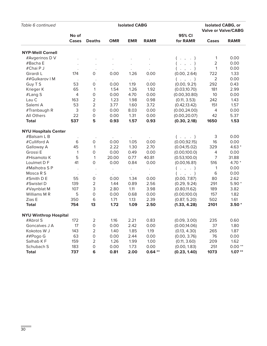| Table 6 continued            |                | <b>Isolated CABG</b> |            |                      |             |                     |                           | <b>Isolated CABG, or</b><br><b>Valve or Valve/CABG</b> |  |
|------------------------------|----------------|----------------------|------------|----------------------|-------------|---------------------|---------------------------|--------------------------------------------------------|--|
|                              | No of          |                      |            |                      |             | 95% CI              |                           |                                                        |  |
|                              | Cases          | <b>Deaths</b>        | <b>OMR</b> | <b>EMR</b>           | <b>RAMR</b> | for RAMR            | Cases                     | <b>RAMR</b>                                            |  |
| <b>NYP-Weill Cornell</b>     |                |                      |            |                      |             |                     |                           |                                                        |  |
| #Avgerinos D V               |                |                      |            |                      |             | $($ $,$ $,$ $)$     | 1                         | 0.00                                                   |  |
| #Bacha E                     |                |                      |            |                      |             | $\cdot$ , $\cdot$ ) | $\overline{2}$            | 0.00                                                   |  |
| #Chai P J                    |                |                      |            |                      |             | $($ $,$ $,$ $)$     | $\mathbf{1}$              | 0.00                                                   |  |
| Girardi L                    | 174            | $\mathsf O$          | 0.00       | 1.26                 | 0.00        | (0.00, 2.64)        | 722                       | 1.33                                                   |  |
| ##Gulkarov   M               |                |                      |            | $\bullet$            | $\Box$      | $($ $,$ $,$ $)$     | $\overline{2}$            | 0.00                                                   |  |
| Guy T S                      | 53             | $\mathsf{O}\xspace$  | 0.00       | 1.19                 | 0.00        | (0.00, 9.21)        | 292                       | 0.43                                                   |  |
| Krieger K                    | 65             | 1                    | 1.54       | 1.26                 | 1.92        | (0.03, 10.70)       | 181                       | 2.99                                                   |  |
| #Lang S                      | $\overline{4}$ | $\mathsf O$          | 0.00       | 4.70                 | 0.00        | (0.00, 30.80)       | 10                        | 0.00                                                   |  |
| Lau C                        | 163            | $\overline{2}$       | 1.23       | 1.98                 | 0.98        | (0.11, 3.53)        | 242                       | 1.43                                                   |  |
| Salemi A                     | 53             | $\overline{2}$       | 3.77       | 1.60                 | 3.72        | (0.42, 13.42)       | 151                       | 1.57                                                   |  |
| #Tranbaugh R                 | 3              | $\mathsf O$          | 0.00       | 8.03                 | 0.00        | (0.00, 24.00)       | $\overline{4}$            | 0.00                                                   |  |
| All Others                   | 22             | $\mathsf O$          | 0.00       | 1.31                 | 0.00        | (0.00, 20.07)       | 42                        | 5.37                                                   |  |
| <b>Total</b>                 | 537            | 5                    | 0.93       | 1.57                 | 0.93        | (0.30, 2.18)        | 1650                      | 1.53                                                   |  |
| <b>NYU Hospitals Center</b>  |                |                      |            |                      |             |                     |                           |                                                        |  |
| #Balsam L B                  |                |                      |            |                      |             | $($ $,$ $,$ $)$     | $\ensuremath{\mathsf{3}}$ | 0.00                                                   |  |
| #Culliford A                 | 6              | $\mathsf O$          | 0.00       | 1.05                 | 0.00        | (0.00, 92.15)       | 16                        | 0.00                                                   |  |
| Galloway A                   | 45             | 1                    | 2.22       | 1.30                 | 2.70        | (0.04, 15.02)       | 329                       | $4.63*$                                                |  |
| Grossi E                     | $\mathbf{1}$   | $\mathsf O$          | 0.00       | 0.49                 | 0.00        | (0.00, 100.0)       | 4                         | 0.00                                                   |  |
| #Hisamoto K                  | 5              | $\mathbf{1}$         | 20.00      | 0.77                 | 40.81       | (0.53, 100.0)       | $\overline{7}$            | 31.88                                                  |  |
| Loulmet D F                  | 41             | $\mathsf{O}\xspace$  | 0.00       | 0.84                 | 0.00        | (0.00, 16.81)       | 516                       | 4.70 *                                                 |  |
| #Malhotra SP                 | $\cdot$        |                      |            | $\ddot{\phantom{0}}$ | $\bullet$   | $($ $,$ $,$ $)$     | 1                         | 0.00                                                   |  |
| Mosca R S                    |                |                      |            |                      |             | $($ , , . $)$       | $\,$ 6                    | 0.00                                                   |  |
| #Smith D E                   | 55             | $\mathsf O$          | 0.00       | 1.34                 | 0.00        | (0.00, 7.87)        | 80                        | 2.62                                                   |  |
| #Swistel D                   | 139            | $\overline{2}$       | 1.44       | 0.89                 | 2.56        | (0.29, 9.24)        | 291                       | $5.90*$                                                |  |
| #Vaynblat M                  | 107            | 3                    | 2.80       | 1.11                 | 3.98        | (0.80, 11.62)       | 189                       | 3.82                                                   |  |
| Williams M R                 | 5              | $\mathsf O$          | 0.00       | 0.68                 | 0.00        | (0.00, 100.0)       | 157                       | 1.82                                                   |  |
| Zias E                       | 350            | $\,$ 6               | 1.71       | 1.13                 | 2.39        | (0.87, 5.20)        | 502                       | 1.61                                                   |  |
| <b>Total</b>                 | 754            | 13                   | 1.72       | 1.09                 | 2.50        | (1.33, 4.28)        | 2101                      | $3.50*$                                                |  |
| <b>NYU Winthrop Hospital</b> |                |                      |            |                      |             |                     |                           |                                                        |  |
| #Abrol S                     | 172            | $\overline{2}$       | 1.16       | 2.21                 | 0.83        | (0.09, 3.00)        | 235                       | 0.60                                                   |  |
| Goncalves J A                | 17             | 0                    | 0.00       | 2.42                 | 0.00        | (0.00, 14.06)       | 37                        | 1.80                                                   |  |
| Kokotos W J                  | 143            | 2                    | 1.40       | 1.85                 | 1.19        | (0.13, 4.30)        | 265                       | 1.87                                                   |  |
| ##Pogo G                     | 63             | $\mathsf O$          | 0.00       | 2.44                 | 0.00        | (0.00, 3.76)        | 76                        | 0.00                                                   |  |
| Salhab KF                    | 159            | $\overline{2}$       | 1.26       | 1.99                 | 1.00        | (0.11, 3.60)        | 209                       | 1.62                                                   |  |
| Schubach S                   | 183            | $\mathsf O$          | 0.00       | 1.73                 | 0.00        | (0.00, 1.83)        | 251                       | $0.00**$                                               |  |
| <b>Total</b>                 | 737            | 6                    | 0.81       | 2.00                 | $0.64**$    | (0.23, 1.40)        | 1073                      | $1.07**$                                               |  |

÷,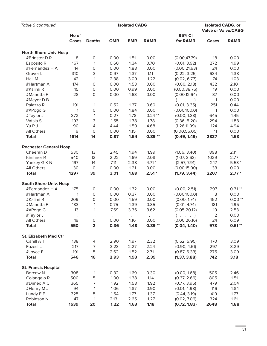| Table 6 continued             |              |                         | <b>Isolated CABG, or</b><br><b>Valve or Valve/CABG</b> |            |             |                 |       |             |
|-------------------------------|--------------|-------------------------|--------------------------------------------------------|------------|-------------|-----------------|-------|-------------|
|                               | No of        |                         |                                                        |            |             | 95% CI          |       |             |
|                               | Cases        | <b>Deaths</b>           | <b>OMR</b>                                             | <b>EMR</b> | <b>RAMR</b> | for RAMR        | Cases | <b>RAMR</b> |
| <b>North Shore Univ Hosp</b>  |              |                         |                                                        |            |             |                 |       |             |
| #Brinster D R                 | 8            | 0                       | 0.00                                                   | 1.51       | 0.00        | (0.00, 47.79)   | 18    | 0.00        |
| Esposito R                    | 167          | 1                       | 0.60                                                   | 1.34       | 0.70        | (0.01, 3.92)    | 272   | 1.99        |
| #Fernandez H A                | 14           | 0                       | 0.00                                                   | 1.88       | 0.00        | (0.00, 21.93)   | 24    | 0.00        |
| Graver L                      | 310          | 3                       | 0.97                                                   | 1.37       | 1.11        | (0.22, 3.25)    | 634   | 1.38        |
| Hall M                        | 42           | 1                       | 2.38                                                   | 3.09       | 1.22        | (0.02, 6.77)    | 74    | 1.03        |
| #Hartman A                    | 174          | 0                       | 0.00                                                   | 1.53       | 0.00        | (0.00, 2.18)    | 432   | 2.10        |
| #Kalimi R                     | 15           | 0                       | 0.00                                                   | 0.99       | 0.00        | (0.00, 38.76)   | 19    | 0.00        |
| #Manetta F                    | 28           | 0                       | 0.00                                                   | 1.63       | 0.00        | (0.00, 12.64)   | 37    | 0.00        |
| #Meyer D B                    |              |                         |                                                        |            | $\bullet$   | $($ $,$ $,$ $)$ | 1     | 0.00        |
| Palazzo R                     | 191          | 1                       | 0.52                                                   | 1.37       | 0.60        | (0.01, 3.35)    | 251   | 0.44        |
| ##Pogo G                      | $\mathbf{1}$ | 0                       | 0.00                                                   | 1.84       | 0.00        | (0.00, 100.0)   | 1     | 0.00        |
| #Taylor J                     | 372          | $\mathbf{1}$            | 0.27                                                   | 1.78       | $0.24**$    | (0.00, 1.33)    | 645   | 1.45        |
| Vatsia S                      | 193          | 3                       | 1.55                                                   | 1.38       | 1.78        | (0.36, 5.20)    | 294   | 1.88        |
| Yu P J                        | 90           | 4                       | 4.44                                                   | 1.50       | 4.68        | (1.26, 11.99)   | 124   | 4.94        |
| <b>All Others</b>             | 9            | 0                       | 0.00                                                   | 1.15       | 0.00        | (0.00, 56.05)   | 11    | 0.00        |
| <b>Total</b>                  | 1614         | 14                      | 0.87                                                   | 1.54       | $0.89**$    | (0.49, 1.49)    | 2837  | 1.63        |
| <b>Rochester General Hosp</b> |              |                         |                                                        |            |             |                 |       |             |
| Cheeran D                     | 530          | 13                      | 2.45                                                   | 1.94       | 1.99        | (1.06, 3.40)    | 898   | 2.11        |
| Kirshner R                    | 540          | 12                      | 2.22                                                   | 1.69       | 2.08        | (1.07, 3.63)    | 1029  | 2.77        |
| Yankey G K N                  | 197          | 14                      | 7.11                                                   | 2.38       | $4.71*$     | (2.57, 7.91)    | 247   | $5.53*$     |
| <b>All Others</b>             | 30           | 0                       | 0.00                                                   | 1.21       | 0.00        | (0.00, 15.90)   | 33    | 0.00        |
| <b>Total</b>                  | 1297         | 39                      | 3.01                                                   | 1.89       | $2.51*$     | (1.79, 3.44)    | 2207  | $2.77*$     |
| <b>South Shore Univ. Hosp</b> |              |                         |                                                        |            |             |                 |       |             |
| #Fernandez H A                | 175          | 0                       | 0.00                                                   | 1.32       | 0.00        | (0.00, 2.51)    | 297   | $0.31**$    |
| #Hartman A                    | $\mathbf{1}$ | 0                       | 0.00                                                   | 0.37       | 0.00        | (0.00, 100.0)   | 3     | 0.00        |
| #Kalimi R                     | 209          | 0                       | 0.00                                                   | 1.59       | 0.00        | (0.00, 1.74)    | 452   | $0.00**$    |
| #Manetta F                    | 133          | 1                       | 0.75                                                   | 1.39       | 0.85        | (0.01, 4.74)    | 181   | 1.95        |
| ##Pogo G                      | 13           | 1                       | 7.69                                                   | 3.36       | 3.62        | (0.05, 20.12)   | 19    | 2.53        |
| #Taylor J                     |              |                         |                                                        |            |             | $($ $,$ $,$ $)$ | 2     | 0.00        |
| All Others                    | 19           | 0                       | 0.00                                                   | 1.16       | 0.00        | (0.00, 26.16)   | 24    | 6.09        |
| <b>Total</b>                  | 550          | $\overline{\mathbf{2}}$ | 0.36                                                   | 1.48       | $0.39**$    | (0.04, 1.40)    | 978   | $0.61**$    |
| <b>St. Elizabeth Med Ctr</b>  |              |                         |                                                        |            |             |                 |       |             |
| Cahill A T                    | 138          | 4                       | 2.90                                                   | 1.97       | 2.32        | (0.62, 5.95)    | 170   | 3.09        |
| Fuzesi L                      | 217          | 7                       | 3.23                                                   | 2.27       | 2.24        | (0.90, 4.61)    | 297   | 3.29        |
| #Joyce F                      | 191          | 5                       | 2.62                                                   | 1.52       | 2.71        | (0.87, 6.33)    | 275   | 3.09        |
| <b>Total</b>                  | 546          | 16                      | 2.93                                                   | 1.93       | 2.39        | (1.37, 3.88)    | 742   | 3.18        |
| <b>St. Francis Hospital</b>   |              |                         |                                                        |            |             |                 |       |             |
| <b>Bercow N</b>               | 308          | 1                       | 0.32                                                   | 1.69       | 0.30        | (0.00, 1.68)    | 505   | 2.46        |
| Colangelo R                   | 500          | 5                       | 1.00                                                   | 1.38       | 1.14        | (0.37, 2.66)    | 805   | 1.51        |
| #Dimeo A C                    | 365          | $\overline{7}$          | 1.92                                                   | 1.58       | 1.92        | (0.77, 3.96)    | 479   | 2.04        |
| #Henry M J                    | 94           | 1                       | 1.06                                                   | 1.87       | 0.90        | (0.01, 4.98)    | 116   | 1.84        |
| Lundy E F                     | 325          | 5                       | 1.54                                                   | 1.77       | 1.37        | (0.44, 3.19)    | 419   | 1.77        |
| Robinson N                    | 47           | 1                       | 2.13                                                   | 2.65       | 1.27        | (0.02, 7.06)    | 324   | 1.61        |
| <b>Total</b>                  | 1639         | 20                      | 1.22                                                   | 1.63       | 1.18        | (0.72, 1.83)    | 2648  | 1.88        |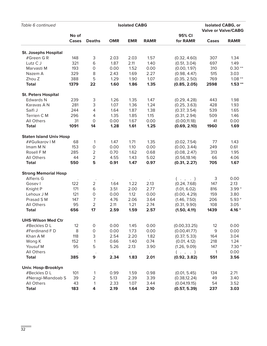| Table 6 continued              |                       |                |            | <b>Isolated CABG, or</b><br><b>Valve or Valve/CABG</b> |             |                    |              |             |
|--------------------------------|-----------------------|----------------|------------|--------------------------------------------------------|-------------|--------------------|--------------|-------------|
|                                | No of<br><b>Cases</b> | <b>Deaths</b>  | <b>OMR</b> | <b>EMR</b>                                             | <b>RAMR</b> | 95% CI<br>for RAMR | <b>Cases</b> | <b>RAMR</b> |
| <b>St. Josephs Hospital</b>    |                       |                |            |                                                        |             |                    |              |             |
| #Green GR                      | 148                   | 3              | 2.03       | 2.03                                                   | 1.57        | (0.32, 4.60)       | 307          | 1.34        |
| Lutz C J                       | 321                   | 6              | 1.87       | 2.11                                                   | 1.40        | (0.51, 3.04)       | 697          | 1.49        |
| Marvasti M                     | 193                   | 0              | 0.00       | 1.52                                                   | 0.00        | (0.00, 1.97)       | 310          | $0.30**$    |
| Nazem A                        | 329                   | 8              | 2.43       | 1.69                                                   | 2.27        | (0.98, 4.47)       | 515          | 3.03        |
| Zhou Z                         | 388                   | 5              | 1.29       | 1.90                                                   | 1.07        | (0.35, 2.50)       | 769          | $1.08**$    |
| <b>Total</b>                   | 1379                  | 22             | 1.60       | 1.86                                                   | 1.35        | (0.85, 2.05)       | 2598         | $1.53**$    |
| <b>St. Peters Hospital</b>     |                       |                |            |                                                        |             |                    |              |             |
| <b>Edwards N</b>               | 239                   | 3              | 1.26       | 1.35                                                   | 1.47        | (0.29, 4.28)       | 443          | 1.98        |
| Karavas A N                    | 281                   | 3              | 1.07       | 1.36                                                   | 1.24        | (0.25, 3.63)       | 428          | 1.93        |
| Saifi J                        | 244                   | 4              | 1.64       | 1.87                                                   | 1.38        | (0.37, 3.54)       | 539          | 1.65        |
| Terrien C M                    | 296                   | 4              | 1.35       | 1.85                                                   | 1.15        | (0.31, 2.94)       | 509          | 1.46        |
| All Others                     | 31                    | $\mathbf 0$    | 0.00       | 1.67                                                   | 0.00        | (0.00, 11.18)      | 41           | 0.00        |
| <b>Total</b>                   | 1091                  | 14             | 1.28       | 1.61                                                   | 1.25        | (0.69, 2.10)       | 1960         | 1.69        |
| <b>Staten Island Univ Hosp</b> |                       |                |            |                                                        |             |                    |              |             |
| ##Gulkarov   M                 | 68                    | 1              | 1.47       | 1.71                                                   | 1.35        | (0.02, 7.54)       | 77           | 1.43        |
| Imam M N                       | 153                   | 0              | 0.00       | 1.10                                                   | 0.00        | (0.00, 3.44)       | 249          | 0.61        |
| Rosell F M                     | 285                   | $\overline{2}$ | 0.70       | 1.62                                                   | 0.68        | (0.08, 2.47)       | 313          | 1.95        |
| All Others                     | 44                    | $\overline{2}$ | 4.55       | 1.43                                                   | 5.02        | (0.56, 18.14)      | 66           | 4.06        |
| <b>Total</b>                   | 550                   | 5              | 0.91       | 1.47                                                   | 0.97        | (0.31, 2.27)       | 705          | 1.67        |
| <b>Strong Memorial Hosp</b>    |                       |                |            |                                                        |             |                    |              |             |
| Alfieris G                     |                       |                |            |                                                        |             | $($ $,$ $,$ $)$    | 3            | 0.00        |
| Gosev I                        | 122                   | $\overline{2}$ | 1.64       | 1.22                                                   | 2.13        | (0.24, 7.68)       | 147          | 2.13        |
| Knight P                       | 171                   | 6              | 3.51       | 2.00                                                   | 2.77        | (1.01, 6.02)       | 816          | $3.99*$     |
| Lehoux J M                     | 121                   | 0              | 0.00       | 1.12                                                   | 0.00        | (0.00, 4.29)       | 159          | 3.80        |
| Prasad S M                     | 147                   | 7              | 4.76       | 2.06                                                   | 3.64        | (1.46, 7.50)       | 206          | $5.93*$     |
| All Others                     | 95                    | $\overline{2}$ | 2.11       | 1.21                                                   | 2.74        | (0.31, 9.90)       | 108          | 3.05        |
| <b>Total</b>                   | 656                   | 17             | 2.59       | 1.59                                                   | 2.57        | (1.50, 4.11)       | 1439         | $4.16*$     |
| <b>UHS-Wilson Med Ctr</b>      |                       |                |            |                                                        |             |                    |              |             |
| #Beckles D L                   | 12                    | 0              | 0.00       | 1.45                                                   | 0.00        | (0.00, 33.25)      | 12           | 0.00        |
| #Ferdinand FD                  | 8                     | 0              | 0.00       | 1.73                                                   | 0.00        | (0.00, 41.77)      | 9            | 0.00        |
| Khan A M                       | 118                   | 3              | 2.54       | 2.20                                                   | 1.82        | (0.37, 5.33)       | 164          | 3.04        |
| Wong K                         | 152                   | 1              | 0.66       | 1.40                                                   | 0.74        | (0.01, 4.12)       | 218          | 1.24        |
| Yousuf M                       | 95                    | 5              | 5.26       | 2.13                                                   | 3.90        | (1.26, 9.09)       | 147          | $7.30*$     |
| All Others                     |                       |                |            |                                                        |             | $($ $,$ $,$ $)$    | 1            | 0.00        |
| <b>Total</b>                   | 385                   | 9              | 2.34       | 1.83                                                   | 2.01        | (0.92, 3.82)       | 551          | 3.56        |
| <b>Univ. Hosp-Brooklyn</b>     |                       |                |            |                                                        |             |                    |              |             |
| #Beckles D L                   | 101                   | 1              | 0.99       | 1.59                                                   | 0.98        | (0.01, 5.45)       | 134          | 2.71        |
| #Neragi-Miandoab S             | 39                    | $\overline{2}$ | 5.13       | 2.39                                                   | 3.39        | (0.38, 12.24)      | 49           | 3.40        |
| All Others                     | 43                    | 1              | 2.33       | 1.07                                                   | 3.44        | (0.04, 19.15)      | 54           | 3.52        |
| <b>Total</b>                   | 183                   | 4              | 2.19       | 1.64                                                   | 2.10        | (0.57, 5.39)       | 237          | 3.03        |

a,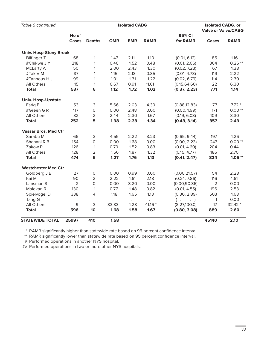| Table 6 continued             |                |                     |            | <b>Isolated CABG</b> |                      |                 | <b>Isolated CABG, or</b><br><b>Valve or Valve/CABG</b> |             |
|-------------------------------|----------------|---------------------|------------|----------------------|----------------------|-----------------|--------------------------------------------------------|-------------|
|                               | No of          |                     |            |                      |                      | 95% CI          |                                                        |             |
|                               | <b>Cases</b>   | <b>Deaths</b>       | <b>OMR</b> | <b>EMR</b>           | <b>RAMR</b>          | for RAMR        | Cases                                                  | <b>RAMR</b> |
| <b>Univ. Hosp-Stony Brook</b> |                |                     |            |                      |                      |                 |                                                        |             |
| <b>Bilfinger T</b>            | 68             | 1                   | 1.47       | 2.11                 | 1.10                 | (0.01, 6.12)    | 85                                                     | 1.16        |
| #Chikwe J Y                   | 218            | 1                   | 0.46       | 1.52                 | 0.48                 | (0.01, 2.66)    | 364                                                    | $0.26**$    |
| McLarty A                     | 50             | 1                   | 2.00       | 2.43                 | 1.30                 | (0.02, 7.23)    | 67                                                     | 1.38        |
| #Tak V M                      | 87             | 1                   | 1.15       | 2.13                 | 0.85                 | (0.01, 4.73)    | 119                                                    | 2.22        |
| #Tannous H J                  | 99             | 1                   | 1.01       | 1.31                 | 1.22                 | (0.02, 6.79)    | 114                                                    | 2.30        |
| All Others                    | 15             | 1                   | 6.67       | 0.91                 | 11.61                | (0.15, 64.60)   | 22                                                     | 6.30        |
| <b>Total</b>                  | 537            | 6                   | 1.12       | 1.72                 | 1.02                 | (0.37, 2.23)    | 771                                                    | 1.14        |
| <b>Univ. Hosp-Upstate</b>     |                |                     |            |                      |                      |                 |                                                        |             |
| Esrig B                       | 53             | 3                   | 5.66       | 2.03                 | 4.39                 | (0.88, 12.83)   | 77                                                     | $7.72*$     |
| #Green GR                     | 117            | $\mathsf{O}\xspace$ | 0.00       | 2.48                 | 0.00                 | (0.00, 1.99)    | 171                                                    | $0.00**$    |
| All Others                    | 82             | $\overline{2}$      | 2.44       | 2.30                 | 1.67                 | (0.19, 6.03)    | 109                                                    | 3.30        |
| <b>Total</b>                  | 252            | 5                   | 1.98       | 2.33                 | 1.34                 | (0.43, 3.14)    | 357                                                    | 2.49        |
| <b>Vassar Bros. Med Ctr</b>   |                |                     |            |                      |                      |                 |                                                        |             |
| Sarabu M                      | 66             | 3                   | 4.55       | 2.22                 | 3.23                 | (0.65, 9.44)    | 197                                                    | 1.26        |
| Shahani R B                   | 154            | $\mathsf{O}\xspace$ | 0.00       | 1.68                 | 0.00                 | (0.00, 2.23)    | 247                                                    | $0.00**$    |
| Zakow P                       | 126            | $\mathbf{1}$        | 0.79       | 1.52                 | 0.83                 | (0.01, 4.60)    | 204                                                    | 0.44        |
| <b>All Others</b>             | 128            | $\mathbf 2$         | 1.56       | 1.87                 | 1.32                 | (0.15, 4.77)    | 186                                                    | 2.70        |
| <b>Total</b>                  | 474            | 6                   | 1.27       | 1.76                 | 1.13                 | (0.41, 2.47)    | 834                                                    | $1.05***$   |
| <b>Westchester Med Ctr</b>    |                |                     |            |                      |                      |                 |                                                        |             |
| Goldberg J B                  | 27             | $\mathsf{O}\xspace$ | 0.00       | 0.99                 | 0.00                 | (0.00, 21.57)   | 54                                                     | 2.28        |
| Kai M                         | 90             | $\overline{2}$      | 2.22       | 1.61                 | 2.18                 | (0.24, 7.86)    | 116                                                    | 4.61        |
| Lansman S                     | $\overline{2}$ | $\mathsf O$         | 0.00       | 3.20                 | 0.00                 | (0.00, 90.36)   | $\overline{2}$                                         | 0.00        |
| Malekan R                     | 130            | 1                   | 0.77       | 1.48                 | 0.82                 | (0.01, 4.55)    | 196                                                    | 2.53        |
| Spielvogel D                  | 338            | 4                   | 1.18       | 1.65                 | 1.13                 | (0.30, 2.89)    | 503                                                    | 1.68        |
| Tang G                        |                |                     |            | $\bullet$            | $\ddot{\phantom{a}}$ | $($ $,$ $,$ $)$ | $\mathbf{1}$                                           | 0.00        |
| <b>All Others</b>             | 9              | 3                   | 33.33      | 1.28                 | 41.16 *              | (8.27,100.0)    | 17                                                     | 32.42 *     |
| <b>Total</b>                  | 596            | 10                  | 1.68       | 1.58                 | 1.67                 | (0.80, 3.08)    | 889                                                    | 2.60        |
| <b>STATEWIDE TOTAL</b>        | 25997          | 410                 | 1.58       |                      |                      |                 | 45140                                                  | 2.10        |

\* RAMR significantly higher than statewide rate based on 95 percent confidence interval.

\*\* RAMR significantly lower than statewide rate based on 95 percent confidence interval.

# Performed operations in another NYS hospital.

## Performed operations in two or more other NYS hospitals.

Ē.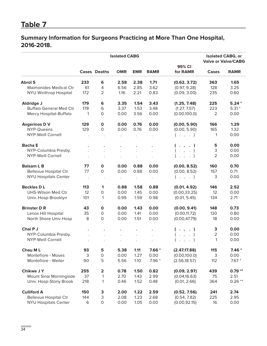## **Summary Information for Surgeons Practicing at More Than One Hospital, 2016-2018.**

|                                |                |                         | <b>Isolated CABG</b> |                      |             |                    | <b>Isolated CABG, or</b><br><b>Valve or Valve/CABG</b> |             |  |
|--------------------------------|----------------|-------------------------|----------------------|----------------------|-------------|--------------------|--------------------------------------------------------|-------------|--|
|                                |                | <b>Cases Deaths</b>     | <b>OMR</b>           | <b>EMR</b>           | <b>RAMR</b> | 95% CI<br>for RAMR | <b>Cases</b>                                           | <b>RAMR</b> |  |
| <b>Abrol S</b>                 | 233            | 6                       | 2.58                 | 2.38                 | 1.71        | (0.62, 3.72)       | 363                                                    | 1.65        |  |
| <b>Maimonides Medical Ctr</b>  | 61             | $\overline{4}$          | 6.56                 | 2.85                 | 3.62        | (0.97, 9.28)       | 128                                                    | 3.25        |  |
| NYU Winthrop Hospital          | 172            | $\overline{2}$          | 1.16                 | 2.21                 | 0.83        | (0.09, 3.00)       | 235                                                    | 0.60        |  |
| <b>Aldridge J</b>              | 179            | 6                       | 3.35                 | 1.54                 | 3.43        | (1.25, 7.48)       | 225                                                    | $5.24*$     |  |
| <b>Buffalo General Med Ctr</b> | 178            | 6                       | 3.37                 | 1.53                 | 3.48        | (1.27, 7.57)       | 223                                                    | $5.31*$     |  |
| Mercy Hospital-Buffalo         | 1              | 0                       | 0.00                 | 3.56                 | 0.00        | (0.00, 100.0)      | $\overline{2}$                                         | 0.00        |  |
| <b>Avgerinos D V</b>           | 129            | $\mathbf 0$             | 0.00                 | 0.76                 | 0.00        | (0.00, 5.90)       | 166                                                    | 1.29        |  |
| NYP-Queens                     | 129            | $\circ$                 | 0.00                 | 0.76                 | 0.00        | (0.00, 5.90)       | 165                                                    | 1.32        |  |
| <b>NYP-Weill Cornell</b>       | $\cdot$        | $\bullet$               | $\ddot{\phantom{0}}$ | $\ddot{\phantom{0}}$ | $\Box$      | $($ $,$ $,$ $)$    | 1                                                      | 0.00        |  |
| <b>Bacha E</b>                 |                |                         |                      |                      |             | ( . , . )          | 5                                                      | 0.00        |  |
| NYP-Columbia Presby.           |                |                         |                      |                      |             | $($ $,$ $,$ $)$    | 3                                                      | 0.00        |  |
| <b>NYP-Weill Cornell</b>       |                | $\ddot{\phantom{a}}$    | $\bullet$            | $\ddot{\phantom{0}}$ |             | $($ $,$ $,$ $)$    | $\overline{2}$                                         | 0.00        |  |
| <b>Balsam L B</b>              | 77             | $\mathbf 0$             | 0.00                 | 0.88                 | 0.00        | (0.00, 8.52)       | 160                                                    | 0.70        |  |
| <b>Bellevue Hospital Ctr</b>   | 77             | 0                       | 0.00                 | 0.88                 | 0.00        | (0.00, 8.52)       | 157                                                    | 0.71        |  |
| <b>NYU Hospitals Center</b>    | $\blacksquare$ | $\blacksquare$          | $\bullet$            | $\bullet$            | $\sim$      | $($ $,$ $,$ $)$    | 3                                                      | 0.00        |  |
| <b>Beckles DL</b>              | 113            | 1                       | 0.88                 | 1.58                 | 0.88        | (0.01, 4.92)       | 146                                                    | 2.52        |  |
| UHS-Wilson Med Ctr             | 12             | 0                       | 0.00                 | 1.45                 | 0.00        | (0.00, 33.25)      | 12                                                     | 0.00        |  |
| Univ. Hosp-Brooklyn            | 101            | $\mathbf{1}$            | 0.99                 | 1.59                 | 0.98        | (0.01, 5.45)       | 134                                                    | 2.71        |  |
| <b>Brinster D R</b>            | 43             | $\mathbf{o}$            | 0.00                 | 1.43                 | 0.00        | (0.00, 9.41)       | 148                                                    | 0.73        |  |
| Lenox Hill Hospital            | 35             | $\mathsf{O}$            | 0.00                 | 1.41                 | 0.00        | (0.00, 11.72)      | 130                                                    | 0.80        |  |
| North Shore Univ Hosp          | 8              | $\mathsf{O}$            | 0.00                 | 1.51                 | 0.00        | (0.00, 47.79)      | 18                                                     | 0.00        |  |
| Chai P J                       | $\bullet$      |                         |                      | $\bullet$            |             | ( . , . )          | 3                                                      | 0.00        |  |
| NYP-Columbia Presby.           |                |                         | $\ddot{\phantom{a}}$ | $\ddot{\phantom{a}}$ |             | $($ $,$ $,$ $)$    | $\overline{2}$                                         | 0.00        |  |
| <b>NYP-Weill Cornell</b>       |                |                         |                      |                      |             | $\ddots$           | $\mathbf{1}$                                           | 0.00        |  |
| <b>Chau ML</b>                 | 93             | 5                       | 5.38                 | 1.11                 | $7.66*$     | (2.47, 17.88)      | 115                                                    | $7.46*$     |  |
| Montefiore - Moses             | 3              | $\mathsf O$             | 0.00                 | 1.27                 | 0.00        | (0.00, 100.0)      | 3                                                      | 0.00        |  |
| Montefiore - Weiler            | 90             | 5                       | 5.56                 | 1.10                 | $7.96*$     | (2.56, 18.57)      | 112                                                    | $7.67*$     |  |
| <b>Chikwe J Y</b>              | 255            | $\overline{\mathbf{2}}$ | 0.78                 | 1.50                 | 0.82        | (0.09, 2.97)       | 439                                                    | $0.79**$    |  |
| Mount Sinai Morningside        | 37             | $\mathbf{1}$            | 2.70                 | 1.43                 | 2.99        | (0.04, 16.63)      | 75                                                     | 2.51        |  |
| Univ. Hosp-Stony Brook         | 218            | 1                       | 0.46                 | 1.52                 | 0.48        | (0.01, 2.66)       | 364                                                    | $0.26**$    |  |
| <b>Culliford A</b>             | 150            | 3                       | 2.00                 | 1.22                 | 2.59        | (0.52, 7.56)       | 241                                                    | 2.74        |  |
| <b>Bellevue Hospital Ctr</b>   | 144            | 3                       | 2.08                 | 1.23                 | 2.68        | (0.54, 7.82)       | 225                                                    | 2.95        |  |
| <b>NYU Hospitals Center</b>    | 6              | $\mathsf{O}\xspace$     | 0.00                 | 1.05                 | 0.00        | (0.00, 92.15)      | 16                                                     | 0.00        |  |

÷,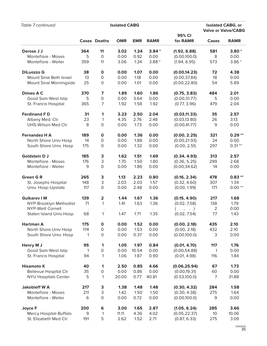| Table 7 continued              |     | <b>Isolated CABG</b>    |            | <b>Isolated CABG, or</b><br><b>Valve or Valve/CABG</b> |             |                     |                |             |
|--------------------------------|-----|-------------------------|------------|--------------------------------------------------------|-------------|---------------------|----------------|-------------|
|                                |     | <b>Cases Deaths</b>     | <b>OMR</b> | <b>EMR</b>                                             | <b>RAMR</b> | 95% CI<br>for RAMR  | <b>Cases</b>   | <b>RAMR</b> |
| Derose J J                     | 364 | 11                      | 3.02       | 1.24                                                   | $3.84*$     | (1.92, 6.88)        | 581            | $3.80*$     |
| Montefiore - Moses             | 5   | $\mathbf 0$             | 0.00       | 0.92                                                   | 0.00        | (0.00, 100.0)       | 8              | 0.00        |
| Montefiore - Weiler            | 359 | 11                      | 3.06       | 1.24                                                   | $3.88*$     | (1.94, 6.95)        | 573            | $3.86*$     |
| <b>DiLuozzo G</b>              | 38  | $\mathbf 0$             | 0.00       | 1.07                                                   | 0.00        | (0.00, 14.23)       | 72             | 4.38        |
| <b>Mount Sinai Beth Israel</b> | 13  | $\mathsf{O}\xspace$     | 0.00       | 1.18                                                   | 0.00        | (0.00, 37.84)       | 18             | 0.00        |
| Mount Sinai Morningside        | 25  | $\mathsf{O}$            | 0.00       | 1.01                                                   | 0.00        | (0.00, 22.80)       | 54             | 5.89        |
| Dimeo A C                      | 370 | 7                       | 1.89       | 1.60                                                   | 1.86        | (0.75, 3.83)        | 484            | 2.01        |
| Good Sam-West Islip            | 5   | $\mathsf{O}\xspace$     | 0.00       | 3.64                                                   | 0.00        | (0.00, 31.77)       | 5              | 0.00        |
| St. Francis Hospital           | 365 | $\overline{7}$          | 1.92       | 1.58                                                   | 1.92        | (0.77, 3.96)        | 479            | 2.04        |
| <b>Ferdinand FD</b>            | 31  | 1                       | 3.23       | 2.50                                                   | 2.04        | (0.03, 11.33)       | 35             | 2.57        |
| Albany Med. Ctr                | 23  | 1                       | 4.35       | 2.76                                                   | 2.48        | (0.03, 13.80)       | 26             | 3.13        |
| UHS-Wilson Med Ctr             | 8   | $\mathsf{O}$            | 0.00       | 1.73                                                   | 0.00        | (0.00, 41.77)       | 9              | 0.00        |
| <b>Fernandez H A</b>           | 189 | $\mathbf 0$             | 0.00       | 1.36                                                   | 0.00        | (0.00, 2.25)        | 321            | $0.29**$    |
| North Shore Univ Hosp          | 14  | $\mathsf{O}\xspace$     | 0.00       | 1.88                                                   | 0.00        | (0.00, 21.93)       | 24             | 0.00        |
| South Shore Univ. Hosp         | 175 | 0                       | 0.00       | 1.32                                                   | 0.00        | (0.00, 2.51)        | 297            | $0.31**$    |
| Goldstein D J                  | 185 | 3                       | 1.62       | 1.51                                                   | 1.69        | (0.34, 4.93)        | 313            | 2.57        |
| Montefiore - Moses             | 176 | 3                       | 1.70       | 1.50                                                   | 1.80        | (0.36, 5.25)        | 299            | 2.68        |
| Montefiore - Weiler            | 9   | 0                       | 0.00       | 1.86                                                   | 0.00        | (0.00, 34.62)       | 14             | 0.00        |
| <b>Green GR</b>                | 265 | 3                       | 1.13       | 2.23                                                   | 0.80        | (0.16, 2.34)        | 478            | $0.83***$   |
| St. Josephs Hospital           | 148 | 3                       | 2.03       | 2.03                                                   | 1.57        | (0.32, 4.60)        | 307            | 1.34        |
| Univ. Hosp-Upstate             | 117 | 0                       | 0.00       | 2.48                                                   | 0.00        | (0.00, 1.99)        | 171            | $0.00**$    |
| <b>Gulkarov   M</b>            | 139 | $\overline{\mathbf{2}}$ | 1.44       | 1.67                                                   | 1.36        | (0.15, 4.90)        | 217            | 1.68        |
| NYP-Brooklyn Methodist         | 71  | 1                       | 1.41       | 1.63                                                   | 1.36        | (0.02, 7.58)        | 138            | 1.79        |
| <b>NYP-Weill Cornell</b>       |     |                         |            | $\cdot$                                                |             | $\cdot$ , $\cdot$ ) | $\overline{2}$ | 0.00        |
| <b>Staten Island Univ Hosp</b> | 68  | 1                       | 1.47       | 1.71                                                   | 1.35        | (0.02, 7.54)        | 77             | 1.43        |
| <b>Hartman A</b>               | 175 | $\mathbf 0$             | 0.00       | 1.52                                                   | 0.00        | (0.00, 2.18)        | 435            | 2.10        |
| North Shore Univ Hosp          | 174 | 0                       | 0.00       | 1.53                                                   | 0.00        | (0.00, 2.18)        | 432            | 2.10        |
| South Shore Univ. Hosp         | 1   | 0                       | 0.00       | 0.37                                                   | 0.00        | (0.00, 100.0)       | 3              | 0.00        |
| Henry M J                      | 95  | 1                       | 1.05       | 1.97                                                   | 0.84        | (0.01, 4.70)        | 117            | 1.76        |
| Good Sam-West Islip            | 1   | $\mathsf{O}\xspace$     | 0.00       | 10.54                                                  | 0.00        | (0.00, 54.88)       | 1              | 0.00        |
| St. Francis Hospital           | 94  | 1                       | 1.06       | 1.87                                                   | 0.90        | (0.01, 4.98)        | 116            | 1.84        |
| <b>Hisamoto K</b>              | 40  | 1                       | 2.50       | 0.85                                                   | 4.66        | (0.06, 25.94)       | 67             | 1.73        |
| <b>Bellevue Hospital Ctr</b>   | 35  | $\mathsf{O}\xspace$     | 0.00       | 0.86                                                   | 0.00        | (0.00, 19.31)       | 60             | 0.00        |
| <b>NYU Hospitals Center</b>    | 5   | 1                       | 20.00      | 0.77                                                   | 40.81       | (0.53, 100.0)       | 7              | 31.88       |
| <b>Jakobleff WA</b>            | 217 | 3                       | 1.38       | 1.48                                                   | 1.48        | (0.30, 4.32)        | 284            | 1.58        |
| Montefiore - Moses             | 211 | 3                       | 1.42       | 1.50                                                   | 1.50        | (0.30, 4.38)        | 275            | 1.64        |
| Montefiore - Weiler            | 6   | 0                       | 0.00       | 0.72                                                   | 0.00        | (0.00, 100.0)       | 9              | 0.00        |
| <b>Joyce F</b>                 | 200 | 6                       | 3.00       | 1.65                                                   | 2.87        | (1.05, 6.24)        | 285            | 3.66        |
| Mercy Hospital-Buffalo         | 9   | 1                       | 11.11      | 4.36                                                   | 4.02        | (0.05, 22.37)       | 10             | 10.06       |
| St. Elizabeth Med Ctr          | 191 | 5                       | 2.62       | 1.52                                                   | 2.71        | (0.87, 6.33)        | 275            | 3.09        |

L.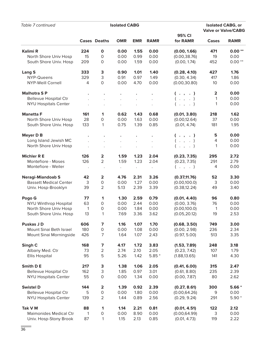| Table 7 continued                        |           |                         | <b>Isolated CABG</b> |                      |                      |                               |            | <b>Isolated CABG, or</b><br><b>Valve or Valve/CABG</b> |
|------------------------------------------|-----------|-------------------------|----------------------|----------------------|----------------------|-------------------------------|------------|--------------------------------------------------------|
|                                          |           | <b>Cases Deaths</b>     | <b>OMR</b>           | <b>EMR</b>           | <b>RAMR</b>          | 95% CI<br>for RAMR            | Cases      | <b>RAMR</b>                                            |
| <b>Kalimi R</b>                          | 224       | $\mathbf 0$             | 0.00                 | 1.55                 | 0.00                 |                               | 471        | $0.00**$                                               |
| North Shore Univ Hosp                    | 15        | 0                       | 0.00                 | 0.99                 | 0.00                 | (0.00, 1.66)<br>(0.00, 38.76) | 19         | 0.00                                                   |
| South Shore Univ. Hosp                   | 209       | $\mathsf{O}\xspace$     | 0.00                 | 1.59                 | 0.00                 | (0.00, 1.74)                  | 452        | $0.00**$                                               |
|                                          |           |                         |                      |                      |                      |                               |            |                                                        |
| <b>Lang S</b>                            | 333       | 3                       | 0.90                 | 1.01                 | 1.40                 | (0.28, 4.10)                  | 427        | 1.76                                                   |
| NYP-Queens                               | 329       | 3                       | 0.91                 | 0.97                 | 1.49                 | (0.30, 4.34)                  | 417        | 1.86                                                   |
| <b>NYP-Weill Cornell</b>                 | 4         | 0                       | 0.00                 | 4.70                 | 0.00                 | (0.00, 30.80)                 | 10         | 0.00                                                   |
| <b>Malhotra SP</b>                       |           |                         |                      |                      |                      | ( . , . )                     | 2          | 0.00                                                   |
| <b>Bellevue Hospital Ctr</b>             |           |                         |                      | $\ddot{\phantom{a}}$ | $\ddot{\phantom{a}}$ | $($ $,$ $,$ $)$               | 1          | 0.00                                                   |
| <b>NYU Hospitals Center</b>              |           |                         |                      |                      |                      | $($ $,$ $,$ $)$               | 1          | 0.00                                                   |
|                                          |           |                         |                      | $\ddot{\phantom{a}}$ | $\ddot{\phantom{0}}$ |                               |            |                                                        |
| <b>Manetta F</b>                         | 161       | 1                       | 0.62                 | 1.43                 | 0.68                 | (0.01, 3.80)                  | 218        | 1.62                                                   |
| North Shore Univ Hosp                    | 28        | 0                       | 0.00                 | 1.63                 | 0.00                 | (0.00, 12.64)                 | 37         | 0.00                                                   |
| South Shore Univ. Hosp                   | 133       | 1                       | 0.75                 | 1.39                 | 0.85                 | (0.01, 4.74)                  | 181        | 1.95                                                   |
| <b>Meyer D B</b>                         |           |                         |                      |                      |                      |                               | 5          | 0.00                                                   |
| Long Island Jewish MC                    |           |                         |                      |                      |                      | ( . , . )                     | 4          | 0.00                                                   |
|                                          |           |                         | $\ddot{\phantom{a}}$ | $\ddot{\phantom{a}}$ | $\Box$               | $($ $,$ $,$ $)$               |            |                                                        |
| North Shore Univ Hosp                    |           |                         |                      | $\ddot{\phantom{a}}$ | $\ddot{\phantom{0}}$ | $($ $,$ $,$ $)$               | 1          | 0.00                                                   |
| <b>Michler R E</b>                       | 126       | $\overline{\mathbf{2}}$ | 1.59                 | 1.23                 | 2.04                 | (0.23, 7.35)                  | 295        | 2.72                                                   |
| Montefiore - Moses                       | 126       | 2                       | 1.59                 | 1.23                 | 2.04                 | (0.23, 7.35)                  | 291        | 2.79                                                   |
| Montefiore - Weiler                      | $\cdot$   | $\cdot$                 | $\bullet$            | $\bullet$            | $\cdot$              | $($ $,$ $,$ $)$               | 4          | 0.00                                                   |
| <b>Neragi-Miandoab S</b>                 | 42        | $\overline{\mathbf{2}}$ | 4.76                 | 2.31                 | 3.26                 | (0.37, 11.76)                 | 52         | 3.30                                                   |
| <b>Bassett Medical Center</b>            | 3         | 0                       | 0.00                 | 1.27                 | 0.00                 | (0.00, 100.0)                 | 3          | 0.00                                                   |
| Univ. Hosp-Brooklyn                      | 39        | $\overline{2}$          | 5.13                 | 2.39                 | 3.39                 | (0.38, 12.24)                 | 49         | 3.40                                                   |
|                                          |           |                         |                      |                      |                      |                               |            |                                                        |
| Pogo G                                   | 77        | $\mathbf 1$             | 1.30                 | 2.59                 | 0.79                 | (0.01, 4.40)                  | 96         | 0.80                                                   |
| <b>NYU Winthrop Hospital</b>             | 63        | 0                       | 0.00                 | 2.44                 | 0.00                 | (0.00, 3.76)                  | 76         | 0.00                                                   |
| North Shore Univ Hosp                    | 1         | $\mathbf 0$             | 0.00                 | 1.84                 | 0.00                 | (0.00, 100.0)                 | 1          | 0.00                                                   |
| South Shore Univ. Hosp                   | 13        | 1                       | 7.69                 | 3.36                 | 3.62                 | (0.05, 20.12)                 | 19         | 2.53                                                   |
| <b>Puskas JD</b>                         | 606       | 7                       | 1.16                 | 1.07                 | 1.70                 | (0.68, 3.50)                  | 749        | 3.00                                                   |
| Mount Sinai Beth Israel                  | 180       | 0                       | 0.00                 | 1.08                 | 0.00                 | (0.00, 2.98)                  | 236        | 2.34                                                   |
| Mount Sinai Morningside                  | 426       | 7                       | 1.64                 | 1.07                 | 2.43                 | (0.97, 5.00)                  | 513        | 3.35                                                   |
|                                          |           |                         |                      |                      |                      |                               |            | 3.18                                                   |
| Singh C<br>Albany Med. Ctr               | 168<br>73 | 7<br>2                  | 4.17<br>2.74         | 1.72<br>2.10         | 3.83<br>2.05         | (1.53, 7.89)<br>(0.23, 7.42)  | 248<br>107 | 1.79                                                   |
| <b>Ellis Hospital</b>                    | 95        | 5                       | 5.26                 | 1.42                 | $5.85*$              | (1.88, 13.65)                 | 141        | 4.30                                                   |
|                                          |           |                         |                      |                      |                      |                               |            |                                                        |
| Smith D E                                | 217       | 3                       | 1.38                 | 1.06                 | 2.05                 | (0.41, 6.00)                  | 315        | 2.47                                                   |
| <b>Bellevue Hospital Ctr</b>             | 162       | 3                       | 1.85                 | 0.97                 | 3.01                 | (0.61, 8.80)                  | 235        | 2.39                                                   |
| <b>NYU Hospitals Center</b>              | 55        | $\mathsf O$             | 0.00                 | 1.34                 | 0.00                 | (0.00, 7.87)                  | 80         | 2.62                                                   |
| <b>Swistel D</b>                         | 144       | $\overline{\mathbf{2}}$ | 1.39                 | 0.92                 | 2.39                 | (0.27, 8.61)                  | 300        | $5.66*$                                                |
| <b>Bellevue Hospital Ctr</b>             | 5         | 0                       | 0.00                 | 1.80                 | 0.00                 | (0.00, 64.26)                 | 9          | 0.00                                                   |
| <b>NYU Hospitals Center</b>              | 139       | $\overline{2}$          | 1.44                 | 0.89                 | 2.56                 | (0.29, 9.24)                  | 291        | $5.90*$                                                |
|                                          |           |                         |                      |                      |                      |                               |            |                                                        |
| Tak V M<br><b>Maimonides Medical Ctr</b> | 88<br>1   | $\mathbf 1$<br>0        | 1.14<br>0.00         | 2.21<br>8.90         | 0.81<br>0.00         | (0.01, 4.51)<br>(0.00, 64.99) | 122<br>3   | 2.12<br>0.00                                           |
| Univ. Hosp-Stony Brook                   | 87        | 1                       | 1.15                 | 2.13                 | 0.85                 | (0.01, 4.73)                  | 119        | 2.22                                                   |
|                                          |           |                         |                      |                      |                      |                               |            |                                                        |

a.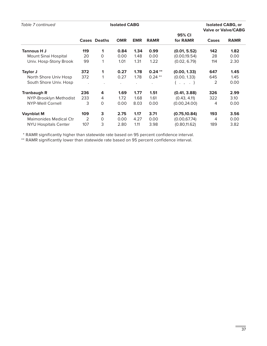| Table 7 continued             |                      |                     | <b>Isolated CABG</b> |            |             |                    |              | <b>Isolated CABG, or</b><br><b>Valve or Valve/CABG</b> |
|-------------------------------|----------------------|---------------------|----------------------|------------|-------------|--------------------|--------------|--------------------------------------------------------|
|                               |                      | <b>Cases Deaths</b> | <b>OMR</b>           | <b>EMR</b> | <b>RAMR</b> | 95% CI<br>for RAMR | <b>Cases</b> | <b>RAMR</b>                                            |
| Tannous H J                   | 119                  | 1                   | 0.84                 | 1.34       | 0.99        | (0.01, 5.52)       | 142          | 1.82                                                   |
| Mount Sinai Hospital          | 20                   | 0                   | 0.00                 | 1.48       | 0.00        | (0.00, 19.54)      | 28           | 0.00                                                   |
| Univ. Hosp-Stony Brook        | 99                   | 1                   | 1.01                 | 1.31       | 1.22        | (0.02, 6.79)       | 114          | 2.30                                                   |
| Taylor J                      | 372                  | $\mathbf 1$         | 0.27                 | 1.78       | $0.24**$    | (0.00, 1.33)       | 647          | 1.45                                                   |
| North Shore Univ Hosp         | 372                  |                     | 0.27                 | 1.78       | $0.24***$   | (0.00, 1.33)       | 645          | 1.45                                                   |
| South Shore Univ. Hosp        | $\ddot{\phantom{0}}$ |                     |                      |            |             | ( , , , . )        | 2            | 0.00                                                   |
| <b>Tranbaugh R</b>            | 236                  | 4                   | 1.69                 | 1.77       | 1.51        | (0.41, 3.88)       | 326          | 2.99                                                   |
| NYP-Brooklyn Methodist        | 233                  | 4                   | 1.72                 | 1.68       | 1.61        | (0.43, 4.11)       | 322          | 3.10                                                   |
| <b>NYP-Weill Cornell</b>      | 3                    | 0                   | 0.00                 | 8.03       | 0.00        | (0.00, 24.00)      | 4            | 0.00                                                   |
| <b>Vaynblat M</b>             | 109                  | 3                   | 2.75                 | 1.17       | 3.71        | (0.75, 10.84)      | 193          | 3.56                                                   |
| <b>Maimonides Medical Ctr</b> | 2                    | $\Omega$            | 0.00                 | 4.27       | 0.00        | (0.00, 67.74)      | 4            | 0.00                                                   |
| <b>NYU Hospitals Center</b>   | 107                  | 3                   | 2.80                 | 1.11       | 3.98        | (0.80, 11.62)      | 189          | 3.82                                                   |

\* RAMR significantly higher than statewide rate based on 95 percent confidence interval.

\*\* RAMR significantly lower than statewide rate based on 95 percent confidence interval.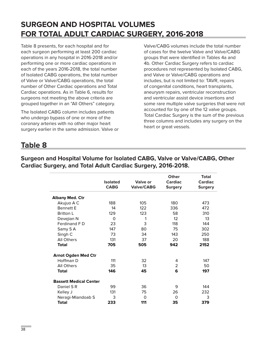# **SURGEON AND HOSPITAL VOLUMES FOR TOTAL ADULT CARDIAC SURGERY, 2016-2018**

Table 8 presents, for each hospital and for each surgeon performing at least 200 cardiac operations in any hospital in 2016-2018 and/or performing one or more cardiac operations in each of the years 2016-2018, the total number of Isolated CABG operations, the total number of Valve or Valve/CABG operations, the total number of Other Cardiac operations and Total Cardiac operations. As in Table 6, results for surgeons not meeting the above criteria are grouped together in an "All Others" category.

The Isolated CABG column includes patients who undergo bypass of one or more of the coronary arteries with no other major heart surgery earlier in the same admission. Valve or Valve/CABG volumes include the total number of cases for the twelve Valve and Valve/CABG groups that were identified in Tables 4a and 4b. Other Cardiac Surgery refers to cardiac procedures not represented by Isolated CABG, and Valve or Valve/CABG operations and includes, but is not limited to: TAVR, repairs of congenital conditions, heart transplants, aneurysm repairs, ventricular reconstruction and ventricular assist device insertions and some rare multiple valve surgeries that were not accounted for by one of the 12 valve groups. Total Cardiac Surgery is the sum of the previous three columns and includes any surgery on the heart or great vessels.

# **Table 8**

|                               | <b>Isolated</b><br><b>CABG</b> | Valve or<br><b>Valve/CABG</b> | Other<br><b>Cardiac</b><br>Surgery | <b>Total</b><br><b>Cardiac</b><br><b>Surgery</b> |
|-------------------------------|--------------------------------|-------------------------------|------------------------------------|--------------------------------------------------|
| <b>Albany Med. Ctr</b>        |                                |                               |                                    |                                                  |
| Akujuo A C                    | 188                            | 105                           | 180                                | 473                                              |
| <b>Bennett F</b>              | 14                             | 122                           | 336                                | 472                                              |
| <b>Britton L</b>              | 129                            | 123                           | 58                                 | 310                                              |
| Devejian N                    | $\Omega$                       | 1                             | 12 <sup>2</sup>                    | 13                                               |
| Ferdinand FD                  | 23                             | 3                             | 118                                | 144                                              |
| Samy SA                       | 147                            | 80                            | 75                                 | 302                                              |
| Singh C                       | 73                             | 34                            | 143                                | 250                                              |
| All Others                    | 131                            | 37                            | 20                                 | 188                                              |
| <b>Total</b>                  | 705                            | 505                           | 942                                | 2152                                             |
| <b>Arnot Ogden Med Ctr</b>    |                                |                               |                                    |                                                  |
| Hoffman D                     | 111                            | 32                            | 4                                  | 147                                              |
| All Others                    | 35                             | 13                            | 2                                  | 50                                               |
| <b>Total</b>                  | 146                            | 45                            | 6                                  | 197                                              |
| <b>Bassett Medical Center</b> |                                |                               |                                    |                                                  |
| Daniel S R                    | 99                             | 36                            | 9                                  | 144                                              |
| Kelley J                      | 131                            | 75                            | 26                                 | 232                                              |
| Neragi-Miandoab S             | 3                              | $\Omega$                      | $\Omega$                           | 3                                                |
| <b>Total</b>                  | 233                            | 111                           | 35                                 | 379                                              |

**Surgeon and Hospital Volume for Isolated CABG, Valve or Valve/CABG, Other Cardiac Surgery, and Total Adult Cardiac Surgery, 2016-2018.**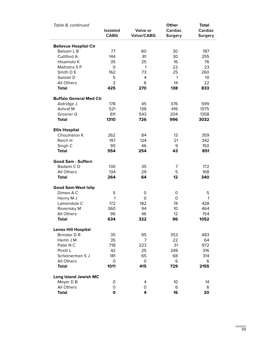| Table 8, continued             | <b>Isolated</b> | Valve or          | Other<br><b>Cardiac</b> | <b>Total</b><br><b>Cardiac</b> |
|--------------------------------|-----------------|-------------------|-------------------------|--------------------------------|
|                                | <b>CABG</b>     | <b>Valve/CABG</b> | <b>Surgery</b>          | <b>Surgery</b>                 |
| <b>Bellevue Hospital Ctr</b>   |                 |                   |                         |                                |
| Balsam L B                     | 77              | 80                | 30                      | 187                            |
| Culliford A                    | 144             | 81                | 30                      | 255                            |
| Hisamoto K                     | 35              | 25                | 16                      | 76                             |
| Malhotra SP                    | 0               | 1                 | 22                      | 23                             |
| Smith D E                      | 162             | 73                | 25                      | 260                            |
| Swistel D                      | 5               | 4                 | 1                       | 10                             |
| <b>All Others</b>              | $\overline{2}$  | 6                 | 14                      | 22                             |
| <b>Total</b>                   | 425             | 270               | 138                     | 833                            |
| <b>Buffalo General Med Ctr</b> |                 |                   |                         |                                |
| Aldridge J                     | 178             | 45                | 376                     | 599                            |
| Ashraf M                       | 521             | 138               | 416                     | 1075                           |
| Grosner G                      | 611             | 543               | 204                     | 1358                           |
| <b>Total</b>                   | 1310            | 726               | 996                     | 3032                           |
| <b>Ellis Hospital</b>          |                 |                   |                         |                                |
| Choumarov K                    | 262             | 84                | 13                      | 359                            |
| Reich H                        | 197             | 124               | 21                      | 342                            |
| Singh C                        | 95              | 46                | 9                       | 150                            |
| <b>Total</b>                   | 554             | 254               | 43                      | 851                            |
| Good Sam - Suffern             |                 |                   |                         |                                |
| Badami CD                      | 130             | 35                | 7                       | 172                            |
| <b>All Others</b>              | 134             | 29                | 5                       | 168                            |
| <b>Total</b>                   | 264             | 64                | 12                      | 340                            |
| <b>Good Sam-West Islip</b>     |                 |                   |                         |                                |
| Dimeo A C                      | 5               | 0                 | 0                       | 5                              |
| Henry M J                      | 1               | 0                 | 0                       | 1                              |
| Lamendola C                    | 172             | 182               | 74                      | 428                            |
| Rovensky M                     | 360             | 94                | 10                      | 464                            |
| <b>All Others</b>              | 96              | 46                | 12                      | 154                            |
| <b>Total</b>                   | 634             | 322               | 96                      | 1052                           |
| <b>Lenox Hill Hospital</b>     |                 |                   |                         |                                |
| <b>Brinster D R</b>            | 35              | 95                | 353                     | 483                            |
| Hemli J M                      | 35              | 7                 | 22                      | 64                             |
| Patel N C                      | 718             | 223               | 31                      | 972                            |
| Pirelli L                      | 42              | 25                | 249                     | 316                            |
| Scheinerman S J                | 181             | 65                | 68                      | 314                            |
| <b>All Others</b>              | 0               | 0                 | 6                       | 6                              |
| <b>Total</b>                   | 1011            | 415               | 729                     | 2155                           |
| <b>Long Island Jewish MC</b>   |                 |                   |                         |                                |
| Meyer D B                      | 0               | 4                 | 10                      | 14                             |
| All Others                     | 0               | 0                 | 6                       | 6                              |
| <b>Total</b>                   | $\mathbf 0$     | 4                 | 16                      | 20                             |

 $\overline{\phantom{a}}$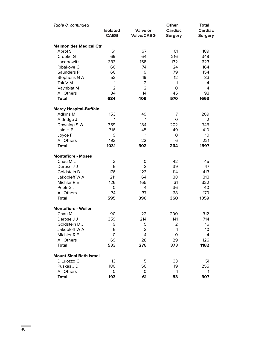| Table 8, continued             |                                |                                      | Other                            | <b>Total</b>                     |
|--------------------------------|--------------------------------|--------------------------------------|----------------------------------|----------------------------------|
|                                | <b>Isolated</b><br><b>CABG</b> | <b>Valve or</b><br><b>Valve/CABG</b> | <b>Cardiac</b><br><b>Surgery</b> | <b>Cardiac</b><br><b>Surgery</b> |
| <b>Maimonides Medical Ctr</b>  |                                |                                      |                                  |                                  |
| Abrol S                        | 61                             | 67                                   | 61                               | 189                              |
| Crooke G                       | 69                             | 64                                   | 216                              | 349                              |
| Jacobowitz I                   | 333                            | 158                                  | 132                              | 623                              |
| Ribakove G                     | 66                             | 74                                   | 24                               | 164                              |
| Saunders P                     | 66                             | 9                                    | 79                               | 154                              |
| Stephens G A                   | 52                             | 19                                   | 12                               | 83                               |
| Tak V M                        | 1                              | $\overline{2}$                       | 1                                | 4                                |
| Vaynblat M                     | $\overline{2}$                 | $\overline{2}$                       | 0                                | 4                                |
| All Others                     | 34                             | 14                                   | 45                               | 93                               |
| <b>Total</b>                   | 684                            | 409                                  | 570                              | 1663                             |
| <b>Mercy Hospital-Buffalo</b>  |                                |                                      |                                  |                                  |
| <b>Adkins M</b>                | 153                            | 49                                   | 7                                | 209                              |
| Aldridge J                     | 1                              | 1                                    | 0                                | 2                                |
| Downing SW                     | 359                            | 184                                  | 202                              | 745                              |
| Jain H B                       | 316                            | 45                                   | 49                               | 410                              |
| Joyce F                        | 9                              | 1                                    | 0                                | 10                               |
| All Others                     | 193                            | 22                                   | 6                                | 221                              |
| <b>Total</b>                   | 1031                           | 302                                  | 264                              | 1597                             |
| <b>Montefiore - Moses</b>      |                                |                                      |                                  |                                  |
| Chau ML                        | 3                              | 0                                    | 42                               | 45                               |
| Derose J J                     | 5                              | 3                                    | 39                               | 47                               |
| Goldstein D J                  | 176                            | 123                                  | 114                              | 413                              |
| Jakobleff W A                  | 211                            | 64                                   | 38                               | 313                              |
| Michler R E                    | 126                            | 165                                  | 31                               | 322                              |
| Peek G J                       | 0                              | 4                                    | 36                               | 40                               |
| All Others                     | 74                             | 37                                   | 68                               | 179                              |
| <b>Total</b>                   | 595                            | 396                                  | 368                              | 1359                             |
| <b>Montefiore - Weiler</b>     |                                |                                      |                                  |                                  |
| Chau ML                        | 90                             | 22                                   | 200                              | 312                              |
| Derose J J                     | 359                            | 214                                  | 141                              | 714                              |
| Goldstein D J                  | 9                              | 5                                    | 2                                | 16                               |
| Jakobleff W A                  | 6                              | 3                                    | 1                                | 10                               |
| Michler R E                    | 0                              | 4                                    | 0                                | 4                                |
| All Others                     | 69                             | 28                                   | 29                               | 126                              |
| <b>Total</b>                   | 533                            | 276                                  | 373                              | 1182                             |
| <b>Mount Sinai Beth Israel</b> |                                |                                      |                                  |                                  |
| DiLuozzo G                     | 13                             | 5                                    | 33                               | 51                               |
| Puskas JD                      | 180                            | 56                                   | 19                               | 255                              |
| All Others                     | 0                              | 0                                    | 1                                | 1                                |
| <b>Total</b>                   | 193                            | 61                                   | 53                               | 307                              |

ż,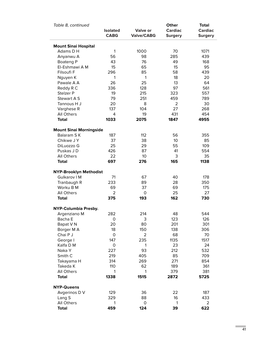| Table 8, continued             | <b>Isolated</b><br><b>CABG</b> | Valve or<br><b>Valve/CABG</b> | Other<br><b>Cardiac</b><br><b>Surgery</b> | <b>Total</b><br><b>Cardiac</b><br><b>Surgery</b> |
|--------------------------------|--------------------------------|-------------------------------|-------------------------------------------|--------------------------------------------------|
| <b>Mount Sinai Hospital</b>    |                                |                               |                                           |                                                  |
| Adams D H                      | $\mathbf{1}$                   | 1000                          | 70                                        | 1071                                             |
| Anyanwu A                      | 56                             | 98                            | 285                                       | 439                                              |
| Boateng P                      | 43                             | 76                            | 49                                        | 168                                              |
| El-Eshmawi A M                 | 15                             | 65                            | 15                                        | 95                                               |
| Filsoufi F                     | 296                            | 85                            | 58                                        | 439                                              |
| Nguyen K                       | 1                              | $\mathbf{1}$                  | 18                                        | 20                                               |
| Pawale A A                     | 26                             | 25                            | 13                                        | 64                                               |
| Reddy R C                      | 336                            | 128                           | 97                                        | 561                                              |
| Stelzer P                      | 19                             | 215                           | 323                                       | 557                                              |
| Stewart A S                    | 79                             | 251                           | 459                                       | 789                                              |
| Tannous H J                    | 20                             | 8                             | $\overline{2}$                            | 30                                               |
| Varghese R                     | 137                            | 104                           | 27                                        | 268                                              |
| All Others                     | 4                              | 19                            | 431                                       | 454                                              |
|                                |                                |                               | 1847                                      |                                                  |
| <b>Total</b>                   | 1033                           | 2075                          |                                           | 4955                                             |
| <b>Mount Sinai Morningside</b> |                                |                               |                                           |                                                  |
| Balaram SK                     | 187                            | 112                           | 56                                        | 355                                              |
| Chikwe J Y                     | 37                             | 38                            | 10                                        | 85                                               |
| DiLuozzo G                     | 25                             | 29                            | 55                                        | 109                                              |
| Puskas JD                      | 426                            | 87                            | 41                                        | 554                                              |
| All Others                     | 22                             | 10 <sup>°</sup>               | 3                                         | 35                                               |
| <b>Total</b>                   | 697                            | 276                           | 165                                       | 1138                                             |
| <b>NYP-Brooklyn Methodist</b>  |                                |                               |                                           |                                                  |
| Gulkarov I M                   | 71                             | 67                            | 40                                        | 178                                              |
| Tranbaugh R                    | 233                            | 89                            | 28                                        | 350                                              |
| Worku B M                      | 69                             | 37                            | 69                                        | 175                                              |
| All Others                     | 2                              | $\mathsf O$                   | 25                                        | 27                                               |
| <b>Total</b>                   | 375                            | 193                           | 162                                       | 730                                              |
| NYP-Columbia Presby.           |                                |                               |                                           |                                                  |
| Argenziano M                   | 282                            | 214                           | 48                                        | 544                                              |
| Bacha E                        | $\mathsf{O}\xspace$            | 3                             | 123                                       | 126                                              |
| Bapat V N                      | 20                             | 80                            | 201                                       | 301                                              |
| Borger M A                     | 18                             | 150                           | 138                                       | 306                                              |
| Chai P J                       | $\mathsf O$                    | $\overline{2}$                | 68                                        | 70                                               |
| George I                       | 147                            | 235                           | 1135                                      | 1517                                             |
| Kalfa D M                      | $\mathsf O$                    | 1                             | 23                                        | 24                                               |
| Naka Y                         | 227                            | 93                            | 212                                       | 532                                              |
| Smith <sub>C</sub>             | 219                            | 405                           | 85                                        | 709                                              |
|                                |                                |                               |                                           |                                                  |
| Takayama H                     | 314                            | 269                           | 271                                       | 854                                              |
| Takeda K                       | 110                            | 62                            | 189                                       | 361                                              |
| All Others                     | 1                              | 1                             | 379                                       | 381                                              |
| <b>Total</b>                   | 1338                           | 1515                          | 2872                                      | 5725                                             |
| <b>NYP-Queens</b>              |                                |                               |                                           |                                                  |
| Avgerinos D V                  | 129                            | 36                            | 22                                        | 187                                              |
| Lang S                         | 329                            | 88                            | 16                                        | 433                                              |
| All Others                     | 1                              | $\mathsf O$                   | 1                                         | $\overline{2}$                                   |
| <b>Total</b>                   | 459                            | 124                           | 39                                        | 622                                              |

**COL**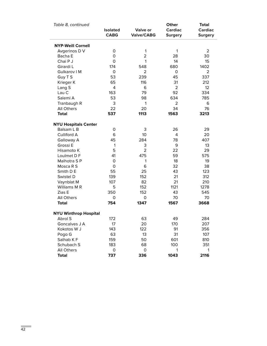| Table 8, continued           |                                |                                      | Other                            | <b>Total</b>                     |
|------------------------------|--------------------------------|--------------------------------------|----------------------------------|----------------------------------|
|                              | <b>Isolated</b><br><b>CABG</b> | <b>Valve or</b><br><b>Valve/CABG</b> | <b>Cardiac</b><br><b>Surgery</b> | <b>Cardiac</b><br><b>Surgery</b> |
| <b>NYP-Weill Cornell</b>     |                                |                                      |                                  |                                  |
| Avgerinos D V                | 0                              | 1                                    | 1                                | 2                                |
| Bacha E                      | 0                              | 2                                    | 28                               | 30                               |
| Chai P J                     | 0                              | 1                                    | 14                               | 15                               |
| Girardi L                    | 174                            | 548                                  | 680                              | 1402                             |
| Gulkarov I M                 | 0                              | $\overline{2}$                       | 0                                | 2                                |
| Guy T S                      | 53                             | 239                                  | 45                               | 337                              |
| Krieger K                    | 65                             | 116                                  | 31                               | 212                              |
| Lang S                       | 4                              | 6                                    | $\overline{2}$                   | 12                               |
| Lau C                        | 163                            | 79                                   | 92                               | 334                              |
| Salemi A                     | 53                             | 98                                   | 634                              | 785                              |
| Tranbaugh R                  | 3                              | 1                                    | 2                                | 6                                |
| <b>All Others</b>            | 22                             | 20                                   | 34                               | 76                               |
| <b>Total</b>                 | 537                            | 1113                                 | 1563                             | 3213                             |
| <b>NYU Hospitals Center</b>  |                                |                                      |                                  |                                  |
| Balsam L B                   | 0                              | 3                                    | 26                               | 29                               |
| Culliford A                  | 6                              | 10                                   | 4                                | 20                               |
| Galloway A                   | 45                             | 284                                  | 78                               | 407                              |
| Grossi E                     | $\mathbf{1}$                   | 3                                    | 9                                | 13                               |
| Hisamoto K                   | 5                              | $\overline{2}$                       | 22                               | 29                               |
| Loulmet D F                  | 41                             | 475                                  | 59                               | 575                              |
| Malhotra SP                  | 0                              | 1                                    | 18                               | 19                               |
| Mosca R S                    | 0                              | 6                                    | 32                               | 38                               |
| Smith D E                    | 55                             | 25                                   | 43                               | 123                              |
| Swistel D                    | 139                            | 152                                  | 21                               | 312                              |
| Vaynblat M                   | 107                            | 82                                   | 21                               | 210                              |
| Williams M R                 | 5                              | 152                                  | 1121                             | 1278                             |
| Zias E                       | 350                            | 152                                  | 43                               | 545                              |
| <b>All Others</b>            | 0                              | 0                                    | 70                               | 70                               |
| <b>Total</b>                 | 754                            | 1347                                 | 1567                             | 3668                             |
| <b>NYU Winthrop Hospital</b> |                                |                                      |                                  |                                  |
| Abrol S                      | 172                            | 63                                   | 49                               | 284                              |
| Goncalves J A                | 17                             | 20                                   | 170                              | 207                              |
| Kokotos W J                  | 143                            | 122                                  | 91                               | 356                              |
| Pogo G                       | 63                             | 13                                   | 31                               | 107                              |
| Salhab KF                    | 159                            | 50                                   | 601                              | 810                              |
| Schubach S                   | 183                            | 68                                   | 100                              | 351                              |
| <b>All Others</b>            | 0                              | 0                                    | 1                                | 1                                |
| <b>Total</b>                 | 737                            | 336                                  | 1043                             | 2116                             |

a,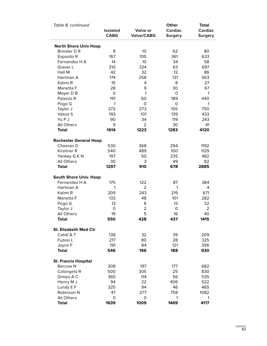| Table 8, continued            | <b>Isolated</b><br><b>CABG</b> | <b>Valve or</b><br><b>Valve/CABG</b> | Other<br><b>Cardiac</b><br><b>Surgery</b> | <b>Total</b><br><b>Cardiac</b><br><b>Surgery</b> |
|-------------------------------|--------------------------------|--------------------------------------|-------------------------------------------|--------------------------------------------------|
| <b>North Shore Univ Hosp</b>  |                                |                                      |                                           |                                                  |
| <b>Brinster D R</b>           | 8                              | 10                                   | 62                                        | 80                                               |
| Esposito R                    | 167                            | 105                                  | 361                                       | 633                                              |
| Fernandez H A                 | 14                             | 10                                   | 34                                        | 58                                               |
| Graver L                      | 310                            | 324                                  | 63                                        | 697                                              |
| Hall M                        | 42                             | 32                                   | 12                                        | 86                                               |
| Hartman A                     | 174                            | 258                                  | 131                                       | 563                                              |
| Kalimi R                      | 15                             | 4                                    | 8                                         | 27                                               |
| Manetta F                     | 28                             | 9                                    | 30                                        | 67                                               |
| Meyer D B                     | 0                              | 1                                    | 0                                         | 1                                                |
| Palazzo R                     | 191                            | 60                                   | 189                                       | 440                                              |
| Pogo G                        | 1                              | 0                                    | 0                                         | 1                                                |
| Taylor J                      | 372                            | 273                                  | 105                                       | 750                                              |
| Vatsia S                      | 193                            | 101                                  | 139                                       | 433                                              |
| Yu P J                        | 90                             | 34                                   | 119                                       | 243                                              |
| <b>All Others</b>             | 9                              | 2                                    | 30                                        | 41                                               |
| <b>Total</b>                  | 1614                           | 1223                                 | 1283                                      | 4120                                             |
|                               |                                |                                      |                                           |                                                  |
| <b>Rochester General Hosp</b> |                                |                                      |                                           |                                                  |
| Cheeran D                     | 530                            | 368                                  | 294                                       | 1192                                             |
| Kirshner R                    | 540                            | 489                                  | 100                                       | 1129                                             |
| Yankey G K N                  | 197                            | 50                                   | 235                                       | 482                                              |
| All Others                    | 30                             | 3                                    | 49                                        | 82                                               |
| <b>Total</b>                  | 1297                           | 910                                  | 678                                       | 2885                                             |
| <b>South Shore Univ. Hosp</b> |                                |                                      |                                           |                                                  |
| Fernandez H A                 | 175                            | 122                                  | 87                                        | 384                                              |
| Hartman A                     | 1                              | 2                                    | 1                                         | 4                                                |
| Kalimi R                      | 209                            | 243                                  | 219                                       | 671                                              |
| Manetta F                     | 133                            | 48                                   | 101                                       | 282                                              |
| Pogo G                        | 13                             | 6                                    | 13                                        | 32                                               |
| Taylor J                      | $\mathsf{O}\xspace$            | $\overline{2}$                       | 0                                         | $\overline{2}$                                   |
| <b>All Others</b>             | 19                             | 5                                    | 16                                        | 40                                               |
| <b>Total</b>                  | 550                            | 428                                  | 437                                       | 1415                                             |
| <b>St. Elizabeth Med Ctr</b>  |                                |                                      |                                           |                                                  |
| Cahill A T                    | 138                            | 32                                   | 39                                        | 209                                              |
| Fuzesi L                      | 217                            | 80                                   | 28                                        | 325                                              |
| Joyce F                       | 191                            | 84                                   | 121                                       | 396                                              |
| <b>Total</b>                  | 546                            | 196                                  |                                           | 930                                              |
|                               |                                |                                      | 188                                       |                                                  |
| <b>St. Francis Hospital</b>   |                                |                                      |                                           |                                                  |
| <b>Bercow N</b>               | 308                            | 197                                  | 177                                       | 682                                              |
| Colangelo R                   | 500                            | 305                                  | 25                                        | 830                                              |
| Dimeo A C                     | 365                            | 114                                  | 56                                        | 535                                              |
| Henry M J                     | 94                             | 22                                   | 406                                       | 522                                              |
| Lundy E F                     | 325                            | 94                                   | 46                                        | 465                                              |
| Robinson N                    | 47                             | 277                                  | 758                                       | 1082                                             |
| <b>All Others</b>             | 0                              | 0                                    | 1                                         | 1                                                |
| <b>Total</b>                  | 1639                           | 1009                                 | 1469                                      | 4117                                             |

m,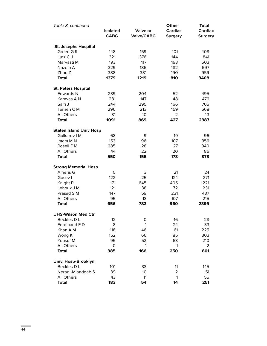| Table 8, continued             | <b>Isolated</b> | <b>Valve or</b>   | Other<br><b>Cardiac</b> | <b>Total</b><br><b>Cardiac</b> |
|--------------------------------|-----------------|-------------------|-------------------------|--------------------------------|
|                                | <b>CABG</b>     | <b>Valve/CABG</b> | <b>Surgery</b>          | <b>Surgery</b>                 |
| <b>St. Josephs Hospital</b>    |                 |                   |                         |                                |
| Green GR                       | 148             | 159               | 101                     | 408                            |
| Lutz C J                       | 321             | 376               | 144                     | 841                            |
| Marvasti M                     | 193             | 117               | 193                     | 503                            |
| Nazem A                        | 329             | 186               | 182                     | 697                            |
| Zhou Z                         | 388             | 381               | 190                     | 959                            |
| <b>Total</b>                   | 1379            | 1219              | 810                     | 3408                           |
| <b>St. Peters Hospital</b>     |                 |                   |                         |                                |
| <b>Edwards N</b>               | 239             | 204               | 52                      | 495                            |
| Karavas A N                    | 281             | 147               | 48                      | 476                            |
| Saifi J                        | 244             | 295               | 166                     | 705                            |
| Terrien C M                    | 296             | 213               | 159                     | 668                            |
| All Others                     | 31              | 10                | $\overline{2}$          | 43                             |
| <b>Total</b>                   | 1091            | 869               | 427                     | 2387                           |
| <b>Staten Island Univ Hosp</b> |                 |                   |                         |                                |
| Gulkarov I M                   | 68              | 9                 | 19                      | 96                             |
| Imam M N                       | 153             | 96                | 107                     | 356                            |
| Rosell F M                     | 285             | 28                | 27                      | 340                            |
| All Others                     | 44              | 22                | 20                      | 86                             |
| <b>Total</b>                   | 550             | 155               | 173                     | 878                            |
| <b>Strong Memorial Hosp</b>    |                 |                   |                         |                                |
| Alfieris G                     | 0               | 3                 | 21                      | 24                             |
| Gosev I                        | 122             | 25                | 124                     | 271                            |
| Knight P                       | 171             | 645               | 405                     | 1221                           |
| Lehoux J M                     | 121             | 38                | 72                      | 231                            |
| Prasad S M                     | 147             | 59                | 231                     | 437                            |
| <b>All Others</b>              | 95              | 13                | 107                     | 215                            |
| <b>Total</b>                   | 656             | 783               | 960                     | 2399                           |
| <b>UHS-Wilson Med Ctr</b>      |                 |                   |                         |                                |
| Beckles D L                    | 12              | 0                 | 16                      | 28                             |
| Ferdinand FD                   | 8               | 1                 | 24                      | 33                             |
| Khan A M                       | 118             | 46                | 61                      | 225                            |
| Wong K                         | 152             | 66                | 85                      | 303                            |
| Yousuf M                       | 95              | 52                | 63                      | 210                            |
| All Others                     | $\circ$         | 1                 | 1                       | 2                              |
| <b>Total</b>                   | 385             | 166               | 250                     | 801                            |
| Univ. Hosp-Brooklyn            |                 |                   |                         |                                |
| Beckles D L                    | 101             | 33                | 11                      | 145                            |
| Neragi-Miandoab S              | 39              | 10                | $\overline{2}$          | 51                             |
| All Others                     | 43              | 11                | $\mathbf{1}$            | 55                             |
| <b>Total</b>                   | 183             | 54                | 14                      | 251                            |
|                                |                 |                   |                         |                                |

a,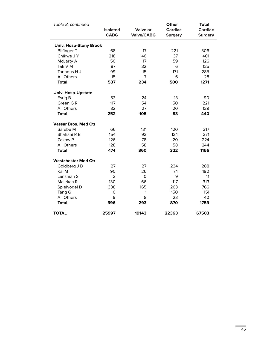| Table 8, continued            |                                |                               | Other                            | <b>Total</b>                     |
|-------------------------------|--------------------------------|-------------------------------|----------------------------------|----------------------------------|
|                               | <b>Isolated</b><br><b>CABG</b> | Valve or<br><b>Valve/CABG</b> | <b>Cardiac</b><br><b>Surgery</b> | <b>Cardiac</b><br><b>Surgery</b> |
| <b>Univ. Hosp-Stony Brook</b> |                                |                               |                                  |                                  |
| <b>Bilfinger T</b>            | 68                             | 17                            | 221                              | 306                              |
| Chikwe J Y                    | 218                            | 146                           | 37                               | 401                              |
| McLarty A                     | 50                             | 17                            | 59                               | 126                              |
| Tak V M                       | 87                             | 32                            | 6                                | 125                              |
| Tannous H J                   | 99                             | 15                            | 171                              | 285                              |
| <b>All Others</b>             | 15                             | 7                             | 6                                | 28                               |
| <b>Total</b>                  | 537                            | 234                           | 500                              | 1271                             |
| <b>Univ. Hosp-Upstate</b>     |                                |                               |                                  |                                  |
| Esrig B                       | 53                             | 24                            | 13                               | 90                               |
| Green GR                      | 117                            | 54                            | 50                               | 221                              |
| <b>All Others</b>             | 82                             | 27                            | 20                               | 129                              |
| <b>Total</b>                  | 252                            | 105                           | 83                               | 440                              |
| <b>Vassar Bros. Med Ctr</b>   |                                |                               |                                  |                                  |
| Sarabu M                      | 66                             | 131                           | 120                              | 317                              |
| Shahani R B                   | 154                            | 93                            | 124                              | 371                              |
| Zakow P                       | 126                            | 78                            | 20                               | 224                              |
| <b>All Others</b>             | 128                            | 58                            | 58                               | 244                              |
| <b>Total</b>                  | 474                            | 360                           | 322                              | 1156                             |
| <b>Westchester Med Ctr</b>    |                                |                               |                                  |                                  |
| Goldberg J B                  | 27                             | 27                            | 234                              | 288                              |
| Kai M                         | 90                             | 26                            | 74                               | 190                              |
| Lansman S                     | $\overline{2}$                 | $\Omega$                      | 9                                | 11                               |
| Malekan R                     | 130                            | 66                            | 117                              | 313                              |
| Spielvogel D                  | 338                            | 165                           | 263                              | 766                              |
| Tang G                        | $\Omega$                       | 1                             | 150                              | 151                              |
| <b>All Others</b>             | 9                              | 8                             | 23                               | 40                               |
| <b>Total</b>                  | 596                            | 293                           | 870                              | 1759                             |
| <b>TOTAL</b>                  | 25997                          | 19143                         | 22363                            | 67503                            |

 $\equiv$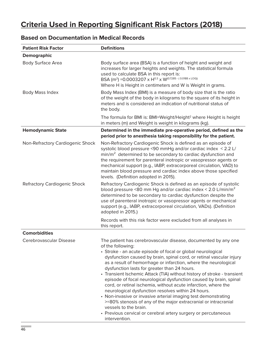# **Criteria Used in Reporting Significant Risk Factors (2018)**

| <b>Patient Risk Factor</b>          | <b>Definitions</b>                                                                                                                                                                                                                                                                                                                                                                                                                                                                                                                                                                                                                                                                                                                                                                                                                                    |
|-------------------------------------|-------------------------------------------------------------------------------------------------------------------------------------------------------------------------------------------------------------------------------------------------------------------------------------------------------------------------------------------------------------------------------------------------------------------------------------------------------------------------------------------------------------------------------------------------------------------------------------------------------------------------------------------------------------------------------------------------------------------------------------------------------------------------------------------------------------------------------------------------------|
| Demographic                         |                                                                                                                                                                                                                                                                                                                                                                                                                                                                                                                                                                                                                                                                                                                                                                                                                                                       |
| <b>Body Surface Area</b>            | Body surface area (BSA) is a function of height and weight and<br>increases for larger heights and weights. The statistical formula<br>used to calculate BSA in this report is:<br>BSA (m <sup>2</sup> ) = 0.0003207 x H <sup>0.3</sup> x W <sup>(0.7285 - (0.0188 x LOG))</sup><br>Where H is Height in centimeters and W is Weight in grams.                                                                                                                                                                                                                                                                                                                                                                                                                                                                                                        |
| <b>Body Mass Index</b>              | Body Mass Index (BMI) is a measure of body size that is the ratio<br>of the weight of the body in kilograms to the square of its height in<br>meters and is considered an indication of nutritional status of<br>the body.                                                                                                                                                                                                                                                                                                                                                                                                                                                                                                                                                                                                                            |
|                                     | The formula for BMI is: BMI=Weight/Height <sup>2</sup> where Height is height<br>in meters (m) and Weight is weight in kilograms (kg).                                                                                                                                                                                                                                                                                                                                                                                                                                                                                                                                                                                                                                                                                                                |
| <b>Hemodynamic State</b>            | Determined in the immediate pre-operative period, defined as the<br>period prior to anesthesia taking responsibility for the patient.                                                                                                                                                                                                                                                                                                                                                                                                                                                                                                                                                                                                                                                                                                                 |
| Non-Refractory Cardiogenic Shock    | Non-Refractory Cardiogenic Shock is defined as an episode of<br>systolic blood pressure <90 mmHg and/or cardiac index < 2.2 L/<br>min/m <sup>2</sup> determined to be secondary to cardiac dysfunction and<br>the requirement for parenteral inotropic or vasopressor agents or<br>mechanical support (e.g., IABP, extracorporeal circulation, VAD) to<br>maintain blood pressure and cardiac index above those specified<br>levels. (Definition adopted in 2015).                                                                                                                                                                                                                                                                                                                                                                                    |
| <b>Refractory Cardiogenic Shock</b> | Refractory Cardiogenic Shock is defined as an episode of systolic<br>blood pressure <80 mm Hg and/or cardiac index < 2.0 L/min/m <sup>2</sup><br>determined to be secondary to cardiac dysfunction despite the<br>use of parenteral inotropic or vasopressor agents or mechanical<br>support (e.g., IABP, extracorporeal circulation, VADs). (Definition<br>adopted in 2015.)                                                                                                                                                                                                                                                                                                                                                                                                                                                                         |
|                                     | Records with this risk factor were excluded from all analyses in<br>this report.                                                                                                                                                                                                                                                                                                                                                                                                                                                                                                                                                                                                                                                                                                                                                                      |
| <b>Comorbidities</b>                |                                                                                                                                                                                                                                                                                                                                                                                                                                                                                                                                                                                                                                                                                                                                                                                                                                                       |
| Cerebrovascular Disease             | The patient has cerebrovascular disease, documented by any one<br>of the following:<br>• Stroke - an acute episode of focal or global neurological<br>dysfunction caused by brain, spinal cord, or retinal vascular injury<br>as a result of hemorrhage or infarction, where the neurological<br>dysfunction lasts for greater than 24 hours.<br>• Transient Ischemic Attack (TIA) without history of stroke - transient<br>episode of focal neurological dysfunction caused by brain, spinal<br>cord, or retinal ischemia, without acute infarction, where the<br>neurological dysfunction resolves within 24 hours.<br>• Non-invasive or invasive arterial imaging test demonstrating<br>>=80% stenosis of any of the major extracranial or intracranial<br>vessels to the brain.<br>• Previous cervical or cerebral artery surgery or percutaneous |

intervention.

## **Based on Documentation in Medical Records**

i.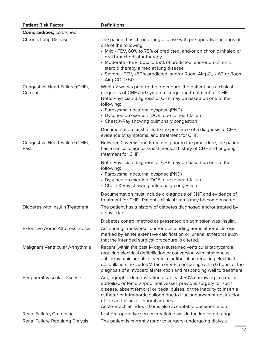| <b>Patient Risk Factor</b>                 | <b>Definitions</b>                                                                                                                                                                                                                                                                                                                                                                                                       |
|--------------------------------------------|--------------------------------------------------------------------------------------------------------------------------------------------------------------------------------------------------------------------------------------------------------------------------------------------------------------------------------------------------------------------------------------------------------------------------|
| Comorbidities, continued                   |                                                                                                                                                                                                                                                                                                                                                                                                                          |
| <b>Chronic Lung Disease</b>                | The patient has chronic lung disease with pre-operative findings of<br>one of the following:<br>• Mild - FEV, 60% to 75% of predicted, and/or on chronic inhaled or<br>oral bronchodilator therapy.<br>• Moderate - FEV, 50% to 59% of predicted, and/or on chronic<br>steroid therapy aimed at lung disease.<br>• Severe - FEV, <50% predicted, and/or Room Air $pO_2$ < 60 or Room<br>Air $pCO_2 > 50$ .               |
| Congestive Heart Failure (CHF),<br>Current | Within 2 weeks prior to the procedure, the patient has a clinical<br>diagnosis of CHF and symptoms requiring treatment for CHF.<br>Note: Physician diagnosis of CHF may be based on one of the<br>following:<br>• Paroxysmal nocturnal dyspnea (PND)<br>• Dyspnea on exertion (DOE) due to heart failure<br>• Chest X-Ray showing pulmonary congestion<br>Documentation must include the presence of a diagnosis of CHF, |
|                                            | evidence of symptoms, and treatment for CHF.                                                                                                                                                                                                                                                                                                                                                                             |
| Congestive Heart Failure (CHF),<br>Past    | Between 2 weeks and 6 months prior to the procedure, the patient<br>has a clinical diagnosis/past medical history of CHF and ongoing<br>treatment for CHF.                                                                                                                                                                                                                                                               |
|                                            | Note: Physician diagnosis of CHF may be based on one of the<br>following:<br>• Paroxysmal nocturnal dyspnea (PND)<br>• Dyspnea on exertion (DOE) due to heart failure<br>• Chest X-Ray showing pulmonary congestion                                                                                                                                                                                                      |
|                                            | Documentation must include a diagnosis of CHF and evidence of<br>treatment for CHF. Patient's clinical status may be compensated.                                                                                                                                                                                                                                                                                        |
| Diabetes with Insulin Treatment            | The patient has a history of diabetes diagnosed and/or treated by<br>a physician.                                                                                                                                                                                                                                                                                                                                        |
|                                            | Diabetes control method as presented on admission was Insulin.                                                                                                                                                                                                                                                                                                                                                           |
| <b>Extensive Aortic Atherosclerosis</b>    | Ascending, transverse, and/or descending aortic atherosclerosis<br>marked by either extensive calcification or luminal atheroma such<br>that the intended surgical procedure is altered.                                                                                                                                                                                                                                 |
| Malignant Ventricular Arrhythmia           | Recent (within the past 14 days) sustained ventricular tachycardia<br>requiring electrical defibrillation or conversion with intravenous<br>anti-arrhythmic agents or ventricular fibrillation requiring electrical<br>defibrillation. Excludes V-Tach or V-Fib occurring within 6 hours of the<br>diagnosis of a myocardial infarction and responding well to treatment.                                                |
| Peripheral Vascular Disease                | Angiographic demonstration of at least 50% narrowing in a major<br>aortoiliac or femoral/popliteal vessel, previous surgery for such<br>disease, absent femoral or pedal pulses, or the inability to insert a<br>catheter or intra-aortic balloon due to iliac aneurysm or obstruction<br>of the aortoiliac or femoral arteries<br>Ankle-Brachial Index < 0.9 is also acceptable documentation.                          |
| Renal Failure, Creatinine                  | Last pre-operative serum creatinine was in the indicated range.                                                                                                                                                                                                                                                                                                                                                          |
| Renal Failure Requiring Dialysis           | The patient is currently (prior to surgery) undergoing dialysis.                                                                                                                                                                                                                                                                                                                                                         |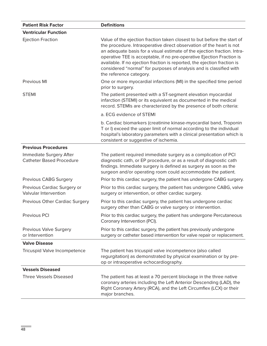| <b>Patient Risk Factor</b>                                 | <b>Definitions</b>                                                                                                                                                                                                                                                                                                                                                                                                                                                                 |
|------------------------------------------------------------|------------------------------------------------------------------------------------------------------------------------------------------------------------------------------------------------------------------------------------------------------------------------------------------------------------------------------------------------------------------------------------------------------------------------------------------------------------------------------------|
| <b>Ventricular Function</b>                                |                                                                                                                                                                                                                                                                                                                                                                                                                                                                                    |
| <b>Ejection Fraction</b>                                   | Value of the ejection fraction taken closest to but before the start of<br>the procedure. Intraoperative direct observation of the heart is not<br>an adequate basis for a visual estimate of the ejection fraction. Intra-<br>operative TEE is acceptable, if no pre-operative Ejection Fraction is<br>available. If no ejection fraction is reported, the ejection fraction is<br>considered "normal" for purposes of analysis and is classified with<br>the reference category. |
| Previous MI                                                | One or more myocardial infarctions (MI) in the specified time period<br>prior to surgery.                                                                                                                                                                                                                                                                                                                                                                                          |
| <b>STEMI</b>                                               | The patient presented with a ST-segment elevation myocardial<br>infarction (STEMI) or its equivalent as documented in the medical<br>record. STEMIs are characterized by the presence of both criteria:                                                                                                                                                                                                                                                                            |
|                                                            | a. ECG evidence of STEMI                                                                                                                                                                                                                                                                                                                                                                                                                                                           |
|                                                            | b. Cardiac biomarkers (creatinine kinase-myocardial band, Troponin<br>T or I) exceed the upper limit of normal according to the individual<br>hospital's laboratory parameters with a clinical presentation which is<br>consistent or suggestive of ischemia.                                                                                                                                                                                                                      |
| <b>Previous Procedures</b>                                 |                                                                                                                                                                                                                                                                                                                                                                                                                                                                                    |
| Immediate Surgery After<br><b>Catheter Based Procedure</b> | The patient required immediate surgery as a complication of PCI<br>diagnostic cath, or EP procedure, or as a result of diagnostic cath<br>findings. Immediate surgery is defined as surgery as soon as the<br>surgeon and/or operating room could accommodate the patient.                                                                                                                                                                                                         |
| Previous CABG Surgery                                      | Prior to this cardiac surgery, the patient has undergone CABG surgery.                                                                                                                                                                                                                                                                                                                                                                                                             |
| Previous Cardiac Surgery or<br>Valvular Intervention       | Prior to this cardiac surgery, the patient has undergone CABG, valve<br>surgery or intervention, or other cardiac surgery.                                                                                                                                                                                                                                                                                                                                                         |
| Previous Other Cardiac Surgery                             | Prior to this cardiac surgery, the patient has undergone cardiac<br>surgery other than CABG or valve surgery or intervention.                                                                                                                                                                                                                                                                                                                                                      |
| Previous PCI                                               | Prior to this cardiac surgery, the patient has undergone Percutaneous<br>Coronary Intervention (PCI).                                                                                                                                                                                                                                                                                                                                                                              |
| Previous Valve Surgery<br>or Intervention                  | Prior to this cardiac surgery, the patient has previously undergone<br>surgery or catheter based intervention for valve repair or replacement.                                                                                                                                                                                                                                                                                                                                     |
| <b>Valve Disease</b>                                       |                                                                                                                                                                                                                                                                                                                                                                                                                                                                                    |
| Tricuspid Valve Incompetence                               | The patient has tricuspid valve incompetence (also called<br>regurgitation) as demonstrated by physical examination or by pre-<br>op or intraoperative echocardiography.                                                                                                                                                                                                                                                                                                           |
| <b>Vessels Diseased</b>                                    |                                                                                                                                                                                                                                                                                                                                                                                                                                                                                    |
| <b>Three Vessels Diseased</b>                              | The patient has at least a 70 percent blockage in the three native<br>coronary arteries including the Left Anterior Descending (LAD), the<br>Right Coronary Artery (RCA), and the Left Circumflex (LCX) or their<br>major branches.                                                                                                                                                                                                                                                |

÷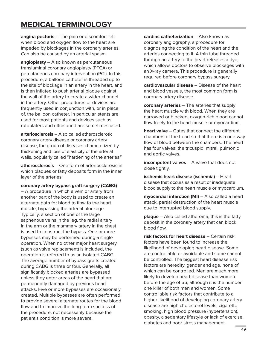# **MEDICAL TERMINOLOGY**

**angina pectoris** – The pain or discomfort felt when blood and oxygen flow to the heart are impeded by blockages in the coronary arteries. Can also be caused by an arterial spasm.

**angioplasty** – Also known as percutaneous transluminal coronary angioplasty (PTCA) or percutaneous coronary intervention (PCI). In this procedure, a balloon catheter is threaded up to the site of blockage in an artery in the heart, and is then inflated to push arterial plaque against the wall of the artery to create a wider channel in the artery. Other procedures or devices are frequently used in conjunction with, or in place of, the balloon catheter. In particular, stents are used for most patients and devices such as rotoblaters and ultrasound are sometimes used.

**arteriosclerosis** – Also called atherosclerotic coronary artery disease or coronary artery disease, the group of diseases characterized by thickening and loss of elasticity of the arterial walls, popularly called "hardening of the arteries."

**atherosclerosis** – One form of arteriosclerosis in which plaques or fatty deposits form in the inner layer of the arteries.

#### **coronary artery bypass graft surgery (CABG)**

– A procedure in which a vein or artery from another part of the body is used to create an alternate path for blood to flow to the heart muscle, bypassing the arterial blockage. Typically, a section of one of the large saphenous veins in the leg, the radial artery in the arm or the mammary artery in the chest is used to construct the bypass. One or more bypasses may be performed during a single operation. When no other major heart surgery (such as valve replacement) is included, the operation is referred to as an isolated CABG. The average number of bypass grafts created during CABG is three or four. Generally, all significantly blocked arteries are bypassed unless they enter areas of the heart that are permanently damaged by previous heart attacks. Five or more bypasses are occasionally created. Multiple bypasses are often performed to provide several alternate routes for the blood flow and to improve the long-term success of the procedure, not necessarily because the patient's condition is more severe.

**cardiac catheterization** – Also known as coronary angiography, a procedure for diagnosing the condition of the heart and the arteries connecting to it. A thin tube threaded through an artery to the heart releases a dye, which allows doctors to observe blockages with an X-ray camera. This procedure is generally required before coronary bypass surgery.

**cardiovascular disease** – Disease of the heart and blood vessels, the most common form is coronary artery disease.

**coronary arteries** – The arteries that supply the heart muscle with blood. When they are narrowed or blocked, oxygen-rich blood cannot flow freely to the heart muscle or myocardium.

**heart valve** – Gates that connect the different chambers of the heart so that there is a one-way flow of blood between the chambers. The heart has four valves: the tricuspid, mitral, pulmonic and aortic valves.

**incompetent valves** – A valve that does not close tightly.

**ischemic heart disease (ischemia)** – Heart disease that occurs as a result of inadequate blood supply to the heart muscle or myocardium.

**myocardial infarction (MI)** – Also called a heart attack, partial destruction of the heart muscle due to interrupted blood supply.

**plaque** – Also called atheroma, this is the fatty deposit in the coronary artery that can block blood flow.

**risk factors for heart disease** – Certain risk factors have been found to increase the likelihood of developing heart disease. Some are controllable or avoidable and some cannot be controlled. The biggest heart disease risk factors are heredity, gender and age, none of which can be controlled. Men are much more likely to develop heart disease than women before the age of 55, although it is the number one killer of both men and women. Some controllable risk factors that contribute to a higher likelihood of developing coronary artery disease are high cholesterol levels, cigarette smoking, high blood pressure (hypertension), obesity, a sedentary lifestyle or lack of exercise, diabetes and poor stress management.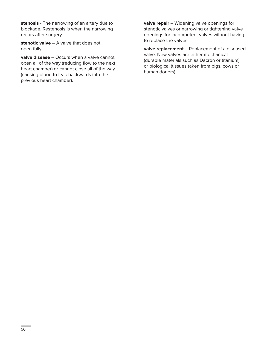**stenosis** - The narrowing of an artery due to blockage. Restenosis is when the narrowing recurs after surgery.

**stenotic valve - A valve that does not** open fully.

**valve disease** – Occurs when a valve cannot open all of the way (reducing flow to the next heart chamber) or cannot close all of the way (causing blood to leak backwards into the previous heart chamber).

**valve repair** – Widening valve openings for stenotic valves or narrowing or tightening valve openings for incompetent valves without having to replace the valves.

**valve replacement** – Replacement of a diseased valve. New valves are either mechanical (durable materials such as Dacron or titanium) or biological (tissues taken from pigs, cows or human donors).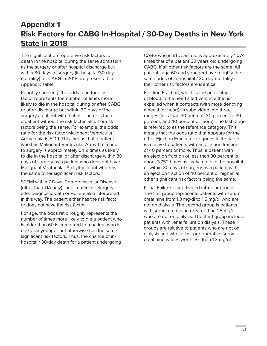# **Appendix 1 Risk Factors for CABG In-Hospital / 30-Day Deaths in New York State in 2018**

The significant pre-operative risk factors for death in the hospital during the same admission as the surgery or after hospital discharge but within 30 days of surgery (in-hospital/30-day mortality) for CABG in 2018 are presented in Appendix Table 1.

Roughly speaking, the odds ratio for a risk factor represents the number of times more likely to die in the hospital during or after CABG or after discharge but within 30 days of the surgery a patient with that risk factor is than a patient without the risk factor, all other risk factors being the same. For example, the odds ratio for the risk factor Malignant Ventricular Arrhythmia is 5.119. This means that a patient who has Malignant Ventricular Arrhythmia prior to surgery is approximately 5.119 times as likely to die in the hospital or after discharge within 30 days of surgery as a patient who does not have Malignant Ventricular Arrhythmia but who has the same other significant risk factors.

STEMI within 7 Days, Cerebrovascular Disease (other than TIA only), and Immediate Surgery after Diagnostic Cath or PCI are also interpreted in this way. The patient either has the risk factor or does not have the risk factor.

For age, the odds ratio roughly represents the number of times more likely to die a patient who is older than 60 is compared to a patient who is one year younger but otherwise has the same significant risk factors. Thus, the chance of inhospital / 30-day death for a patient undergoing

CABG who is 61 years old is approximately 1.074 times that of a patient 60 years old undergoing CABG, if all other risk factors are the same. All patients age 60 and younger have roughly the same odds of in-hospital / 30-day mortality if their other risk factors are identical.

Ejection Fraction, which is the percentage of blood in the heart's left ventricle that is expelled when it contracts (with more denoting a healthier heart), is subdivided into three ranges (less than 30 percent, 30 percent to 39 percent, and 40 percent or more). The last range is referred to as the reference category. This means that the odds ratio that appears for the other Ejection Fraction categories in the table is relative to patients with an ejection fraction of 40 percent or more. Thus, a patient with an ejection fraction of less than 30 percent is about 3.752 times as likely to die in the hospital or within 30 days of surgery as a patient with an ejection fraction of 40 percent or higher, all other significant risk factors being the same.

Renal Failure is subdivided into four groups. The first group represents patients with serum creatinine from 1.3 mg/dl to 1.5 mg/dl who are not on dialysis. The second group is patients with serum creatinine greater than 1.5 mg/dL who are not on dialysis. The third group includes patients with renal failure on dialysis. These groups are relative to patients who are not on dialysis and whose last pre-operative serum creatinine values were less than 1.3 mg/dL.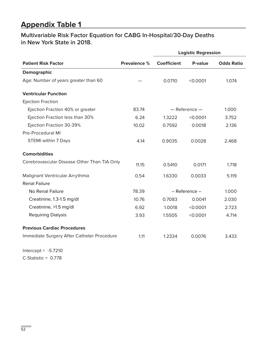# **Appendix Table 1**

## **Multivariable Risk Factor Equation for CABG In-Hospital/30-Day Deaths in New York State in 2018.**

|                                             |                     | <b>Logistic Regression</b> |                   |                   |
|---------------------------------------------|---------------------|----------------------------|-------------------|-------------------|
| <b>Patient Risk Factor</b>                  | <b>Prevalence %</b> | <b>Coefficient</b>         | P-value           | <b>Odds Ratio</b> |
| Demographic                                 |                     |                            |                   |                   |
| Age: Number of years greater than 60        |                     | 0.0710                     | < 0.0001          | 1.074             |
| <b>Ventricular Function</b>                 |                     |                            |                   |                   |
| <b>Ejection Fraction</b>                    |                     |                            |                   |                   |
| Ejection Fraction 40% or greater            | 83.74               |                            | $-$ Reference $-$ | 1.000             |
| Ejection Fraction less than 30%             | 6.24                | 1.3222                     | < 0.0001          | 3.752             |
| Ejection Fraction 30-39%                    | 10.02               | 0.7592                     | 0.0018            | 2.136             |
| <b>Pre-Procedural MI</b>                    |                     |                            |                   |                   |
| STEMI within 7 Days                         | 4.14                | 0.9035                     | 0.0028            | 2.468             |
| <b>Comorbidities</b>                        |                     |                            |                   |                   |
| Cerebrovascular Disease Other Than TIA Only | 11.15               | 0.5410                     | 0.0171            | 1.718             |
| Malignant Ventricular Arrythmia             | 0.54                | 1.6330                     | 0.0033            | 5.119             |
| <b>Renal Failure</b>                        |                     |                            |                   |                   |
| No Renal Failure                            | 78.39               |                            | - Reference -     | 1.000             |
| Creatinine, 1.3-1.5 mg/dl                   | 10.76               | 0.7083                     | 0.0041            | 2.030             |
| Creatinine, >1.5 mg/dl                      | 6.92                | 1.0018                     | < 0.0001          | 2.723             |
| <b>Requiring Dialysis</b>                   | 3.93                | 1.5505                     | < 0.0001          | 4.714             |
| <b>Previous Cardiac Procedures</b>          |                     |                            |                   |                   |
| Immediate Surgery After Catheter Procedure  | 1.11                | 1.2334                     | 0.0076            | 3.433             |

Intercept =  $-5.7210$ C-Statistic = 0.778

×.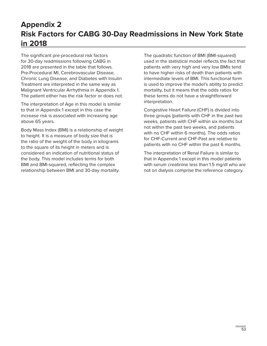# **Appendix 2 Risk Factors for CABG 30-Day Readmissions in New York State in 2018**

The significant pre-procedural risk factors for 30-day readmissions following CABG in 2018 are presented in the table that follows. Pre-Procedural MI, Cerebrovascular Disease, Chronic Lung Disease, and Diabetes with Insulin Treatment are interpreted in the same way as Malignant Ventricular Arrhythmia in Appendix 1. The patient either has the risk factor or does not.

The interpretation of Age in this model is similar to that in Appendix 1 except in this case the increase risk is associated with increasing age above 65 years.

Body Mass Index (BMI) is a relationship of weight to height. It is a measure of body size that is the ratio of the weight of the body in kilograms to the square of its height in meters and is considered an indication of nutritional status of the body. This model includes terms for both BMI and BMI-squared, reflecting the complex relationship between BMI and 30-day mortality.

The quadratic function of BMI (BMI-squared) used in the statistical model reflects the fact that patients with very high and very low BMIs tend to have higher risks of death than patients with intermediate levels of BMI. This functional form is used to improve the model's ability to predict mortality, but it means that the odds ratios for these terms do not have a straightforward interpretation.

Congestive Heart Failure (CHF) is divided into three groups (patients with CHF in the past two weeks, patients with CHF within six months but not within the past two weeks, and patients with no CHF within 6 months). The odds ratios for CHF-Current and CHF-Past are relative to patients with no CHF within the past 6 months.

The interpretation of Renal Failure is similar to that in Appendix 1 except in this model patients with serum creatinine less than 1.5 mg/dl who are not on dialysis comprise the reference category.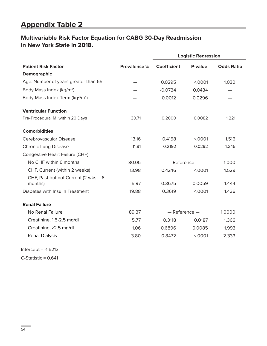# **Appendix Table 2**

## **Multivariable Risk Factor Equation for CABG 30-Day Readmission in New York State in 2018.**

|                                                         |                     |                    | <b>Logistic Regression</b> |                   |
|---------------------------------------------------------|---------------------|--------------------|----------------------------|-------------------|
| <b>Patient Risk Factor</b>                              | <b>Prevalence %</b> | <b>Coefficient</b> | P-value                    | <b>Odds Ratio</b> |
| <b>Demographic</b>                                      |                     |                    |                            |                   |
| Age: Number of years greater than 65                    |                     | 0.0295             | < 0001                     | 1.030             |
| Body Mass Index (kg/m <sup>2</sup> )                    |                     | $-0.0734$          | 0.0434                     |                   |
| Body Mass Index Term (kg <sup>2</sup> /m <sup>4</sup> ) |                     | 0.0012             | 0.0296                     |                   |
| <b>Ventricular Function</b>                             |                     |                    |                            |                   |
| Pre-Procedural MI within 20 Days                        | 30.71               | 0.2000             | 0.0082                     | 1.221             |
| <b>Comorbidities</b>                                    |                     |                    |                            |                   |
| Cerebrovascular Disease                                 | 13.16               | 0.4158             | < 0001                     | 1.516             |
| <b>Chronic Lung Disease</b>                             | 11.81               | 0.2192             | 0.0292                     | 1.245             |
| Congestive Heart Failure (CHF)                          |                     |                    |                            |                   |
| No CHF within 6 months                                  | 80.05               | $-$ Reference $-$  |                            | 1.000             |
| CHF, Current (within 2 weeks)                           | 13.98               | 0.4246             | < .0001                    | 1.529             |
| CHF, Past but not Current (2 wks - 6<br>months)         | 5.97                | 0.3675             | 0.0059                     | 1.444             |
| Diabetes with Insulin Treatment                         | 19.88               | 0.3619             | < .0001                    | 1.436             |
| <b>Renal Failure</b>                                    |                     |                    |                            |                   |
| No Renal Failure                                        | 89.37               | $-$ Reference $-$  |                            | 1.0000            |
| Creatinine, 1.5-2.5 mg/dl                               | 5.77                | 0.3118             | 0.0187                     | 1.366             |
| Creatinine, >2.5 mg/dl                                  | 1.06                | 0.6896             | 0.0085                     | 1.993             |
| <b>Renal Dialysis</b>                                   | 3.80                | 0.8472             | < .0001                    | 2.333             |

 $Intercept = -1.5213$ 

 $C$ -Statistic = 0.641

÷.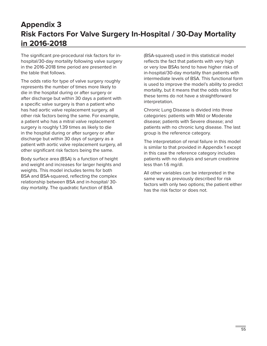# **Appendix 3 Risk Factors For Valve Surgery In-Hospital / 30-Day Mortality in 2016-2018**

The significant pre-procedural risk factors for inhospital/30-day mortality following valve surgery in the 2016-2018 time period are presented in the table that follows.

The odds ratio for type of valve surgery roughly represents the number of times more likely to die in the hospital during or after surgery or after discharge but within 30 days a patient with a specific valve surgery is than a patient who has had aortic valve replacement surgery, all other risk factors being the same. For example, a patient who has a mitral valve replacement surgery is roughly 1.39 times as likely to die in the hospital during or after surgery or after discharge but within 30 days of surgery as a patient with aortic valve replacement surgery, all other significant risk factors being the same.

Body surface area (BSA) is a function of height and weight and increases for larger heights and weights. This model includes terms for both BSA and BSA-squared, reflecting the complex relationship between BSA and in-hospital/ 30 day mortality. The quadratic function of BSA

(BSA-squared) used in this statistical model reflects the fact that patients with very high or very low BSAs tend to have higher risks of in-hospital/30-day mortality than patients with intermediate levels of BSA. This functional form is used to improve the model's ability to predict mortality, but it means that the odds ratios for these terms do not have a straightforward interpretation.

Chronic Lung Disease is divided into three categories: patients with Mild or Moderate disease; patients with Severe disease; and patients with no chronic lung disease. The last group is the reference category.

The interpretation of renal failure in this model is similar to that provided in Appendix 1 except in this case the reference category includes patients with no dialysis and serum creatinine less than 1.6 mg/dl.

All other variables can be interpreted in the same way as previously described for risk factors with only two options; the patient either has the risk factor or does not.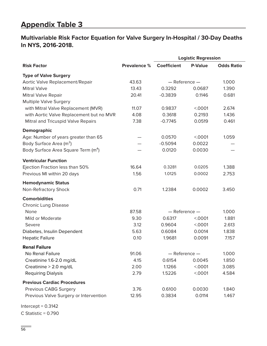# **Appendix Table 3**

## **Multivariable Risk Factor Equation for Valve Surgery In-Hospital / 30-Day Deaths In NYS, 2016-2018.**

|                                                 |                     | <b>Logistic Regression</b> |                |                   |
|-------------------------------------------------|---------------------|----------------------------|----------------|-------------------|
| <b>Risk Factor</b>                              | <b>Prevalence %</b> | <b>Coefficient</b>         | <b>P-Value</b> | <b>Odds Ratio</b> |
| <b>Type of Valve Surgery</b>                    |                     |                            |                |                   |
| Aortic Valve Replacement/Repair                 | 43.63               | - Reference -              |                | 1.000             |
| <b>Mitral Valve</b>                             | 13.43               | 0.3292                     | 0.0687         | 1.390             |
| Mitral Valve Repair                             | 20.41               | $-0.3839$                  | 0.1146         | 0.681             |
| <b>Multiple Valve Surgery</b>                   |                     |                            |                |                   |
| with Mitral Valve Replacement (MVR)             | 11.07               | 0.9837                     | < 0001         | 2.674             |
| with Aortic Valve Replacement but no MVR        | 4.08                | 0.3618                     | 0.2193         | 1.436             |
| Mitral and Tricuspid Valve Repairs              | 7.38                | $-0.7745$                  | 0.0519         | 0.461             |
| <b>Demographic</b>                              |                     |                            |                |                   |
| Age: Number of years greater than 65            |                     | 0.0570                     | < 0001         | 1.059             |
| Body Surface Area (m <sup>2</sup> )             |                     | $-0.5094$                  | 0.0022         |                   |
| Body Surface Area Square Term (m <sup>4</sup> ) |                     | 0.0120                     | 0.0030         |                   |
| <b>Ventricular Function</b>                     |                     |                            |                |                   |
| Ejection Fraction less than 50%                 | 16.64               | 0.3281                     | 0.0205         | 1.388             |
| Previous MI within 20 days                      | 1.56                | 1.0125                     | 0.0002         | 2.753             |
| <b>Hemodynamic Status</b>                       |                     |                            |                |                   |
| Non-Refractory Shock                            | 0.71                | 1.2384                     | 0.0002         | 3.450             |
| <b>Comorbidities</b>                            |                     |                            |                |                   |
| <b>Chronic Lung Disease</b>                     |                     |                            |                |                   |
| None                                            | 87.58               | $-$ Reference $-$          |                | 1.000             |
| Mild or Moderate                                | 9.30                | 0.6317                     | < 0001         | 1.881             |
| Severe                                          | 3.12                | 0.9604                     | < 0001         | 2.613             |
| Diabetes, Insulin Dependent                     | 5.63                | 0.6084                     | 0.0014         | 1.838             |
| <b>Hepatic Failure</b>                          | 0.10                | 1.9681                     | 0.0091         | 7.157             |
| <b>Renal Failure</b>                            |                     |                            |                |                   |
| No Renal Failure                                | 91.06               | $-$ Reference $-$          |                | 1.000             |
| Creatinine 1.6-2.0 mg/dL                        | 4.15                | 0.6154                     | 0.0045         | 1.850             |
| Creatinine > 2.0 mg/dL                          | 2.00                | 1.1266                     | < 0001         | 3.085             |
| <b>Requiring Dialysis</b>                       | 2.79                | 1.5226                     | < 0001         | 4.584             |
| <b>Previous Cardiac Procedures</b>              |                     |                            |                |                   |
| Previous CABG Surgery                           | 3.76                | 0.6100                     | 0.0030         | 1.840             |
| Previous Valve Surgery or Intervention          | 12.95               | 0.3834                     | 0.0114         | 1.467             |

 $Intercept = 0.3142$ C Statistic = 0.790

×.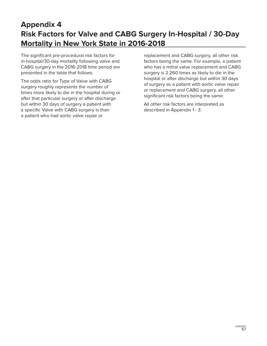# **Appendix 4 Risk Factors for Valve and CABG Surgery In-Hospital / 30-Day Mortality in New York State in 2016-2018**

The significant pre-procedural risk factors for in-hospital/30-day mortality following valve and CABG surgery in the 2016-2018 time period are presented in the table that follows.

The odds ratio for Type of Valve with CABG surgery roughly represents the number of times more likely to die in the hospital during or after that particular surgery or after discharge but within 30 days of surgery a patient with a specific Valve with CABG surgery is than a patient who had aortic valve repair or

replacement and CABG surgery, all other risk factors being the same. For example, a patient who has a mitral valve replacement and CABG surgery is 2.260 times as likely to die in the hospital or after discharge but within 30 days of surgery as a patient with aortic valve repair or replacement and CABG surgery, all other significant risk factors being the same.

All other risk factors are interpreted as described in Appendix 1 - 3.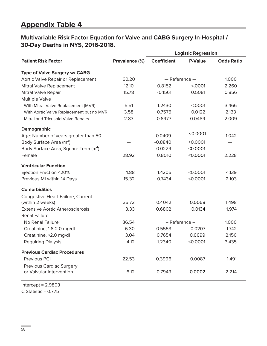# **Appendix Table 4**

## **Multivariable Risk Factor Equation for Valve and CABG Surgery In-Hospital / 30-Day Deaths in NYS, 2016-2018.**

|                                                  |                | <b>Logistic Regression</b> |                |                   |  |
|--------------------------------------------------|----------------|----------------------------|----------------|-------------------|--|
| <b>Patient Risk Factor</b>                       | Prevalence (%) | <b>Coefficient</b>         | <b>P-Value</b> | <b>Odds Ratio</b> |  |
| Type of Valve Surgery w/ CABG                    |                |                            |                |                   |  |
| Aortic Valve Repair or Replacement               | 60.20          | $-$ Reference $-$          |                | 1.000             |  |
| Mitral Valve Replacement                         | 12.10          | 0.8152                     | < 0001         | 2.260             |  |
| <b>Mitral Valve Repair</b>                       | 15.78          | $-0.1561$                  | 0.5081         | 0.856             |  |
| <b>Multiple Valve</b>                            |                |                            |                |                   |  |
| With Mitral Valve Replacement (MVR)              | 5.51           | 1.2430                     | < 0001         | 3.466             |  |
| With Aortic Valve Replacement but no MVR         | 3.58           | 0.7575                     | 0.0122         | 2.133             |  |
| Mitral and Tricuspid Valve Repairs               | 2.83           | 0.6977                     | 0.0489         | 2.009             |  |
| <b>Demographic</b>                               |                |                            |                |                   |  |
| Age: Number of years greater than 50             |                | 0.0409                     | $<$ 0.0001     | 1.042             |  |
| Body Surface Area (m <sup>2</sup> )              |                | $-0.8840$                  | < 0.0001       |                   |  |
| Body Surface Area, Square Term (m <sup>4</sup> ) |                | 0.0229                     | < 0.0001       |                   |  |
| Female                                           | 28.92          | 0.8010                     | < 0.0001       | 2.228             |  |
| <b>Ventricular Function</b>                      |                |                            |                |                   |  |
| Ejection Fraction <20%                           | 1.88           | 1.4205                     | < 0.0001       | 4.139             |  |
| Previous MI within 14 Days                       | 15.32          | 0.7434                     | < 0.0001       | 2.103             |  |
| <b>Comorbidities</b>                             |                |                            |                |                   |  |
| Congestive Heart Failure, Current                |                |                            |                |                   |  |
| (within 2 weeks)                                 | 35.72          | 0.4042                     | 0.0058         | 1.498             |  |
| <b>Extensive Aortic Atherosclerosis</b>          | 3.33           | 0.6802                     | 0.0134         | 1.974             |  |
| <b>Renal Failure</b><br>No Renal Failure         | 86.54          | - Reference -              |                | 1.000             |  |
| Creatinine, 1.6-2.0 mg/dl                        | 6.30           | 0.5553                     | 0.0207         | 1.742             |  |
| Creatinine, >2.0 mg/dl                           | 3.04           | 0.7654                     | 0.0099         | 2.150             |  |
| <b>Requiring Dialysis</b>                        | 4.12           | 1.2340                     | < 0.0001       | 3.435             |  |
|                                                  |                |                            |                |                   |  |
| <b>Previous Cardiac Procedures</b>               |                |                            |                |                   |  |
| Previous PCI                                     | 22.53          | 0.3996                     | 0.0087         | 1.491             |  |
| <b>Previous Cardiac Surgery</b>                  |                |                            |                |                   |  |
| or Valvular Intervention                         | 6.12           | 0.7949                     | 0.0002         | 2.214             |  |

 $Intercept = 2.9803$ C Statistic = 0.775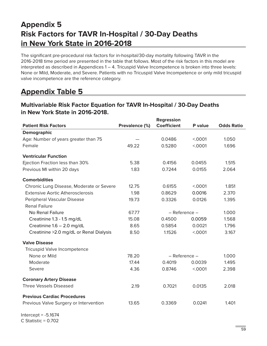# **Appendix 5 Risk Factors for TAVR In-Hospital / 30-Day Deaths in New York State in 2016-2018**

The significant pre-procedural risk factors for in-hospital/30-day mortality following TAVR in the 2016-2018 time period are presented in the table that follows. Most of the risk factors in this model are interpreted as described in Appendices 1 – 4. Tricuspid Valve Incompetence is broken into three levels: None or Mild, Moderate, and Severe. Patients with no Tricuspid Valve Incompetence or only mild tricuspid valve incompetence are the reference category.

# **Appendix Table 5**

## **Patient Risk Factors Prevalence (%) Regression Coefficient P value Odds Ratio Demographic**  Age: Number of years greater than 75  $-$  0.0486 <.0001 1.050 Female 49.22 0.5280 <.0001 1.696 **Ventricular Function** Ejection Fraction less than 30% 5.38 0.4156 0.0455 1.515 Previous MI within 20 days 1.83 0.7244 0.0155 2.064 **Comorbidities** Chronic Lung Disease, Moderate or Severe 12.75 0.6155 <.0001 1.851 Extensive Aortic Atherosclerosis 1.98 0.8629 0.0016 2.370 Peripheral Vascular Disease 19.73 0.3326 0.0126 1.395 Renal Failure No Renal Failure 67.77 – Reference – 1.000 Creatinine 1.3 - 1.5 mg/dL 15.08 0.4500 0.0059 1.568 Creatinine 1.6 – 2.0 mg/dL 8.65 0.5854 0.0021 1.796 Creatinine >2.0 mg/dL or Renal Dialysis 8.50 1.1526 <.0001 3.167 **Valve Disease** Tricuspid Valve Incompetence None or Mild 78.20 – Reference – 1.000 Moderate 17.44 0.4019 0.0039 1.495 Severe 2.398 4.36 0.8746 <.0001 2.398 **Coronary Artery Disease** Three Vessels Diseased 2.19 0.7021 0.0135 2.018 **Previous Cardiac Procedures** Previous Valve Surgery or Intervention  $13.65$  0.3369 0.0241 1.401

## **Multivariable Risk Factor Equation for TAVR In-Hospital / 30-Day Deaths in New York State in 2016-2018.**

Intercept  $= -5.1674$  $C$  Statistic = 0.702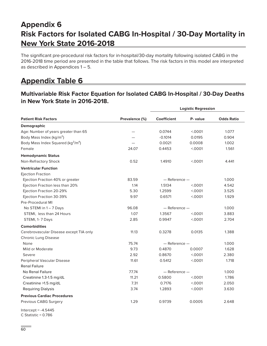# **Appendix 6 Risk Factors for Isolated CABG In-Hospital / 30-Day Mortality in New York State 2016-2018**

The significant pre-procedural risk factors for in-hospital/30-day mortality following isolated CABG in the 2016-2018 time period are presented in the table that follows. The risk factors in this model are interpreted as described in Appendices 1 – 5.

# **Appendix Table 6**

#### **Multivariable Risk Factor Equation for Isolated CABG In-Hospital / 30-Day Deaths in New York State in 2016-2018.**

|                                                            |                |                    | <b>Logistic Regression</b> |                   |
|------------------------------------------------------------|----------------|--------------------|----------------------------|-------------------|
| <b>Patient Risk Factors</b>                                | Prevalence (%) | <b>Coefficient</b> | P- value                   | <b>Odds Ratio</b> |
| Demographic                                                |                |                    |                            |                   |
| Age: Number of years greater than 65                       |                | 0.0744             | < 0001                     | 1.077             |
| Body Mass Index (kg/m <sup>2</sup> )                       |                | $-0.1014$          | 0.0195                     | 0.904             |
| Body Mass Index Squared (kg <sup>2</sup> /m <sup>4</sup> ) |                | 0.0021             | 0.0008                     | 1.002             |
| Female                                                     | 24.07          | 0.4453             | < .0001                    | 1.561             |
| <b>Hemodynamic Status</b>                                  |                |                    |                            |                   |
| Non-Refractory Shock                                       | 0.52           | 1.4910             | < 0001                     | 4.441             |
| <b>Ventricular Function</b>                                |                |                    |                            |                   |
| <b>Ejection Fraction</b>                                   |                |                    |                            |                   |
| Ejection Fraction 40% or greater                           | 83.59          | $-$ Reference $-$  |                            | 1.000             |
| Ejection Fraction less than 20%                            | 1.14           | 1.5134             | < 0001                     | 4.542             |
| Ejection Fraction 20-29%                                   | 5.30           | 1.2599             | < 0001                     | 3.525             |
| Ejection Fraction 30-39%                                   | 9.97           | 0.6571             | < 0001                     | 1.929             |
| Pre-Procedural MI                                          |                |                    |                            |                   |
| No STEMI in 1-7 Days                                       | 96.08          | $-$ Reference $-$  |                            | 1.000             |
| STEMI, less than 24 Hours                                  | 1.07           | 1.3567             | < 0001                     | 3.883             |
| STEMI, 1-7 Days                                            | 2.85           | 0.9947             | < .0001                    | 2.704             |
| <b>Comorbidities</b>                                       |                |                    |                            |                   |
| Cerebrovascular Disease except TIA only                    | 11.13          | 0.3278             | 0.0135                     | 1.388             |
| <b>Chronic Lung Disease</b>                                |                |                    |                            |                   |
| None                                                       | 75.74          | $-$ Reference $-$  |                            | 1.000             |
| Mild or Moderate                                           | 9.73           | 0.4870             | 0.0007                     | 1.628             |
| Severe                                                     | 2.92           | 0.8670             | < 0001                     | 2.380             |
| Peripheral Vascular Disease                                | 11.61          | 0.5412             | < 0001                     | 1.718             |
| <b>Renal Failure</b>                                       |                |                    |                            |                   |
| No Renal Failure                                           | 77.74          | $-$ Reference $-$  |                            | 1.000             |
| Creatinine 1.3-1.5 mg/dL                                   | 11.21          | 0.5800             | < 0001                     | 1.786             |
| Creatinine >1.5 mg/dL                                      | 7.31           | 0.7176             | < 0001                     | 2.050             |
| <b>Requiring Dialysis</b>                                  | 3.74           | 1.2893             | < 0001                     | 3.630             |
| <b>Previous Cardiac Procedures</b>                         |                |                    |                            |                   |
| Previous CABG Surgery                                      | 1.29           | 0.9739             | 0.0005                     | 2.648             |
|                                                            |                |                    |                            |                   |

Intercept = -4.5445 C Statistic = 0.786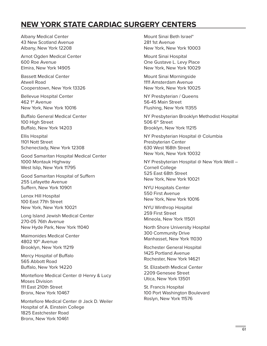# **NEW YORK STATE CARDIAC SURGERY CENTERS**

Albany Medical Center 43 New Scotland Avenue Albany, New York 12208

Arnot Ogden Medical Center 600 Roe Avenue Elmira, New York 14905

Bassett Medical Center Atwell Road Cooperstown, New York 13326

Bellevue Hospital Center 462 1st Avenue New York, New York 10016

Buffalo General Medical Center 100 High Street Buffalo, New York 14203

Ellis Hospital 1101 Nott Street Schenectady, New York 12308

Good Samaritan Hospital Medical Center 1000 Montauk Highway West Islip, New York 11795

Good Samaritan Hospital of Suffern 255 Lafayette Avenue Suffern, New York 10901

Lenox Hill Hospital 100 East 77th Street New York, New York 10021

Long Island Jewish Medical Center 270-05 76th Avenue New Hyde Park, New York 11040

Maimonides Medical Center 4802 10th Avenue Brooklyn, New York 11219

Mercy Hospital of Buffalo 565 Abbott Road Buffalo, New York 14220

Montefiore Medical Center @ Henry & Lucy Moses Division 111 East 210th Street Bronx, New York 10467

Montefiore Medical Center @ Jack D. Weiler Hospital of A. Einstein College 1825 Eastchester Road Bronx, New York 10461

Mount Sinai Beth Israel\* 281 1st Avenue New York, New York 10003

Mount Sinai Hospital One Gustave L. Levy Place New York, New York 10029

Mount Sinai Morningside 1111 Amsterdam Avenue New York, New York 10025

NY Presbyterian / Queens 56-45 Main Street Flushing, New York 11355

NY Presbyterian Brooklyn Methodist Hospital 506 6<sup>th</sup> Street Brooklyn, New York 11215

NY Presbyterian Hospital @ Columbia Presbyterian Center 630 West 168th Street New York, New York 10032

NY Presbyterian Hospital @ New York Weill – Cornell College 525 East 68th Street New York, New York 10021

NYU Hospitals Center 550 First Avenue New York, New York 10016

NYU Winthrop Hospital 259 First Street Mineola, New York 11501

North Shore University Hospital 300 Community Drive Manhasset, New York 11030

Rochester General Hospital 1425 Portland Avenue Rochester, New York 14621

St. Elizabeth Medical Center 2209 Genesee Street Utica, New York 13501

St. Francis Hospital 100 Port Washington Boulevard Roslyn, New York 11576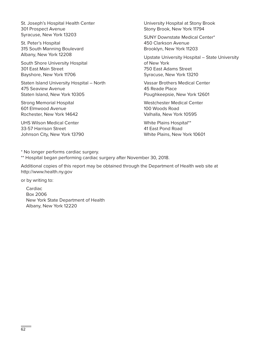St. Joseph's Hospital Health Center 301 Prospect Avenue Syracuse, New York 13203

St. Peter's Hospital 315 South Manning Boulevard Albany, New York 12208

South Shore University Hospital 301 East Main Street Bayshore, New York 11706

Staten Island University Hospital – North 475 Seaview Avenue Staten Island, New York 10305

Strong Memorial Hospital 601 Elmwood Avenue Rochester, New York 14642

UHS Wilson Medical Center 33-57 Harrison Street Johnson City, New York 13790 University Hospital at Stony Brook Stony Brook, New York 11794

SUNY Downstate Medical Center\* 450 Clarkson Avenue Brooklyn, New York 11203

Upstate University Hospital – State University of New York 750 East Adams Street Syracuse, New York 13210

Vassar Brothers Medical Center 45 Reade Place Poughkeepsie, New York 12601

Westchester Medical Center 100 Woods Road Valhalla, New York 10595

White Plains Hospital\*\* 41 East Pond Road White Plains, New York 10601

\* No longer performs cardiac surgery. \*\* Hospital began performing cardiac surgery after November 30, 2018.

Additional copies of this report may be obtained through the Department of Health web site at [http://www.health.ny.gov](http://www.nyhealth.gov)

or by writing to:

Cardiac Box 2006 New York State Department of Health Albany, New York 12220